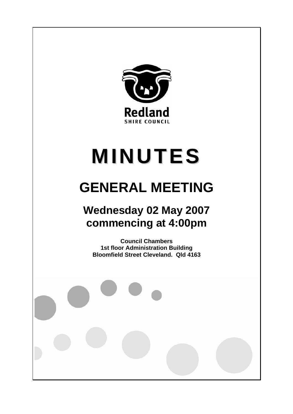

# **MINUTES**

# **GENERAL MEETING**

# **Wednesday 02 May 2007 commencing at 4:00pm**

**Council Chambers 1st floor Administration Building Bloomfield Street Cleveland. Qld 4163**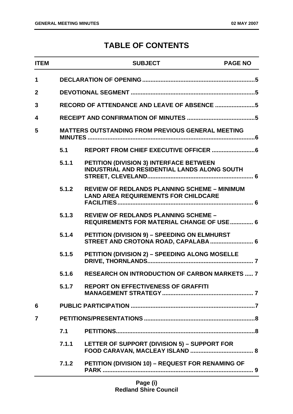# **TABLE OF CONTENTS**

| <b>ITEM</b>    |       | <b>SUBJECT</b>                                                                                     | <b>PAGE NO</b> |  |
|----------------|-------|----------------------------------------------------------------------------------------------------|----------------|--|
| 1              |       |                                                                                                    |                |  |
| $\overline{2}$ |       |                                                                                                    |                |  |
| 3              |       |                                                                                                    |                |  |
| 4              |       |                                                                                                    |                |  |
| 5              |       | <b>MATTERS OUTSTANDING FROM PREVIOUS GENERAL MEETING</b>                                           |                |  |
|                | 5.1   |                                                                                                    |                |  |
|                | 5.1.1 | PETITION (DIVISION 3) INTERFACE BETWEEN<br><b>INDUSTRIAL AND RESIDENTIAL LANDS ALONG SOUTH</b>     |                |  |
|                | 5.1.2 | <b>REVIEW OF REDLANDS PLANNING SCHEME - MINIMUM</b><br><b>LAND AREA REQUIREMENTS FOR CHILDCARE</b> |                |  |
|                | 5.1.3 | <b>REVIEW OF REDLANDS PLANNING SCHEME -</b><br><b>REQUIREMENTS FOR MATERIAL CHANGE OF USE  6</b>   |                |  |
|                | 5.1.4 | PETITION (DIVISION 9) - SPEEDING ON ELMHURST<br>STREET AND CROTONA ROAD, CAPALABA  6               |                |  |
|                | 5.1.5 | PETITION (DIVISION 2) - SPEEDING ALONG MOSELLE                                                     |                |  |
|                | 5.1.6 | <b>RESEARCH ON INTRODUCTION OF CARBON MARKETS  7</b>                                               |                |  |
|                | 5.1.7 | <b>REPORT ON EFFECTIVENESS OF GRAFFITI</b>                                                         |                |  |
| 6              |       |                                                                                                    |                |  |
| 7              |       |                                                                                                    |                |  |
|                | 7.1   |                                                                                                    |                |  |
|                | 7.1.1 | LETTER OF SUPPORT (DIVISION 5) - SUPPORT FOR                                                       |                |  |
|                | 7.1.2 | PETITION (DIVISION 10) - REQUEST FOR RENAMING OF                                                   |                |  |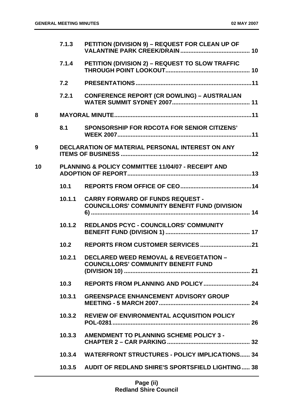|    | 7.1.3  | PETITION (DIVISION 9) - REQUEST FOR CLEAN UP OF                                                 |
|----|--------|-------------------------------------------------------------------------------------------------|
|    | 7.1.4  | PETITION (DIVISION 2) - REQUEST TO SLOW TRAFFIC                                                 |
|    | 7.2    |                                                                                                 |
|    | 7.2.1  | <b>CONFERENCE REPORT (CR DOWLING) - AUSTRALIAN</b>                                              |
| 8  |        |                                                                                                 |
|    | 8.1    | <b>SPONSORSHIP FOR RDCOTA FOR SENIOR CITIZENS'</b>                                              |
| 9  |        | DECLARATION OF MATERIAL PERSONAL INTEREST ON ANY                                                |
| 10 |        | PLANNING & POLICY COMMITTEE 11/04/07 - RECEIPT AND                                              |
|    | 10.1   |                                                                                                 |
|    | 10.1.1 | <b>CARRY FORWARD OF FUNDS REQUEST -</b><br><b>COUNCILLORS' COMMUNITY BENEFIT FUND (DIVISION</b> |
|    | 10.1.2 | REDLANDS PCYC - COUNCILLORS' COMMUNITY                                                          |
|    | 10.2   |                                                                                                 |
|    | 10.2.1 | <b>DECLARED WEED REMOVAL &amp; REVEGETATION -</b><br><b>COUNCILLORS' COMMUNITY BENEFIT FUND</b> |
|    | 10.3   |                                                                                                 |
|    | 10.3.1 | <b>GREENSPACE ENHANCEMENT ADVISORY GROUP</b>                                                    |
|    | 10.3.2 | <b>REVIEW OF ENVIRONMENTAL ACQUISITION POLICY</b>                                               |
|    | 10.3.3 | <b>AMENDMENT TO PLANNING SCHEME POLICY 3 -</b>                                                  |
|    | 10.3.4 | <b>WATERFRONT STRUCTURES - POLICY IMPLICATIONS 34</b>                                           |
|    |        | 10.3.5 AUDIT OF REDLAND SHIRE'S SPORTSFIELD LIGHTING 38                                         |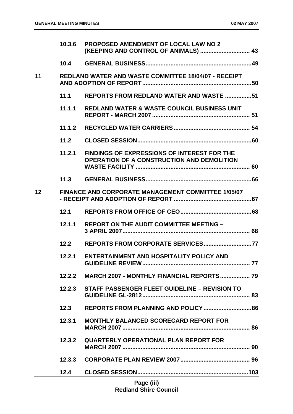|    | 10.3.6 | <b>PROPOSED AMENDMENT OF LOCAL LAW NO 2</b><br>(KEEPING AND CONTROL OF ANIMALS)  43                     |
|----|--------|---------------------------------------------------------------------------------------------------------|
|    | 10.4   |                                                                                                         |
| 11 |        | <b>REDLAND WATER AND WASTE COMMITTEE 18/04/07 - RECEIPT</b>                                             |
|    | 11.1   | <b>REPORTS FROM REDLAND WATER AND WASTE 51</b>                                                          |
|    | 11.1.1 | <b>REDLAND WATER &amp; WASTE COUNCIL BUSINESS UNIT</b>                                                  |
|    | 11.1.2 |                                                                                                         |
|    | 11.2   |                                                                                                         |
|    | 11.2.1 | <b>FINDINGS OF EXPRESSIONS OF INTEREST FOR THE</b><br><b>OPERATION OF A CONSTRUCTION AND DEMOLITION</b> |
|    |        |                                                                                                         |
| 12 |        | <b>FINANCE AND CORPORATE MANAGEMENT COMMITTEE 1/05/07</b>                                               |
|    | 12.1   |                                                                                                         |
|    | 12.1.1 | <b>REPORT ON THE AUDIT COMMITTEE MEETING -</b>                                                          |
|    | 12.2   |                                                                                                         |
|    | 12.2.1 | <b>ENTERTAINMENT AND HOSPITALITY POLICY AND</b>                                                         |
|    | 12.2.2 | <b>MARCH 2007 - MONTHLY FINANCIAL REPORTS 79</b>                                                        |
|    | 12.2.3 | STAFF PASSENGER FLEET GUIDELINE - REVISION TO                                                           |
|    | 12.3   |                                                                                                         |
|    | 12.3.1 | <b>MONTHLY BALANCED SCORECARD REPORT FOR</b>                                                            |
|    | 12.3.2 | <b>QUARTERLY OPERATIONAL PLAN REPORT FOR</b>                                                            |
|    | 12.3.3 |                                                                                                         |
|    | 12.4   |                                                                                                         |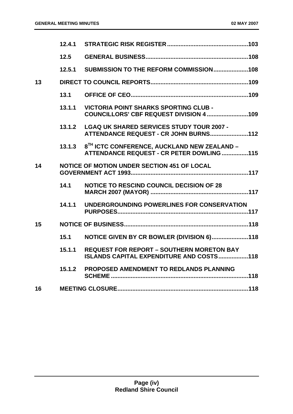|    | 12.5   |                                                                                                      |
|----|--------|------------------------------------------------------------------------------------------------------|
|    | 12.5.1 | SUBMISSION TO THE REFORM COMMISSION108                                                               |
| 13 |        |                                                                                                      |
|    | 13.1   |                                                                                                      |
|    | 13.1.1 | <b>VICTORIA POINT SHARKS SPORTING CLUB -</b><br>COUNCILLORS' CBF REQUEST DIVISION 4 109              |
|    | 13.1.2 | <b>LGAQ UK SHARED SERVICES STUDY TOUR 2007 -</b><br>ATTENDANCE REQUEST - CR JOHN BURNS112            |
|    | 13.1.3 | 8 <sup>TH</sup> ICTC CONFERENCE, AUCKLAND NEW ZEALAND -<br>ATTENDANCE REQUEST - CR PETER DOWLING 115 |
| 14 |        | NOTICE OF MOTION UNDER SECTION 451 OF LOCAL                                                          |
|    | 14.1   | <b>NOTICE TO RESCIND COUNCIL DECISION OF 28</b>                                                      |
|    | 14.1.1 | UNDERGROUNDING POWERLINES FOR CONSERVATION                                                           |
| 15 |        |                                                                                                      |
|    | 15.1   | NOTICE GIVEN BY CR BOWLER (DIVISION 6)118                                                            |
|    | 15.1.1 | <b>REQUEST FOR REPORT - SOUTHERN MORETON BAY</b><br>ISLANDS CAPITAL EXPENDITURE AND COSTS118         |
|    | 15.1.2 | PROPOSED AMENDMENT TO REDLANDS PLANNING                                                              |
| 16 |        |                                                                                                      |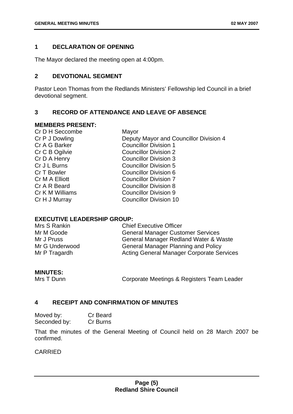# <span id="page-5-0"></span>**1 DECLARATION OF OPENING**

The Mayor declared the meeting open at 4:00pm.

# **2 DEVOTIONAL SEGMENT**

Pastor Leon Thomas from the Redlands Ministers' Fellowship led Council in a brief devotional segment.

# **3 RECORD OF ATTENDANCE AND LEAVE OF ABSENCE**

#### **MEMBERS PRESENT:**

| Cr D H Seccombe | Mayor                                  |
|-----------------|----------------------------------------|
| Cr P J Dowling  | Deputy Mayor and Councillor Division 4 |
| Cr A G Barker   | <b>Councillor Division 1</b>           |
| Cr C B Ogilvie  | <b>Councillor Division 2</b>           |
| Cr D A Henry    | <b>Councillor Division 3</b>           |
| Cr J L Burns    | <b>Councillor Division 5</b>           |
| Cr T Bowler     | Councillor Division 6                  |
| Cr M A Elliott  | <b>Councillor Division 7</b>           |
| Cr A R Beard    | <b>Councillor Division 8</b>           |
| Cr K M Williams | <b>Councillor Division 9</b>           |
| Cr H J Murray   | <b>Councillor Division 10</b>          |
|                 |                                        |

# **EXECUTIVE LEADERSHIP GROUP:**

| Mrs S Rankin   | <b>Chief Executive Officer</b>                   |
|----------------|--------------------------------------------------|
| Mr M Goode     | <b>General Manager Customer Services</b>         |
| Mr J Pruss     | General Manager Redland Water & Waste            |
| Mr G Underwood | <b>General Manager Planning and Policy</b>       |
| Mr P Tragardh  | <b>Acting General Manager Corporate Services</b> |

# **MINUTES:**

Mrs T Dunn **Corporate Meetings & Registers Team Leader** 

# **4 RECEIPT AND CONFIRMATION OF MINUTES**

Moved by: Cr Beard Seconded by: Cr Burns

That the minutes of the General Meeting of Council held on 28 March 2007 be confirmed.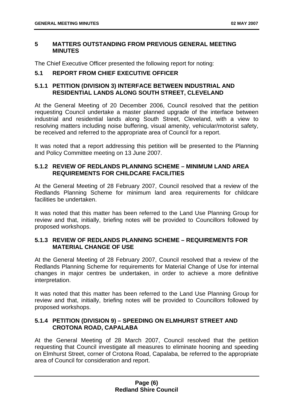# <span id="page-6-0"></span>**5 MATTERS OUTSTANDING FROM PREVIOUS GENERAL MEETING MINUTES**

The Chief Executive Officer presented the following report for noting:

# **5.1 REPORT FROM CHIEF EXECUTIVE OFFICER**

# **5.1.1 PETITION (DIVISION 3) INTERFACE BETWEEN INDUSTRIAL AND RESIDENTIAL LANDS ALONG SOUTH STREET, CLEVELAND**

At the General Meeting of 20 December 2006, Council resolved that the petition requesting Council undertake a master planned upgrade of the interface between industrial and residential lands along South Street, Cleveland, with a view to resolving matters including noise buffering, visual amenity, vehicular/motorist safety, be received and referred to the appropriate area of Council for a report.

It was noted that a report addressing this petition will be presented to the Planning and Policy Committee meeting on 13 June 2007.

# **5.1.2 REVIEW OF REDLANDS PLANNING SCHEME – MINIMUM LAND AREA REQUIREMENTS FOR CHILDCARE FACILITIES**

At the General Meeting of 28 February 2007, Council resolved that a review of the Redlands Planning Scheme for minimum land area requirements for childcare facilities be undertaken.

It was noted that this matter has been referred to the Land Use Planning Group for review and that, initially, briefing notes will be provided to Councillors followed by proposed workshops.

# **5.1.3 REVIEW OF REDLANDS PLANNING SCHEME – REQUIREMENTS FOR MATERIAL CHANGE OF USE**

At the General Meeting of 28 February 2007, Council resolved that a review of the Redlands Planning Scheme for requirements for Material Change of Use for internal changes in major centres be undertaken, in order to achieve a more definitive interpretation.

It was noted that this matter has been referred to the Land Use Planning Group for review and that, initially, briefing notes will be provided to Councillors followed by proposed workshops.

# **5.1.4 PETITION (DIVISION 9) – SPEEDING ON ELMHURST STREET AND CROTONA ROAD, CAPALABA**

At the General Meeting of 28 March 2007, Council resolved that the petition requesting that Council investigate all measures to eliminate hooning and speeding on Elmhurst Street, corner of Crotona Road, Capalaba, be referred to the appropriate area of Council for consideration and report.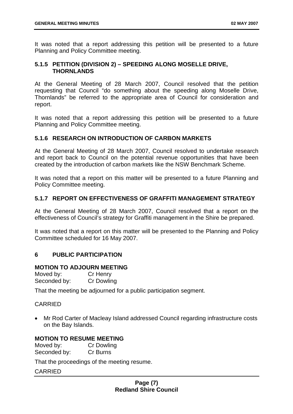<span id="page-7-0"></span>It was noted that a report addressing this petition will be presented to a future Planning and Policy Committee meeting.

# **5.1.5 PETITION (DIVISION 2) – SPEEDING ALONG MOSELLE DRIVE, THORNLANDS**

At the General Meeting of 28 March 2007, Council resolved that the petition requesting that Council "do something about the speeding along Moselle Drive, Thornlands" be referred to the appropriate area of Council for consideration and report.

It was noted that a report addressing this petition will be presented to a future Planning and Policy Committee meeting.

# **5.1.6 RESEARCH ON INTRODUCTION OF CARBON MARKETS**

At the General Meeting of 28 March 2007, Council resolved to undertake research and report back to Council on the potential revenue opportunities that have been created by the introduction of carbon markets like the NSW Benchmark Scheme.

It was noted that a report on this matter will be presented to a future Planning and Policy Committee meeting.

# **5.1.7 REPORT ON EFFECTIVENESS OF GRAFFITI MANAGEMENT STRATEGY**

At the General Meeting of 28 March 2007, Council resolved that a report on the effectiveness of Council's strategy for Graffiti management in the Shire be prepared.

It was noted that a report on this matter will be presented to the Planning and Policy Committee scheduled for 16 May 2007.

# **6 PUBLIC PARTICIPATION**

# **MOTION TO ADJOURN MEETING**

| Moved by:    | Cr Henry          |
|--------------|-------------------|
| Seconded by: | <b>Cr Dowling</b> |

That the meeting be adjourned for a public participation segment.

# CARRIED

• Mr Rod Carter of Macleay Island addressed Council regarding infrastructure costs on the Bay Islands.

# **MOTION TO RESUME MEETING**

Moved by: Cr Dowling Seconded by: Cr Burns

That the proceedings of the meeting resume.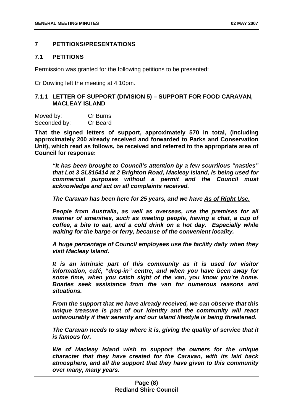# <span id="page-8-0"></span>**7 PETITIONS/PRESENTATIONS**

# **7.1 PETITIONS**

Permission was granted for the following petitions to be presented:

Cr Dowling left the meeting at 4.10pm.

# **7.1.1 LETTER OF SUPPORT (DIVISION 5) – SUPPORT FOR FOOD CARAVAN, MACLEAY ISLAND**

| Moved by:    | Cr Burns |
|--------------|----------|
| Seconded by: | Cr Beard |

**That the signed letters of support, approximately 570 in total, (including approximately 200 already received and forwarded to Parks and Conservation Unit), which read as follows, be received and referred to the appropriate area of Council for response:** 

*"It has been brought to Council's attention by a few scurrilous "nasties" that Lot 3 SL815414 at 2 Brighton Road, Macleay Island, is being used for commercial purposes without a permit and the Council must acknowledge and act on all complaints received.* 

*The Caravan has been here for 25 years, and we have As of Right Use.*

*People from Australia, as well as overseas, use the premises for all manner of amenities, such as meeting people, having a chat, a cup of coffee, a bite to eat, and a cold drink on a hot day. Especially while waiting for the barge or ferry, because of the convenient locality.* 

*A huge percentage of Council employees use the facility daily when they visit Macleay Island.* 

*It is an intrinsic part of this community as it is used for visitor information, café, "drop-in" centre, and when you have been away for some time, when you catch sight of the van, you know you're home. Boaties seek assistance from the van for numerous reasons and situations.* 

*From the support that we have already received, we can observe that this unique treasure is part of our identity and the community will react unfavourably if their serenity and our island lifestyle is being threatened.* 

*The Caravan needs to stay where it is, giving the quality of service that it is famous for.* 

*We of Macleay Island wish to support the owners for the unique character that they have created for the Caravan, with its laid back atmosphere, and all the support that they have given to this community over many, many years.*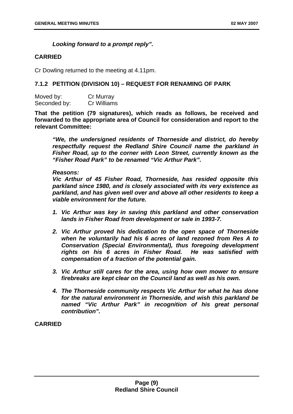# *Looking forward to a prompt reply".*

# <span id="page-9-0"></span>**CARRIED**

Cr Dowling returned to the meeting at 4.11pm.

# **7.1.2 PETITION (DIVISION 10) – REQUEST FOR RENAMING OF PARK**

| Moved by:    | Cr Murray   |
|--------------|-------------|
| Seconded by: | Cr Williams |

**That the petition (79 signatures), which reads as follows, be received and forwarded to the appropriate area of Council for consideration and report to the relevant Committee:** 

*"We, the undersigned residents of Thorneside and district, do hereby respectfully request the Redland Shire Council name the parkland in Fisher Road, up to the corner with Leon Street, currently known as the "Fisher Road Park" to be renamed "Vic Arthur Park".* 

#### *Reasons:*

*Vic Arthur of 45 Fisher Road, Thorneside, has resided opposite this parkland since 1980, and is closely associated with its very existence as parkland, and has given well over and above all other residents to keep a viable environment for the future.* 

- *1. Vic Arthur was key in saving this parkland and other conservation lands in Fisher Road from development or sale in 1993-7.*
- *2. Vic Arthur proved his dedication to the open space of Thorneside when he voluntarily had his 6 acres of land rezoned from Res A to Conservation (Special Environmental), thus foregoing development rights on his 6 acres in Fisher Road. He was satisfied with compensation of a fraction of the potential gain.*
- *3. Vic Arthur still cares for the area, using how own mower to ensure firebreaks are kept clear on the Council land as well as his own.*
- *4. The Thorneside community respects Vic Arthur for what he has done for the natural environment in Thorneside, and wish this parkland be named "Vic Arthur Park" in recognition of his great personal contribution".*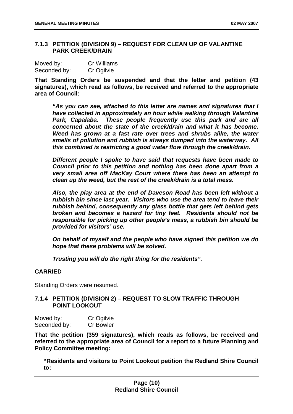# **7.1.3 PETITION (DIVISION 9) – REQUEST FOR CLEAN UP OF VALANTINE PARK CREEK/DRAIN**

| Moved by:    | <b>Cr Williams</b> |
|--------------|--------------------|
| Seconded by: | Cr Ogilvie         |

**That Standing Orders be suspended and that the letter and petition (43 signatures), which read as follows, be received and referred to the appropriate area of Council:** 

*"As you can see, attached to this letter are names and signatures that I have collected in approximately an hour while walking through Valantine*  Park, Capalaba. These people frequently use this park and are all *concerned about the state of the creek/drain and what it has become. Weed has grown at a fast rate over trees and shrubs alike, the water smells of pollution and rubbish is always dumped into the waterway. All this combined is restricting a good water flow through the creek/drain.* 

*Different people I spoke to have said that requests have been made to Council prior to this petition and nothing has been done apart from a very small area off MacKay Court where there has been an attempt to clean up the weed, but the rest of the creek/drain is a total mess.* 

*Also, the play area at the end of Daveson Road has been left without a rubbish bin since last year. Visitors who use the area tend to leave their rubbish behind, consequently any glass bottle that gets left behind gets broken and becomes a hazard for tiny feet. Residents should not be responsible for picking up other people's mess, a rubbish bin should be provided for visitors' use.* 

*On behalf of myself and the people who have signed this petition we do hope that these problems will be solved.* 

*Trusting you will do the right thing for the residents".* 

# **CARRIED**

Standing Orders were resumed.

# **7.1.4 PETITION (DIVISION 2) – REQUEST TO SLOW TRAFFIC THROUGH POINT LOOKOUT**

| Moved by:    | Cr Ogilvie       |
|--------------|------------------|
| Seconded by: | <b>Cr Bowler</b> |

**That the petition (359 signatures), which reads as follows, be received and referred to the appropriate area of Council for a report to a future Planning and Policy Committee meeting:** 

**"Residents and visitors to Point Lookout petition the Redland Shire Council to:**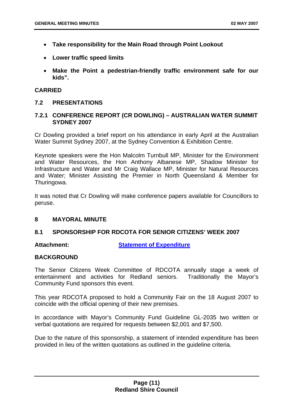- <span id="page-11-0"></span>• **Take responsibility for the Main Road through Point Lookout**
- **Lower traffic speed limits**
- **Make the Point a pedestrian-friendly traffic environment safe for our kids".**

# **CARRIED**

# **7.2 PRESENTATIONS**

# **7.2.1 CONFERENCE REPORT (CR DOWLING) – AUSTRALIAN WATER SUMMIT SYDNEY 2007**

Cr Dowling provided a brief report on his attendance in early April at the Australian Water Summit Sydney 2007, at the Sydney Convention & Exhibition Centre.

Keynote speakers were the Hon Malcolm Turnbull MP, Minister for the Environment and Water Resources, the Hon Anthony Albanese MP, Shadow Minister for Infrastructure and Water and Mr Craig Wallace MP, Minister for Natural Resources and Water; Minister Assisting the Premier in North Queensland & Member for Thuringowa.

It was noted that Cr Dowling will make conference papers available for Councillors to peruse.

# **8 MAYORAL MINUTE**

# **8.1 SPONSORSHIP FOR RDCOTA FOR SENIOR CITIZENS' WEEK 2007**

**Attachment: Statement of Expenditure**

# **BACKGROUND**

The Senior Citizens Week Committee of RDCOTA annually stage a week of entertainment and activities for Redland seniors. Traditionally the Mayor's Community Fund sponsors this event.

This year RDCOTA proposed to hold a Community Fair on the 18 August 2007 to coincide with the official opening of their new premises.

In accordance with Mayor's Community Fund Guideline GL-2035 two written or verbal quotations are required for requests between \$2,001 and \$7,500.

Due to the nature of this sponsorship, a statement of intended expenditure has been provided in lieu of the written quotations as outlined in the guideline criteria.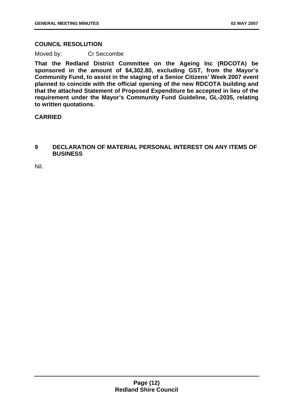# <span id="page-12-0"></span>**COUNCIL RESOLUTION**

Moved by: Cr Seccombe

**That the Redland District Committee on the Ageing Inc (RDCOTA) be sponsored in the amount of \$4,302.80, excluding GST, from the Mayor's Community Fund, to assist in the staging of a Senior Citizens' Week 2007 event planned to coincide with the official opening of the new RDCOTA building and that the attached Statement of Proposed Expenditure be accepted in lieu of the requirement under the Mayor's Community Fund Guideline, GL-2035, relating to written quotations.** 

# **CARRIED**

# **9 DECLARATION OF MATERIAL PERSONAL INTEREST ON ANY ITEMS OF BUSINESS**

Nil.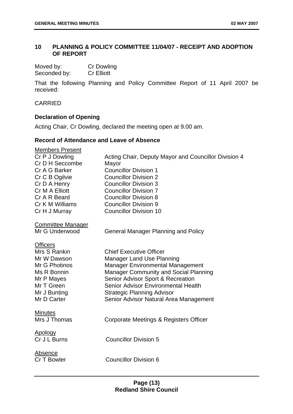# <span id="page-13-0"></span>**10 PLANNING & POLICY COMMITTEE 11/04/07 - RECEIPT AND ADOPTION OF REPORT**

| Moved by:    | <b>Cr Dowling</b> |
|--------------|-------------------|
| Seconded by: | <b>Cr Elliott</b> |

That the following Planning and Policy Committee Report of 11 April 2007 be received:

CARRIED

# **Declaration of Opening**

Acting Chair, Cr Dowling, declared the meeting open at 9.00 am.

# **Record of Attendance and Leave of Absence**

| Members Present                |                                                      |
|--------------------------------|------------------------------------------------------|
| Cr P J Dowling                 | Acting Chair, Deputy Mayor and Councillor Division 4 |
| Cr D H Seccombe                | Mayor                                                |
| Cr A G Barker                  | <b>Councillor Division 1</b>                         |
| Cr C B Ogilvie                 | <b>Councillor Division 2</b>                         |
| Cr D A Henry                   | <b>Councillor Division 3</b>                         |
| Cr M A Elliott                 | <b>Councillor Division 7</b>                         |
| Cr A R Beard                   | <b>Councillor Division 8</b>                         |
| Cr K M Williams                | <b>Councillor Division 9</b>                         |
| Cr H J Murray                  | <b>Councillor Division 10</b>                        |
| <b>Committee Manager</b>       |                                                      |
| Mr G Underwood                 | <b>General Manager Planning and Policy</b>           |
|                                |                                                      |
| <b>Officers</b>                |                                                      |
| Mrs S Rankin                   | <b>Chief Executive Officer</b>                       |
| Mr W Dawson                    | <b>Manager Land Use Planning</b>                     |
| Mr G Photinos                  | <b>Manager Environmental Management</b>              |
| Ms R Bonnin                    | Manager Community and Social Planning                |
| Mr P Mayes                     | Senior Advisor Sport & Recreation                    |
| Mr T Green                     | Senior Advisor Environmental Health                  |
| Mr J Bunting                   | <b>Strategic Planning Advisor</b>                    |
| Mr D Carter                    | Senior Advisor Natural Area Management               |
|                                |                                                      |
| <b>Minutes</b><br>Mrs J Thomas |                                                      |
|                                | Corporate Meetings & Registers Officer               |
| <b>Apology</b>                 |                                                      |
| Cr J L Burns                   | <b>Councillor Division 5</b>                         |
|                                |                                                      |
| <b>Absence</b>                 |                                                      |
| Cr T Bowler                    | <b>Councillor Division 6</b>                         |
|                                |                                                      |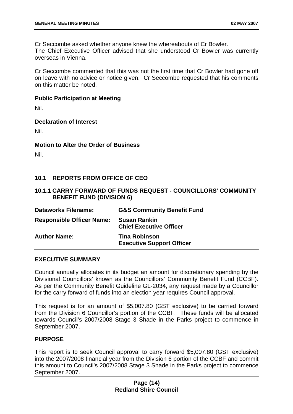<span id="page-14-0"></span>Cr Seccombe asked whether anyone knew the whereabouts of Cr Bowler. The Chief Executive Officer advised that she understood Cr Bowler was currently overseas in Vienna.

Cr Seccombe commented that this was not the first time that Cr Bowler had gone off on leave with no advice or notice given. Cr Seccombe requested that his comments on this matter be noted.

#### **Public Participation at Meeting**

Nil.

# **Declaration of Interest**

Nil.

# **Motion to Alter the Order of Business**

Nil.

# **10.1 REPORTS FROM OFFICE OF CEO**

# **10.1.1 CARRY FORWARD OF FUNDS REQUEST - COUNCILLORS' COMMUNITY BENEFIT FUND (DIVISION 6)**

| <b>Dataworks Filename:</b>       | <b>G&amp;S Community Benefit Fund</b>                    |
|----------------------------------|----------------------------------------------------------|
| <b>Responsible Officer Name:</b> | <b>Susan Rankin</b><br><b>Chief Executive Officer</b>    |
| <b>Author Name:</b>              | <b>Tina Robinson</b><br><b>Executive Support Officer</b> |

# **EXECUTIVE SUMMARY**

Council annually allocates in its budget an amount for discretionary spending by the Divisional Councillors' known as the Councillors' Community Benefit Fund (CCBF). As per the Community Benefit Guideline GL-2034, any request made by a Councillor for the carry forward of funds into an election year requires Council approval.

This request is for an amount of \$5,007.80 (GST exclusive) to be carried forward from the Division 6 Councillor's portion of the CCBF. These funds will be allocated towards Council's 2007/2008 Stage 3 Shade in the Parks project to commence in September 2007.

# **PURPOSE**

This report is to seek Council approval to carry forward \$5,007.80 (GST exclusive) into the 2007/2008 financial year from the Division 6 portion of the CCBF and commit this amount to Council's 2007/2008 Stage 3 Shade in the Parks project to commence September 2007.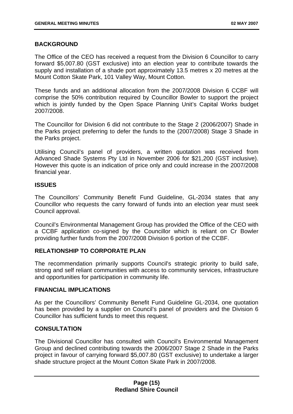# <span id="page-15-0"></span>**BACKGROUND**

The Office of the CEO has received a request from the Division 6 Councillor to carry forward \$5,007.80 (GST exclusive) into an election year to contribute towards the supply and installation of a shade port approximately 13.5 metres x 20 metres at the Mount Cotton Skate Park, 101 Valley Way, Mount Cotton.

These funds and an additional allocation from the 2007/2008 Division 6 CCBF will comprise the 50% contribution required by Councillor Bowler to support the project which is jointly funded by the Open Space Planning Unit's Capital Works budget 2007/2008.

The Councillor for Division 6 did not contribute to the Stage 2 (2006/2007) Shade in the Parks project preferring to defer the funds to the (2007/2008) Stage 3 Shade in the Parks project.

Utilising Council's panel of providers, a written quotation was received from Advanced Shade Systems Pty Ltd in November 2006 for \$21,200 (GST inclusive). However this quote is an indication of price only and could increase in the 2007/2008 financial year.

# **ISSUES**

The Councillors' Community Benefit Fund Guideline, GL-2034 states that any Councillor who requests the carry forward of funds into an election year must seek Council approval.

Council's Environmental Management Group has provided the Office of the CEO with a CCBF application co-signed by the Councillor which is reliant on Cr Bowler providing further funds from the 2007/2008 Division 6 portion of the CCBF.

# **RELATIONSHIP TO CORPORATE PLAN**

The recommendation primarily supports Council's strategic priority to build safe, strong and self reliant communities with access to community services, infrastructure and opportunities for participation in community life.

# **FINANCIAL IMPLICATIONS**

As per the Councillors' Community Benefit Fund Guideline GL-2034, one quotation has been provided by a supplier on Council's panel of providers and the Division 6 Councillor has sufficient funds to meet this request.

# **CONSULTATION**

The Divisional Councillor has consulted with Council's Environmental Management Group and declined contributing towards the 2006/2007 Stage 2 Shade in the Parks project in favour of carrying forward \$5,007.80 (GST exclusive) to undertake a larger shade structure project at the Mount Cotton Skate Park in 2007/2008.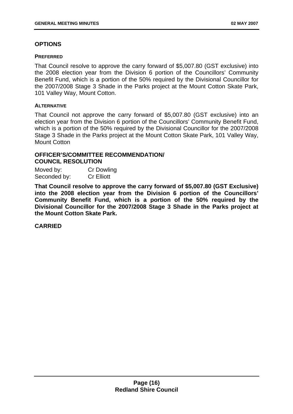# **OPTIONS**

#### **PREFERRED**

That Council resolve to approve the carry forward of \$5,007.80 (GST exclusive) into the 2008 election year from the Division 6 portion of the Councillors' Community Benefit Fund, which is a portion of the 50% required by the Divisional Councillor for the 2007/2008 Stage 3 Shade in the Parks project at the Mount Cotton Skate Park, 101 Valley Way, Mount Cotton.

# **ALTERNATIVE**

That Council not approve the carry forward of \$5,007.80 (GST exclusive) into an election year from the Division 6 portion of the Councillors' Community Benefit Fund, which is a portion of the 50% required by the Divisional Councillor for the 2007/2008 Stage 3 Shade in the Parks project at the Mount Cotton Skate Park, 101 Valley Way, Mount Cotton

# **OFFICER'S/COMMITTEE RECOMMENDATION/ COUNCIL RESOLUTION**

Moved by: Cr Dowling Seconded by: Cr Elliott

**That Council resolve to approve the carry forward of \$5,007.80 (GST Exclusive) into the 2008 election year from the Division 6 portion of the Councillors' Community Benefit Fund, which is a portion of the 50% required by the Divisional Councillor for the 2007/2008 Stage 3 Shade in the Parks project at the Mount Cotton Skate Park.**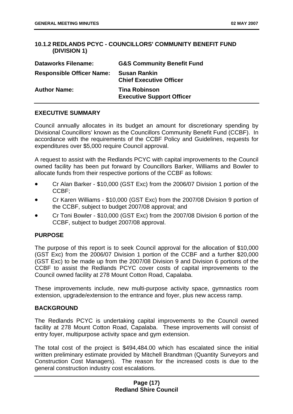# **10.1.2 REDLANDS PCYC - COUNCILLORS' COMMUNITY BENEFIT FUND (DIVISION 1)**

| <b>Dataworks Filename:</b>       | <b>G&amp;S Community Benefit Fund</b>                    |
|----------------------------------|----------------------------------------------------------|
| <b>Responsible Officer Name:</b> | <b>Susan Rankin</b><br><b>Chief Executive Officer</b>    |
| <b>Author Name:</b>              | <b>Tina Robinson</b><br><b>Executive Support Officer</b> |

# **EXECUTIVE SUMMARY**

Council annually allocates in its budget an amount for discretionary spending by Divisional Councillors' known as the Councillors Community Benefit Fund (CCBF). In accordance with the requirements of the CCBF Policy and Guidelines, requests for expenditures over \$5,000 require Council approval.

A request to assist with the Redlands PCYC with capital improvements to the Council owned facility has been put forward by Councillors Barker, Williams and Bowler to allocate funds from their respective portions of the CCBF as follows:

- Cr Alan Barker - \$10,000 (GST Exc) from the 2006/07 Division 1 portion of the CCBF;
- Cr Karen Williams - \$10,000 (GST Exc) from the 2007/08 Division 9 portion of the CCBF, subject to budget 2007/08 approval; and
- Cr Toni Bowler - \$10,000 (GST Exc) from the 2007/08 Division 6 portion of the CCBF, subject to budget 2007/08 approval.

# **PURPOSE**

The purpose of this report is to seek Council approval for the allocation of \$10,000 (GST Exc) from the 2006/07 Division 1 portion of the CCBF and a further \$20,000 (GST Exc) to be made up from the 2007/08 Division 9 and Division 6 portions of the CCBF to assist the Redlands PCYC cover costs of capital improvements to the Council owned facility at 278 Mount Cotton Road, Capalaba.

These improvements include, new multi-purpose activity space, gymnastics room extension, upgrade/extension to the entrance and foyer, plus new access ramp.

# **BACKGROUND**

The Redlands PCYC is undertaking capital improvements to the Council owned facility at 278 Mount Cotton Road, Capalaba. These improvements will consist of entry foyer, multipurpose activity space and gym extension.

The total cost of the project is \$494,484.00 which has escalated since the initial written preliminary estimate provided by Mitchell Brandtman (Quantity Surveyors and Construction Cost Managers). The reason for the increased costs is due to the general construction industry cost escalations.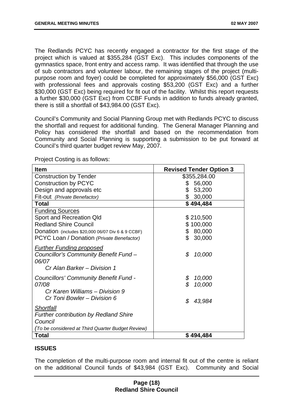<span id="page-18-0"></span>The Redlands PCYC has recently engaged a contractor for the first stage of the project which is valued at \$355,284 (GST Exc). This includes components of the gymnastics space, front entry and access ramp. It was identified that through the use of sub contractors and volunteer labour, the remaining stages of the project (multipurpose room and foyer) could be completed for approximately \$56,000 (GST Exc) with professional fees and approvals costing \$53,200 (GST Exc) and a further \$30,000 (GST Exc) being required for fit out of the facility. Whilst this report requests a further \$30,000 (GST Exc) from CCBF Funds in addition to funds already granted, there is still a shortfall of \$43,984.00 (GST Exc).

Council's Community and Social Planning Group met with Redlands PCYC to discuss the shortfall and request for additional funding. The General Manager Planning and Policy has considered the shortfall and based on the recommendation from Community and Social Planning is supporting a submission to be put forward at Council's third quarter budget review May, 2007.

| Item                                                                                                                                                                                 | <b>Revised Tender Option 3</b>                          |
|--------------------------------------------------------------------------------------------------------------------------------------------------------------------------------------|---------------------------------------------------------|
| <b>Construction by Tender</b>                                                                                                                                                        | \$355,284.00                                            |
| <b>Construction by PCYC</b>                                                                                                                                                          | 56,000<br>\$                                            |
| Design and approvals etc                                                                                                                                                             | 53,200<br>\$                                            |
| Fit-out (Private Benefactor)                                                                                                                                                         | \$<br>30,000                                            |
| <b>Total</b>                                                                                                                                                                         | \$494,484                                               |
| <b>Funding Sources</b><br>Sport and Recreation Qld<br><b>Redland Shire Council</b><br>Donation (includes \$20,000 06/07 Div 6 & 9 CCBF)<br>PCYC Loan / Donation (Private Benefactor) | \$210,500<br>\$100,000<br>80,000<br>\$<br>\$30,000      |
| <b>Further Funding proposed</b><br>Councillor's Community Benefit Fund -<br>06/07<br>Cr Alan Barker - Division 1                                                                     | \$<br>10,000                                            |
| Councillors' Community Benefit Fund -<br>07/08<br>Cr Karen Williams - Division 9<br>Cr Toni Bowler - Division 6                                                                      | \$<br>10,000<br>$\mathcal{L}$<br>10,000<br>\$<br>43,984 |
| Shortfall<br><b>Further contribution by Redland Shire</b><br>Council<br>(To be considered at Third Quarter Budget Review)<br><b>Total</b>                                            | \$494,484                                               |

Project Costing is as follows:

# **ISSUES**

The completion of the multi-purpose room and internal fit out of the centre is reliant on the additional Council funds of \$43,984 (GST Exc). Community and Social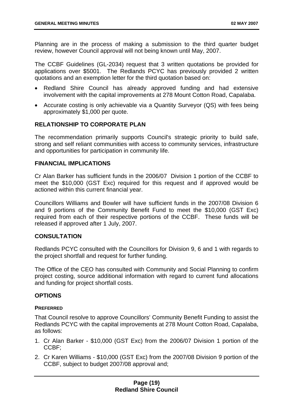Planning are in the process of making a submission to the third quarter budget review, however Council approval will not being known until May, 2007.

The CCBF Guidelines (GL-2034) request that 3 written quotations be provided for applications over \$5001. The Redlands PCYC has previously provided 2 written quotations and an exemption letter for the third quotation based on:

- Redland Shire Council has already approved funding and had extensive involvement with the capital improvements at 278 Mount Cotton Road, Capalaba.
- Accurate costing is only achievable via a Quantity Surveyor (QS) with fees being approximately \$1,000 per quote.

# **RELATIONSHIP TO CORPORATE PLAN**

The recommendation primarily supports Council's strategic priority to build safe, strong and self reliant communities with access to community services, infrastructure and opportunities for participation in community life.

# **FINANCIAL IMPLICATIONS**

Cr Alan Barker has sufficient funds in the 2006/07 Division 1 portion of the CCBF to meet the \$10,000 (GST Exc) required for this request and if approved would be actioned within this current financial year.

Councillors Williams and Bowler will have sufficient funds in the 2007/08 Division 6 and 9 portions of the Community Benefit Fund to meet the \$10,000 (GST Exc) required from each of their respective portions of the CCBF. These funds will be released if approved after 1 July, 2007.

# **CONSULTATION**

Redlands PCYC consulted with the Councillors for Division 9, 6 and 1 with regards to the project shortfall and request for further funding.

The Office of the CEO has consulted with Community and Social Planning to confirm project costing, source additional information with regard to current fund allocations and funding for project shortfall costs.

# **OPTIONS**

# **PREFERRED**

That Council resolve to approve Councillors' Community Benefit Funding to assist the Redlands PCYC with the capital improvements at 278 Mount Cotton Road, Capalaba, as follows:

- 1. Cr Alan Barker \$10,000 (GST Exc) from the 2006/07 Division 1 portion of the CCBF;
- 2. Cr Karen Williams \$10,000 (GST Exc) from the 2007/08 Division 9 portion of the CCBF, subject to budget 2007/08 approval and;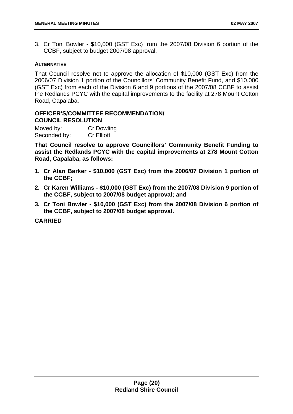3. Cr Toni Bowler - \$10,000 (GST Exc) from the 2007/08 Division 6 portion of the CCBF, subject to budget 2007/08 approval.

# **ALTERNATIVE**

That Council resolve not to approve the allocation of \$10,000 (GST Exc) from the 2006/07 Division 1 portion of the Councillors' Community Benefit Fund, and \$10,000 (GST Exc) from each of the Division 6 and 9 portions of the 2007/08 CCBF to assist the Redlands PCYC with the capital improvements to the facility at 278 Mount Cotton Road, Capalaba.

# **OFFICER'S/COMMITTEE RECOMMENDATION/ COUNCIL RESOLUTION**

Moved by: Cr Dowling Seconded by: Cr Elliott

**That Council resolve to approve Councillors' Community Benefit Funding to assist the Redlands PCYC with the capital improvements at 278 Mount Cotton Road, Capalaba, as follows:** 

- **1. Cr Alan Barker \$10,000 (GST Exc) from the 2006/07 Division 1 portion of the CCBF;**
- **2. Cr Karen Williams \$10,000 (GST Exc) from the 2007/08 Division 9 portion of the CCBF, subject to 2007/08 budget approval; and**
- **3. Cr Toni Bowler \$10,000 (GST Exc) from the 2007/08 Division 6 portion of the CCBF, subject to 2007/08 budget approval.**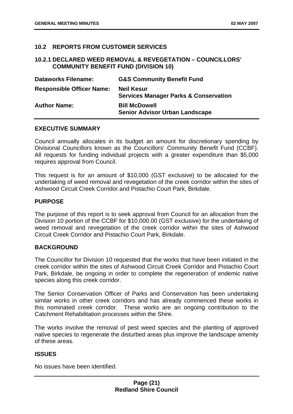# **10.2 REPORTS FROM CUSTOMER SERVICES**

# **10.2.1 DECLARED WEED REMOVAL & REVEGETATION – COUNCILLORS' COMMUNITY BENEFIT FUND (DIVISION 10)**

| <b>Dataworks Filename:</b>       | <b>G&amp;S Community Benefit Fund</b>                                 |
|----------------------------------|-----------------------------------------------------------------------|
| <b>Responsible Officer Name:</b> | <b>Neil Kesur</b><br><b>Services Manager Parks &amp; Conservation</b> |
| <b>Author Name:</b>              | <b>Bill McDowell</b><br><b>Senior Advisor Urban Landscape</b>         |

# **EXECUTIVE SUMMARY**

Council annually allocates in its budget an amount for discretionary spending by Divisional Councillors known as the Councillors' Community Benefit Fund (CCBF). All requests for funding individual projects with a greater expenditure than \$5,000 requires approval from Council.

This request is for an amount of \$10,000 (GST exclusive) to be allocated for the undertaking of weed removal and revegetation of the creek corridor within the sites of Ashwood Circuit Creek Corridor and Pistachio Court Park, Birkdale.

# **PURPOSE**

The purpose of this report is to seek approval from Council for an allocation from the Division 10 portion of the CCBF for \$10,000.00 (GST exclusive) for the undertaking of weed removal and revegetation of the creek corridor within the sites of Ashwood Circuit Creek Corridor and Pistachio Court Park, Birkdale.

# **BACKGROUND**

The Councillor for Division 10 requested that the works that have been initiated in the creek corridor within the sites of Ashwood Circuit Creek Corridor and Pistachio Court Park, Birkdale, be ongoing in order to complete the regeneration of endemic native species along this creek corridor.

The Senior Conservation Officer of Parks and Conservation has been undertaking similar works in other creek corridors and has already commenced these works in this nominated creek corridor. These works are an ongoing contribution to the Catchment Rehabilitation processes within the Shire.

The works involve the removal of pest weed species and the planting of approved native species to regenerate the disturbed areas plus improve the landscape amenity of these areas.

# **ISSUES**

No issues have been identified.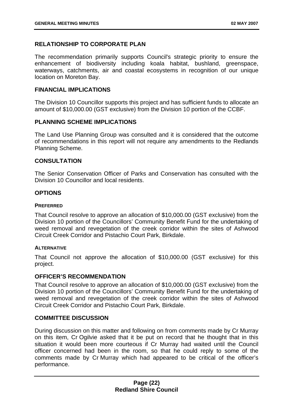# <span id="page-22-0"></span>**RELATIONSHIP TO CORPORATE PLAN**

The recommendation primarily supports Council's strategic priority to ensure the enhancement of biodiversity including koala habitat, bushland, greenspace, waterways, catchments, air and coastal ecosystems in recognition of our unique location on Moreton Bay.

# **FINANCIAL IMPLICATIONS**

The Division 10 Councillor supports this project and has sufficient funds to allocate an amount of \$10,000.00 (GST exclusive) from the Division 10 portion of the CCBF.

# **PLANNING SCHEME IMPLICATIONS**

The Land Use Planning Group was consulted and it is considered that the outcome of recommendations in this report will not require any amendments to the Redlands Planning Scheme.

# **CONSULTATION**

The Senior Conservation Officer of Parks and Conservation has consulted with the Division 10 Councillor and local residents.

# **OPTIONS**

# **PREFERRED**

That Council resolve to approve an allocation of \$10,000.00 (GST exclusive) from the Division 10 portion of the Councillors' Community Benefit Fund for the undertaking of weed removal and revegetation of the creek corridor within the sites of Ashwood Circuit Creek Corridor and Pistachio Court Park, Birkdale.

# **ALTERNATIVE**

That Council not approve the allocation of \$10,000.00 (GST exclusive) for this project.

# **OFFICER'S RECOMMENDATION**

That Council resolve to approve an allocation of \$10,000.00 (GST exclusive) from the Division 10 portion of the Councillors' Community Benefit Fund for the undertaking of weed removal and revegetation of the creek corridor within the sites of Ashwood Circuit Creek Corridor and Pistachio Court Park, Birkdale.

# **COMMITTEE DISCUSSION**

During discussion on this matter and following on from comments made by Cr Murray on this item, Cr Ogilvie asked that it be put on record that he thought that in this situation it would been more courteous if Cr Murray had waited until the Council officer concerned had been in the room, so that he could reply to some of the comments made by Cr Murray which had appeared to be critical of the officer's performance.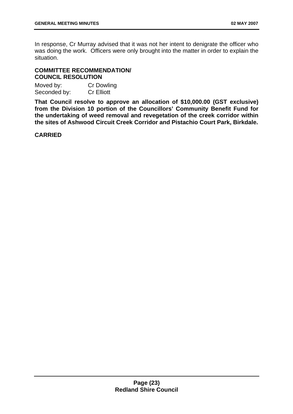In response, Cr Murray advised that it was not her intent to denigrate the officer who was doing the work. Officers were only brought into the matter in order to explain the situation.

# **COMMITTEE RECOMMENDATION/ COUNCIL RESOLUTION**

| Moved by:    | <b>Cr Dowling</b> |
|--------------|-------------------|
| Seconded by: | <b>Cr Elliott</b> |

**That Council resolve to approve an allocation of \$10,000.00 (GST exclusive) from the Division 10 portion of the Councillors' Community Benefit Fund for the undertaking of weed removal and revegetation of the creek corridor within the sites of Ashwood Circuit Creek Corridor and Pistachio Court Park, Birkdale.**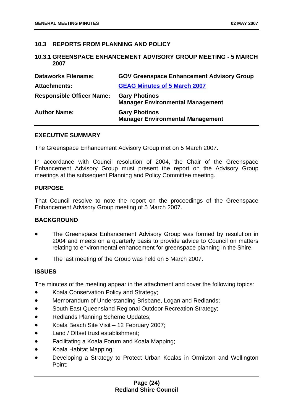# **10.3 REPORTS FROM PLANNING AND POLICY**

#### **10.3.1 GREENSPACE ENHANCEMENT ADVISORY GROUP MEETING - 5 MARCH 2007**

| <b>Dataworks Filename:</b>       | <b>GOV Greenspace Enhancement Advisory Group</b>                |
|----------------------------------|-----------------------------------------------------------------|
| <b>Attachments:</b>              | <b>GEAG Minutes of 5 March 2007</b>                             |
| <b>Responsible Officer Name:</b> | <b>Gary Photinos</b><br><b>Manager Environmental Management</b> |
| <b>Author Name:</b>              | <b>Gary Photinos</b><br><b>Manager Environmental Management</b> |

#### **EXECUTIVE SUMMARY**

The Greenspace Enhancement Advisory Group met on 5 March 2007.

In accordance with Council resolution of 2004, the Chair of the Greenspace Enhancement Advisory Group must present the report on the Advisory Group meetings at the subsequent Planning and Policy Committee meeting.

#### **PURPOSE**

That Council resolve to note the report on the proceedings of the Greenspace Enhancement Advisory Group meeting of 5 March 2007.

# **BACKGROUND**

- The Greenspace Enhancement Advisory Group was formed by resolution in 2004 and meets on a quarterly basis to provide advice to Council on matters relating to environmental enhancement for greenspace planning in the Shire.
- The last meeting of the Group was held on 5 March 2007.

# **ISSUES**

The minutes of the meeting appear in the attachment and cover the following topics:

- Koala Conservation Policy and Strategy;
- Memorandum of Understanding Brisbane, Logan and Redlands;
- South East Queensland Regional Outdoor Recreation Strategy;
- Redlands Planning Scheme Updates;
- Koala Beach Site Visit – 12 February 2007;
- Land / Offset trust establishment;
- Facilitating a Koala Forum and Koala Mapping;
- Koala Habitat Mapping;
- Developing a Strategy to Protect Urban Koalas in Ormiston and Wellington Point;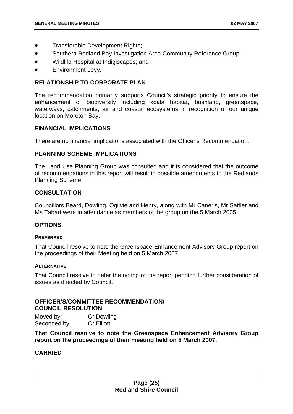- <span id="page-25-0"></span>• Transferable Development Rights;
- Southern Redland Bay Investigation Area Community Reference Group;
- Wildlife Hospital at Indigiscapes; and
- Environment Levy.

# **RELATIONSHIP TO CORPORATE PLAN**

The recommendation primarily supports Council's strategic priority to ensure the enhancement of biodiversity including koala habitat, bushland, greenspace, waterways, catchments, air and coastal ecosystems in recognition of our unique location on Moreton Bay.

# **FINANCIAL IMPLICATIONS**

There are no financial implications associated with the Officer's Recommendation.

# **PLANNING SCHEME IMPLICATIONS**

The Land Use Planning Group was consulted and it is considered that the outcome of recommendations in this report will result in possible amendments to the Redlands Planning Scheme.

# **CONSULTATION**

Councillors Beard, Dowling, Ogilvie and Henry, along with Mr Caneris, Mr Sattler and Ms Tabart were in attendance as members of the group on the 5 March 2005.

#### **OPTIONS**

#### **PREFERRED**

That Council resolve to note the Greenspace Enhancement Advisory Group report on the proceedings of their Meeting held on 5 March 2007.

#### **ALTERNATIVE**

That Council resolve to defer the noting of the report pending further consideration of issues as directed by Council.

# **OFFICER'S/COMMITTEE RECOMMENDATION/ COUNCIL RESOLUTION**

Moved by: Cr Dowling Seconded by: Cr Elliott

**That Council resolve to note the Greenspace Enhancement Advisory Group report on the proceedings of their meeting held on 5 March 2007.**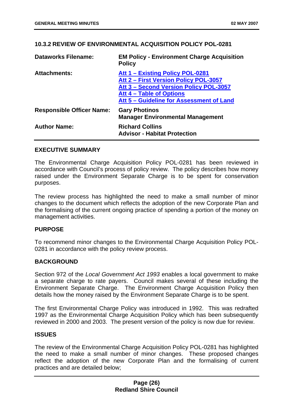# **10.3.2 REVIEW OF ENVIRONMENTAL ACQUISITION POLICY POL-0281**

| <b>Dataworks Filename:</b>       | <b>EM Policy - Environment Charge Acquisition</b><br><b>Policy</b>                                                  |
|----------------------------------|---------------------------------------------------------------------------------------------------------------------|
| <b>Attachments:</b>              | Att 1 – Existing Policy POL-0281<br>Att 2 - First Version Policy POL-3057<br>Att 3 - Second Version Policy POL-3057 |
|                                  | Att 4 – Table of Options<br>Att 5 – Guideline for Assessment of Land                                                |
| <b>Responsible Officer Name:</b> | <b>Gary Photinos</b><br><b>Manager Environmental Management</b>                                                     |
| <b>Author Name:</b>              | <b>Richard Collins</b><br><b>Advisor - Habitat Protection</b>                                                       |

# **EXECUTIVE SUMMARY**

The Environmental Charge Acquisition Policy POL-0281 has been reviewed in accordance with Council's process of policy review. The policy describes how money raised under the Environment Separate Charge is to be spent for conservation purposes.

The review process has highlighted the need to make a small number of minor changes to the document which reflects the adoption of the new Corporate Plan and the formalising of the current ongoing practice of spending a portion of the money on management activities.

# **PURPOSE**

To recommend minor changes to the Environmental Charge Acquisition Policy POL-0281 in accordance with the policy review process.

# **BACKGROUND**

Section 972 of the *Local Government Act 1993* enables a local government to make a separate charge to rate payers. Council makes several of these including the Environment Separate Charge. The Environment Charge Acquisition Policy then details how the money raised by the Environment Separate Charge is to be spent.

The first Environmental Charge Policy was introduced in 1992. This was redrafted 1997 as the Environmental Charge Acquisition Policy which has been subsequently reviewed in 2000 and 2003. The present version of the policy is now due for review.

# **ISSUES**

The review of the Environmental Charge Acquisition Policy POL-0281 has highlighted the need to make a small number of minor changes. These proposed changes reflect the adoption of the new Corporate Plan and the formalising of current practices and are detailed below;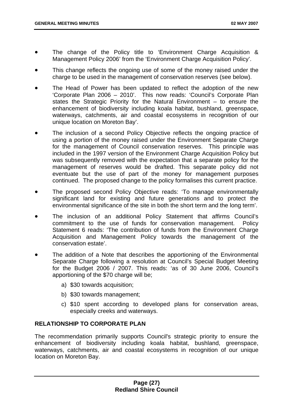- The change of the Policy title to 'Environment Charge Acquisition & Management Policy 2006' from the 'Environment Charge Acquisition Policy'.
- This change reflects the ongoing use of some of the money raised under the charge to be used in the management of conservation reserves (see below).
- The Head of Power has been updated to reflect the adoption of the new 'Corporate Plan 2006 – 2010'. This now reads: 'Council's Corporate Plan states the Strategic Priority for the Natural Environment – to ensure the enhancement of biodiversity including koala habitat, bushland, greenspace, waterways, catchments, air and coastal ecosystems in recognition of our unique location on Moreton Bay'.
- The inclusion of a second Policy Objective reflects the ongoing practice of using a portion of the money raised under the Environment Separate Charge for the management of Council conservation reserves. This principle was included in the 1997 version of the Environment Charge Acquisition Policy but was subsequently removed with the expectation that a separate policy for the management of reserves would be drafted. This separate policy did not eventuate but the use of part of the money for management purposes continued. The proposed change to the policy formalises this current practice.
- The proposed second Policy Objective reads: 'To manage environmentally significant land for existing and future generations and to protect the environmental significance of the site in both the short term and the long term'.
- The inclusion of an additional Policy Statement that affirms Council's commitment to the use of funds for conservation management. Policy Statement 6 reads: 'The contribution of funds from the Environment Charge Acquisition and Management Policy towards the management of the conservation estate'.
- The addition of a Note that describes the apportioning of the Environmental Separate Charge following a resolution at Council's Special Budget Meeting for the Budget 2006 / 2007. This reads: 'as of 30 June 2006, Council's apportioning of the \$70 charge will be;
	- a) \$30 towards acquisition;
	- b) \$30 towards management;
	- c) \$10 spent according to developed plans for conservation areas, especially creeks and waterways.

# **RELATIONSHIP TO CORPORATE PLAN**

The recommendation primarily supports Council's strategic priority to ensure the enhancement of biodiversity including koala habitat, bushland, greenspace, waterways, catchments, air and coastal ecosystems in recognition of our unique location on Moreton Bay.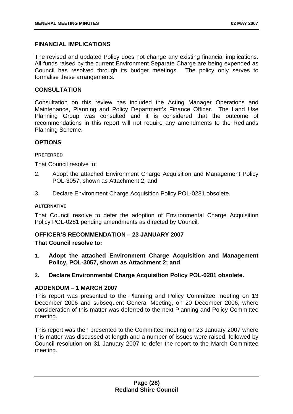# <span id="page-28-0"></span>**FINANCIAL IMPLICATIONS**

The revised and updated Policy does not change any existing financial implications. All funds raised by the current Environment Separate Charge are being expended as Council has resolved through its budget meetings. The policy only serves to formalise these arrangements.

# **CONSULTATION**

Consultation on this review has included the Acting Manager Operations and Maintenance, Planning and Policy Department's Finance Officer. The Land Use Planning Group was consulted and it is considered that the outcome of recommendations in this report will not require any amendments to the Redlands Planning Scheme.

# **OPTIONS**

# **PREFERRED**

That Council resolve to:

- 2. Adopt the attached Environment Charge Acquisition and Management Policy POL-3057, shown as Attachment 2; and
- 3. Declare Environment Charge Acquisition Policy POL-0281 obsolete.

#### **ALTERNATIVE**

That Council resolve to defer the adoption of Environmental Charge Acquisition Policy POL-0281 pending amendments as directed by Council.

# **OFFICER'S RECOMMENDATION – 23 JANUARY 2007**

# **That Council resolve to:**

- **1. Adopt the attached Environment Charge Acquisition and Management Policy, POL-3057, shown as Attachment 2; and**
- **2. Declare Environmental Charge Acquisition Policy POL-0281 obsolete.**

# **ADDENDUM – 1 MARCH 2007**

This report was presented to the Planning and Policy Committee meeting on 13 December 2006 and subsequent General Meeting, on 20 December 2006, where consideration of this matter was deferred to the next Planning and Policy Committee meeting.

This report was then presented to the Committee meeting on 23 January 2007 where this matter was discussed at length and a number of issues were raised, followed by Council resolution on 31 January 2007 to defer the report to the March Committee meeting.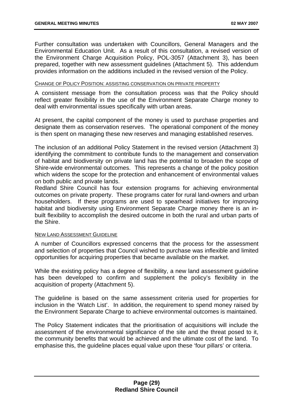Further consultation was undertaken with Councillors, General Managers and the Environmental Education Unit. As a result of this consultation, a revised version of the Environment Charge Acquisition Policy, POL-3057 (Attachment 3), has been prepared, together with new assessment guidelines (Attachment 5). This addendum provides information on the additions included in the revised version of the Policy.

# CHANGE OF POLICY POSITION: ASSISTING CONSERVATION ON PRIVATE PROPERTY

A consistent message from the consultation process was that the Policy should reflect greater flexibility in the use of the Environment Separate Charge money to deal with environmental issues specifically with urban areas.

At present, the capital component of the money is used to purchase properties and designate them as conservation reserves. The operational component of the money is then spent on managing these new reserves and managing established reserves.

The inclusion of an additional Policy Statement in the revised version (Attachment 3) identifying the commitment to contribute funds to the management and conservation of habitat and biodiversity on private land has the potential to broaden the scope of Shire-wide environmental outcomes. This represents a change of the policy position which widens the scope for the protection and enhancement of environmental values on both public and private lands.

Redland Shire Council has four extension programs for achieving environmental outcomes on private property. These programs cater for rural land-owners and urban householders. If these programs are used to spearhead initiatives for improving habitat and biodiversity using Environment Separate Charge money there is an inbuilt flexibility to accomplish the desired outcome in both the rural and urban parts of the Shire.

#### NEW LAND ASSESSMENT GUIDELINE

A number of Councillors expressed concerns that the process for the assessment and selection of properties that Council wished to purchase was inflexible and limited opportunities for acquiring properties that became available on the market.

While the existing policy has a degree of flexibility, a new land assessment guideline has been developed to confirm and supplement the policy's flexibility in the acquisition of property (Attachment 5).

The guideline is based on the same assessment criteria used for properties for inclusion in the 'Watch List'. In addition, the requirement to spend money raised by the Environment Separate Charge to achieve environmental outcomes is maintained.

The Policy Statement indicates that the prioritisation of acquisitions will include the assessment of the environmental significance of the site and the threat posed to it, the community benefits that would be achieved and the ultimate cost of the land. To emphasise this, the guideline places equal value upon these 'four pillars' or criteria.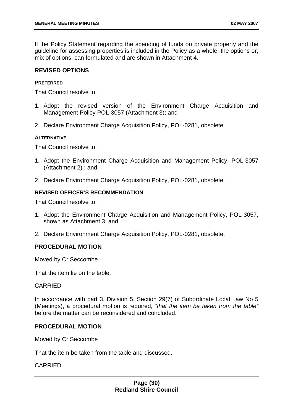If the Policy Statement regarding the spending of funds on private property and the guideline for assessing properties is included in the Policy as a whole, the options or, mix of options, can formulated and are shown in Attachment 4.

# **REVISED OPTIONS**

#### **PREFERRED**

That Council resolve to:

- 1. Adopt the revised version of the Environment Charge Acquisition and Management Policy POL-3057 (Attachment 3); and
- 2. Declare Environment Charge Acquisition Policy, POL-0281, obsolete.

#### **ALTERNATIVE**

That Council resolve to:

- 1. Adopt the Environment Charge Acquisition and Management Policy, POL-3057 (Attachment 2) ; and
- 2. Declare Environment Charge Acquisition Policy, POL-0281, obsolete.

# **REVISED OFFICER'S RECOMMENDATION**

That Council resolve to:

- 1. Adopt the Environment Charge Acquisition and Management Policy, POL-3057, shown as Attachment 3; and
- 2. Declare Environment Charge Acquisition Policy, POL-0281, obsolete.

# **PROCEDURAL MOTION**

Moved by Cr Seccombe

That the item lie on the table.

#### CARRIED

In accordance with part 3, Division 5, Section 29(7) of Subordinate Local Law No 5 (Meetings), a procedural motion is required, *"that the item be taken from the table"* before the matter can be reconsidered and concluded.

# **PROCEDURAL MOTION**

Moved by Cr Seccombe

That the item be taken from the table and discussed.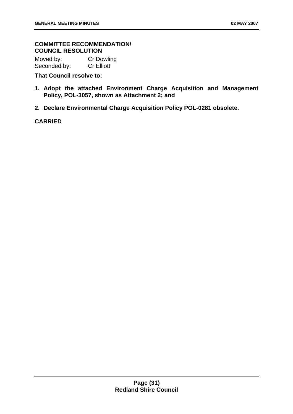# **COMMITTEE RECOMMENDATION/ COUNCIL RESOLUTION**

Moved by: Cr Dowling Seconded by: Cr Elliott

# **That Council resolve to:**

- **1. Adopt the attached Environment Charge Acquisition and Management Policy, POL-3057, shown as Attachment 2; and**
- **2. Declare Environmental Charge Acquisition Policy POL-0281 obsolete.**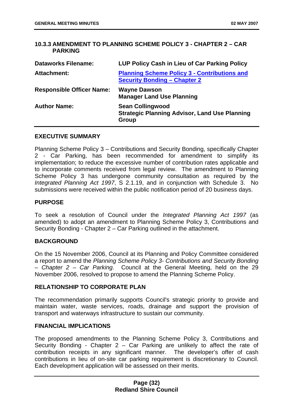# **10.3.3 AMENDMENT TO PLANNING SCHEME POLICY 3 - CHAPTER 2 – CAR PARKING**

| <b>Dataworks Filename:</b>       | LUP Policy Cash in Lieu of Car Parking Policy                                              |
|----------------------------------|--------------------------------------------------------------------------------------------|
| <b>Attachment:</b>               | <b>Planning Scheme Policy 3 - Contributions and</b><br><b>Security Bonding - Chapter 2</b> |
| <b>Responsible Officer Name:</b> | <b>Wayne Dawson</b><br><b>Manager Land Use Planning</b>                                    |
| <b>Author Name:</b>              | <b>Sean Collingwood</b><br><b>Strategic Planning Advisor, Land Use Planning</b><br>Group   |

# **EXECUTIVE SUMMARY**

Planning Scheme Policy 3 – Contributions and Security Bonding, specifically Chapter 2 - Car Parking, has been recommended for amendment to simplify its implementation; to reduce the excessive number of contribution rates applicable and to incorporate comments received from legal review. The amendment to Planning Scheme Policy 3 has undergone community consultation as required by the *Integrated Planning Act 1997*, S 2.1.19, and in conjunction with Schedule 3. No submissions were received within the public notification period of 20 business days.

# **PURPOSE**

To seek a resolution of Council under the *Integrated Planning Act 1997* (as amended) to adopt an amendment to Planning Scheme Policy 3, Contributions and Security Bonding - Chapter 2 – Car Parking outlined in the attachment.

# **BACKGROUND**

On the 15 November 2006, Council at its Planning and Policy Committee considered a report to amend the *Planning Scheme Policy 3- Contributions and Security Bonding – Chapter 2 – Car Parking*. Council at the General Meeting, held on the 29 November 2006, resolved to propose to amend the Planning Scheme Policy.

#### **RELATIONSHIP TO CORPORATE PLAN**

The recommendation primarily supports Council's strategic priority to provide and maintain water, waste services, roads, drainage and support the provision of transport and waterways infrastructure to sustain our community.

#### **FINANCIAL IMPLICATIONS**

The proposed amendments to the Planning Scheme Policy 3, Contributions and Security Bonding - Chapter 2 – Car Parking are unlikely to affect the rate of contribution receipts in any significant manner. The developer's offer of cash contributions in lieu of on-site car parking requirement is discretionary to Council. Each development application will be assessed on their merits.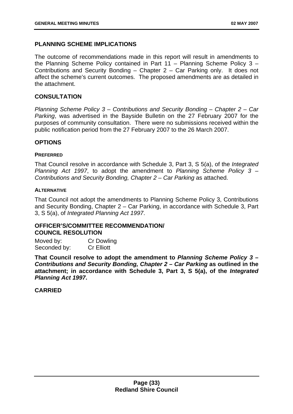# **PLANNING SCHEME IMPLICATIONS**

The outcome of recommendations made in this report will result in amendments to the Planning Scheme Policy contained in Part 11 – Planning Scheme Policy 3 – Contributions and Security Bonding – Chapter 2 – Car Parking only. It does not affect the scheme's current outcomes. The proposed amendments are as detailed in the attachment.

# **CONSULTATION**

*Planning Scheme Policy 3 – Contributions and Security Bonding – Chapter 2 – Car Parking*, was advertised in the Bayside Bulletin on the 27 February 2007 for the purposes of community consultation. There were no submissions received within the public notification period from the 27 February 2007 to the 26 March 2007.

# **OPTIONS**

#### **PREFERRED**

That Council resolve in accordance with Schedule 3, Part 3, S 5(a), of the *Integrated Planning Act 1997*, to adopt the amendment to *Planning Scheme Policy 3 – Contributions and Security Bonding, Chapter 2 – Car Parking* as attached.

#### **ALTERNATIVE**

That Council not adopt the amendments to Planning Scheme Policy 3, Contributions and Security Bonding, Chapter 2 – Car Parking, in accordance with Schedule 3, Part 3, S 5(a), of *Integrated Planning Act 1997*.

# **OFFICER'S/COMMITTEE RECOMMENDATION/ COUNCIL RESOLUTION**

| Moved by:    | <b>Cr Dowling</b> |
|--------------|-------------------|
| Seconded by: | <b>Cr Elliott</b> |

**That Council resolve to adopt the amendment to** *Planning Scheme Policy 3 – Contributions and Security Bonding, Chapter 2 – Car Parking* **as outlined in the attachment; in accordance with Schedule 3, Part 3, S 5(a), of the** *Integrated Planning Act 1997***.**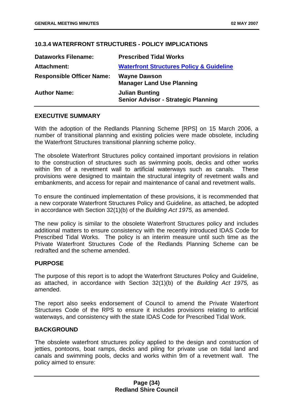# **10.3.4 WATERFRONT STRUCTURES - POLICY IMPLICATIONS**

| <b>Dataworks Filename:</b>       | <b>Prescribed Tidal Works</b>                                       |
|----------------------------------|---------------------------------------------------------------------|
| Attachment:                      | <b>Waterfront Structures Policy &amp; Guideline</b>                 |
| <b>Responsible Officer Name:</b> | <b>Wayne Dawson</b><br><b>Manager Land Use Planning</b>             |
| <b>Author Name:</b>              | <b>Julian Bunting</b><br><b>Senior Advisor - Strategic Planning</b> |

# **EXECUTIVE SUMMARY**

With the adoption of the Redlands Planning Scheme [RPS] on 15 March 2006, a number of transitional planning and existing policies were made obsolete, including the Waterfront Structures transitional planning scheme policy.

The obsolete Waterfront Structures policy contained important provisions in relation to the construction of structures such as swimming pools, decks and other works within 9m of a revetment wall to artificial waterways such as canals. These provisions were designed to maintain the structural integrity of revetment walls and embankments, and access for repair and maintenance of canal and revetment walls.

To ensure the continued implementation of these provisions, it is recommended that a new corporate Waterfront Structures Policy and Guideline, as attached, be adopted in accordance with Section 32(1)(b) of the *Building Act 1975,* as amended.

The new policy is similar to the obsolete Waterfront Structures policy and includes additional matters to ensure consistency with the recently introduced IDAS Code for Prescribed Tidal Works. The policy is an interim measure until such time as the Private Waterfront Structures Code of the Redlands Planning Scheme can be redrafted and the scheme amended.

# **PURPOSE**

The purpose of this report is to adopt the Waterfront Structures Policy and Guideline, as attached, in accordance with Section 32(1)(b) of the *Building Act 1975,* as amended.

The report also seeks endorsement of Council to amend the Private Waterfront Structures Code of the RPS to ensure it includes provisions relating to artificial waterways, and consistency with the state IDAS Code for Prescribed Tidal Work.

# **BACKGROUND**

The obsolete waterfront structures policy applied to the design and construction of jetties, pontoons, boat ramps, decks and piling for private use on tidal land and canals and swimming pools, decks and works within 9m of a revetment wall. The policy aimed to ensure: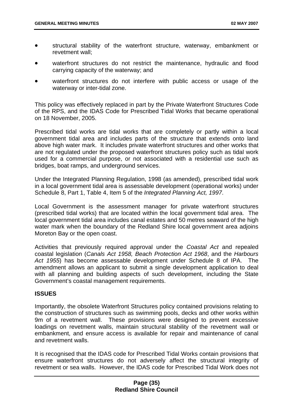- <span id="page-35-0"></span>• structural stability of the waterfront structure, waterway, embankment or revetment wall;
- waterfront structures do not restrict the maintenance, hydraulic and flood carrying capacity of the waterway; and
- waterfront structures do not interfere with public access or usage of the waterway or inter-tidal zone.

This policy was effectively replaced in part by the Private Waterfront Structures Code of the RPS, and the IDAS Code for Prescribed Tidal Works that became operational on 18 November, 2005.

Prescribed tidal works are tidal works that are completely or partly within a local government tidal area and includes parts of the structure that extends onto land above high water mark. It includes private waterfront structures and other works that are not regulated under the proposed waterfront structures policy such as tidal work used for a commercial purpose, or not associated with a residential use such as bridges, boat ramps, and underground services.

Under the Integrated Planning Regulation, 1998 (as amended), prescribed tidal work in a local government tidal area is assessable development (operational works) under Schedule 8, Part 1, Table 4, Item 5 of the *Integrated Planning Act, 1997*.

Local Government is the assessment manager for private waterfront structures (prescribed tidal works) that are located within the local government tidal area. The local government tidal area includes canal estates and 50 metres seaward of the high water mark when the boundary of the Redland Shire local government area adjoins Moreton Bay or the open coast.

Activities that previously required approval under the *Coastal Act* and repealed coastal legislation (*Canals Act 1958, Beach Protection Act 1968*, and the *Harbours Act 1955*) has become assessable development under Schedule 8 of IPA. The amendment allows an applicant to submit a single development application to deal with all planning and building aspects of such development, including the State Government's coastal management requirements.

# **ISSUES**

Importantly, the obsolete Waterfront Structures policy contained provisions relating to the construction of structures such as swimming pools, decks and other works within 9m of a revetment wall. These provisions were designed to prevent excessive loadings on revetment walls, maintain structural stability of the revetment wall or embankment, and ensure access is available for repair and maintenance of canal and revetment walls.

It is recognised that the IDAS code for Prescribed Tidal Works contain provisions that ensure waterfront structures do not adversely affect the structural integrity of revetment or sea walls. However, the IDAS code for Prescribed Tidal Work does not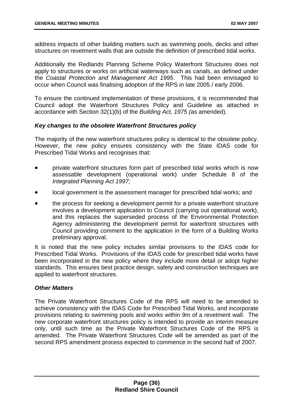address impacts of other building matters such as swimming pools, decks and other structures on revetment walls that are outside the definition of prescribed tidal works.

Additionally the Redlands Planning Scheme Policy Waterfront Structures does not apply to structures or works on artificial waterways such as canals, as defined under the *Coastal Protection and Management Act 1995*. This had been envisaged to occur when Council was finalising adoption of the RPS in late 2005 / early 2006.

To ensure the continued implementation of these provisions, it is recommended that Council adopt the Waterfront Structures Policy and Guideline as attached in accordance with Section 32(1)(b) of the *Building Act, 1975 (*as amended).

## *Key changes to the obsolete Waterfront Structures policy*

The majority of the new waterfront structures policy is identical to the obsolete policy. However, the new policy ensures consistency with the State IDAS code for Prescribed Tidal Works and recognises that:

- private waterfront structures form part of prescribed tidal works which is now assessable development (operational work) under Schedule 8 of the *Integrated Planning Act 1997;*
- local government is the assessment manager for prescribed tidal works; and
- the process for seeking a development permit for a private waterfront structure involves a development application to Council (carrying out operational work), and this replaces the superseded process of the Environmental Protection Agency administering the development permit for waterfront structures with Council providing comment to the application in the form of a Building Works preliminary approval.

It is noted that the new policy includes similar provisions to the IDAS code for Prescribed Tidal Works. Provisions of the IDAS code for prescribed tidal works have been incorporated in the new policy where they include more detail or adopt higher standards. This ensures best practice design, safety and construction techniques are applied to waterfront structures.

# *Other Matters*

The Private Waterfront Structures Code of the RPS will need to be amended to achieve consistency with the IDAS Code for Prescribed Tidal Works, and incorporate provisions relating to swimming pools and works within 9m of a revetment wall. The new corporate waterfront structures policy is intended to provide an interim measure only, until such time as the Private Waterfront Structures Code of the RPS is amended. The Private Waterfront Structures Code will be amended as part of the second RPS amendment process expected to commence in the second half of 2007.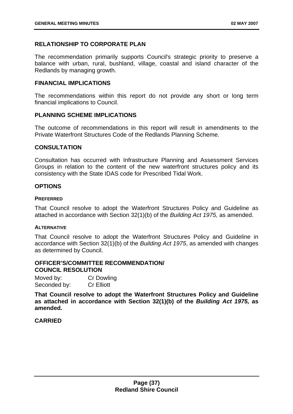## **RELATIONSHIP TO CORPORATE PLAN**

The recommendation primarily supports Council's strategic priority to preserve a balance with urban, rural, bushland, village, coastal and island character of the Redlands by managing growth.

#### **FINANCIAL IMPLICATIONS**

The recommendations within this report do not provide any short or long term financial implications to Council.

### **PLANNING SCHEME IMPLICATIONS**

The outcome of recommendations in this report will result in amendments to the Private Waterfront Structures Code of the Redlands Planning Scheme.

#### **CONSULTATION**

Consultation has occurred with Infrastructure Planning and Assessment Services Groups in relation to the content of the new waterfront structures policy and its consistency with the State IDAS code for Prescribed Tidal Work.

### **OPTIONS**

#### **PREFERRED**

That Council resolve to adopt the Waterfront Structures Policy and Guideline as attached in accordance with Section 32(1)(b) of the *Building Act 1975,* as amended.

#### **ALTERNATIVE**

That Council resolve to adopt the Waterfront Structures Policy and Guideline in accordance with Section 32(1)(b) of the *Building Act 1975*, as amended with changes as determined by Council.

#### **OFFICER'S/COMMITTEE RECOMMENDATION/ COUNCIL RESOLUTION**

| Moved by:    | <b>Cr Dowling</b> |
|--------------|-------------------|
| Seconded by: | <b>Cr Elliott</b> |

**That Council resolve to adopt the Waterfront Structures Policy and Guideline as attached in accordance with Section 32(1)(b) of the** *Building Act 1975,* **as amended.**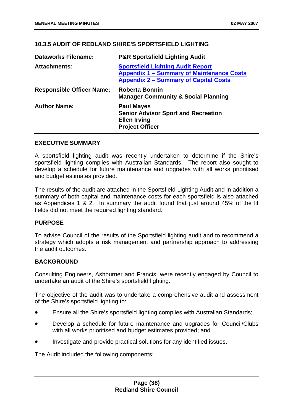# **10.3.5 AUDIT OF REDLAND SHIRE'S SPORTSFIELD LIGHTING**

| <b>Dataworks Filename:</b>       | <b>P&amp;R Sportsfield Lighting Audit</b>                                                                                                    |
|----------------------------------|----------------------------------------------------------------------------------------------------------------------------------------------|
| <b>Attachments:</b>              | <b>Sportsfield Lighting Audit Report</b><br><b>Appendix 1 - Summary of Maintenance Costs</b><br><b>Appendix 2 - Summary of Capital Costs</b> |
| <b>Responsible Officer Name:</b> | <b>Roberta Bonnin</b><br><b>Manager Community &amp; Social Planning</b>                                                                      |
| <b>Author Name:</b>              | <b>Paul Mayes</b><br><b>Senior Advisor Sport and Recreation</b><br><b>Ellen Irving</b><br><b>Project Officer</b>                             |

### **EXECUTIVE SUMMARY**

A sportsfield lighting audit was recently undertaken to determine if the Shire's sportsfield lighting complies with Australian Standards. The report also sought to develop a schedule for future maintenance and upgrades with all works prioritised and budget estimates provided.

The results of the audit are attached in the Sportsfield Lighting Audit and in addition a summary of both capital and maintenance costs for each sportsfield is also attached as Appendices 1 & 2. In summary the audit found that just around 45% of the lit fields did not meet the required lighting standard.

# **PURPOSE**

To advise Council of the results of the Sportsfield lighting audit and to recommend a strategy which adopts a risk management and partnership approach to addressing the audit outcomes.

### **BACKGROUND**

Consulting Engineers, Ashburner and Francis, were recently engaged by Council to undertake an audit of the Shire's sportsfield lighting.

The objective of the audit was to undertake a comprehensive audit and assessment of the Shire's sportsfield lighting to:

- Ensure all the Shire's sportsfield lighting complies with Australian Standards;
- Develop a schedule for future maintenance and upgrades for Council/Clubs with all works prioritised and budget estimates provided; and
- Investigate and provide practical solutions for any identified issues.

The Audit included the following components: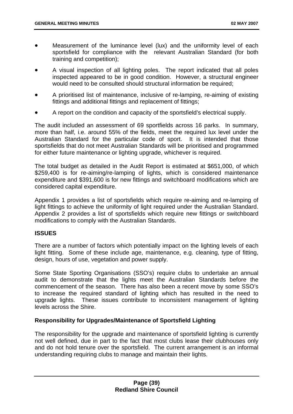- Measurement of the luminance level (lux) and the uniformity level of each sportsfield for compliance with the relevant Australian Standard (for both training and competition);
- A visual inspection of all lighting poles. The report indicated that all poles inspected appeared to be in good condition. However, a structural engineer would need to be consulted should structural information be required;
- A prioritised list of maintenance, inclusive of re-lamping, re-aiming of existing fittings and additional fittings and replacement of fittings;
- A report on the condition and capacity of the sportsfield's electrical supply.

The audit included an assessment of 69 sportfields across 16 parks. In summary, more than half, i.e. around 55% of the fields, meet the required lux level under the Australian Standard for the particular code of sport. It is intended that those sportsfields that do not meet Australian Standards will be prioritised and programmed for either future maintenance or lighting upgrade, whichever is required.

The total budget as detailed in the Audit Report is estimated at \$651,000, of which \$259,400 is for re-aiming/re-lamping of lights, which is considered maintenance expenditure and \$391,600 is for new fittings and switchboard modifications which are considered capital expenditure.

Appendix 1 provides a list of sportsfields which require re-aiming and re-lamping of light fittings to achieve the uniformity of light required under the Australian Standard. Appendix 2 provides a list of sportsfields which require new fittings or switchboard modifications to comply with the Australian Standards.

# **ISSUES**

There are a number of factors which potentially impact on the lighting levels of each light fitting. Some of these include age, maintenance, e.g. cleaning, type of fitting, design, hours of use, vegetation and power supply.

Some State Sporting Organisations (SSO's) require clubs to undertake an annual audit to demonstrate that the lights meet the Australian Standards before the commencement of the season. There has also been a recent move by some SSO's to increase the required standard of lighting which has resulted in the need to upgrade lights. These issues contribute to inconsistent management of lighting levels across the Shire.

# **Responsibility for Upgrades/Maintenance of Sportsfield Lighting**

The responsibility for the upgrade and maintenance of sportsfield lighting is currently not well defined, due in part to the fact that most clubs lease their clubhouses only and do not hold tenure over the sportsfield. The current arrangement is an informal understanding requiring clubs to manage and maintain their lights.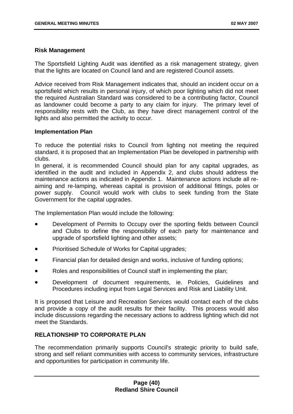### **Risk Management**

The Sportsfield Lighting Audit was identified as a risk management strategy, given that the lights are located on Council land and are registered Council assets.

Advice received from Risk Management indicates that, should an incident occur on a sportsfield which results in personal injury, of which poor lighting which did not meet the required Australian Standard was considered to be a contributing factor, Council as landowner could become a party to any claim for injury. The primary level of responsibility rests with the Club, as they have direct management control of the lights and also permitted the activity to occur.

### **Implementation Plan**

To reduce the potential risks to Council from lighting not meeting the required standard, it is proposed that an Implementation Plan be developed in partnership with clubs.

In general, it is recommended Council should plan for any capital upgrades, as identified in the audit and included in Appendix 2, and clubs should address the maintenance actions as indicated in Appendix 1. Maintenance actions include all reaiming and re-lamping, whereas capital is provision of additional fittings, poles or power supply. Council would work with clubs to seek funding from the State Government for the capital upgrades.

The Implementation Plan would include the following:

- Development of Permits to Occupy over the sporting fields between Council and Clubs to define the responsibility of each party for maintenance and upgrade of sportsfield lighting and other assets;
- Prioritised Schedule of Works for Capital upgrades;
- Financial plan for detailed design and works, inclusive of funding options;
- Roles and responsibilities of Council staff in implementing the plan;
- Development of document requirements, ie. Policies, Guidelines and Procedures including input from Legal Services and Risk and Liability Unit.

It is proposed that Leisure and Recreation Services would contact each of the clubs and provide a copy of the audit results for their facility. This process would also include discussions regarding the necessary actions to address lighting which did not meet the Standards.

# **RELATIONSHIP TO CORPORATE PLAN**

The recommendation primarily supports Council's strategic priority to build safe, strong and self reliant communities with access to community services, infrastructure and opportunities for participation in community life.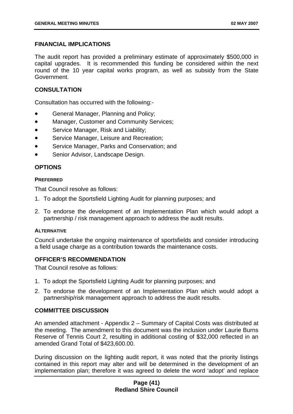# **FINANCIAL IMPLICATIONS**

The audit report has provided a preliminary estimate of approximately \$500,000 in capital upgrades. It is recommended this funding be considered within the next round of the 10 year capital works program, as well as subsidy from the State Government.

## **CONSULTATION**

Consultation has occurred with the following:-

- General Manager, Planning and Policy;
- Manager, Customer and Community Services;
- Service Manager, Risk and Liability;
- Service Manager, Leisure and Recreation;
- Service Manager, Parks and Conservation; and
- Senior Advisor, Landscape Design.

## **OPTIONS**

#### **PREFERRED**

That Council resolve as follows:

- 1. To adopt the Sportsfield Lighting Audit for planning purposes; and
- 2. To endorse the development of an Implementation Plan which would adopt a partnership / risk management approach to address the audit results.

#### **ALTERNATIVE**

Council undertake the ongoing maintenance of sportsfields and consider introducing a field usage charge as a contribution towards the maintenance costs.

### **OFFICER'S RECOMMENDATION**

That Council resolve as follows:

- 1. To adopt the Sportsfield Lighting Audit for planning purposes; and
- 2. To endorse the development of an Implementation Plan which would adopt a partnership/risk management approach to address the audit results.

### **COMMITTEE DISCUSSION**

An amended attachment - Appendix 2 – Summary of Capital Costs was distributed at the meeting. The amendment to this document was the inclusion under Laurie Burns Reserve of Tennis Court 2, resulting in additional costing of \$32,000 reflected in an amended Grand Total of \$423,600.00.

During discussion on the lighting audit report, it was noted that the priority listings contained in this report may alter and will be determined in the development of an implementation plan; therefore it was agreed to delete the word 'adopt' and replace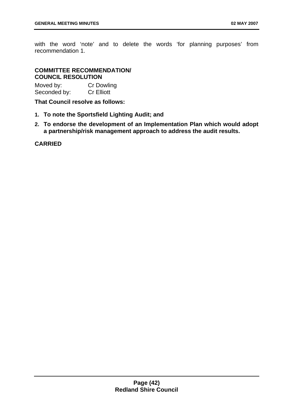with the word 'note' and to delete the words 'for planning purposes' from recommendation 1.

# **COMMITTEE RECOMMENDATION/ COUNCIL RESOLUTION**

| Moved by:    | <b>Cr Dowling</b> |
|--------------|-------------------|
| Seconded by: | <b>Cr Elliott</b> |

**That Council resolve as follows:** 

- **1. To note the Sportsfield Lighting Audit; and**
- **2. To endorse the development of an Implementation Plan which would adopt a partnership/risk management approach to address the audit results.**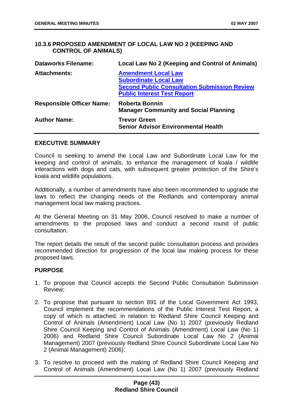# **10.3.6 PROPOSED AMENDMENT OF LOCAL LAW NO 2 (KEEPING AND CONTROL OF ANIMALS)**

| <b>Dataworks Filename:</b>       | Local Law No 2 (Keeping and Control of Animals)                                                                                                         |
|----------------------------------|---------------------------------------------------------------------------------------------------------------------------------------------------------|
| <b>Attachments:</b>              | <b>Amendment Local Law</b><br><b>Subordinate Local Law</b><br><b>Second Public Consultation Submission Review</b><br><b>Public Interest Test Report</b> |
| <b>Responsible Officer Name:</b> | <b>Roberta Bonnin</b><br><b>Manager Community and Social Planning</b>                                                                                   |
| <b>Author Name:</b>              | <b>Trevor Green</b><br><b>Senior Advisor Environmental Health</b>                                                                                       |

#### **EXECUTIVE SUMMARY**

Council is seeking to amend the Local Law and Subordinate Local Law for the keeping and control of animals, to enhance the management of koala / wildlife interactions with dogs and cats, with subsequent greater protection of the Shire's koala and wildlife populations.

Additionally, a number of amendments have also been recommended to upgrade the laws to reflect the changing needs of the Redlands and contemporary animal management local law making practices.

At the General Meeting on 31 May 2006, Council resolved to make a number of amendments to the proposed laws and conduct a second round of public consultation.

The report details the result of the second public consultation process and provides recommended direction for progression of the local law making process for these proposed laws.

### **PURPOSE**

- 1. To propose that Council accepts the Second Public Consultation Submission Review;
- 2. To propose that pursuant to section 891 of the Local Government Act 1993, Council implement the recommendations of the Public Interest Test Report, a copy of which is attached, in relation to Redland Shire Council Keeping and Control of Animals (Amendment) Local Law (No 1) 2007 (previously Redland Shire Council Keeping and Control of Animals (Amendment) Local Law (No 1) 2006) and Redland Shire Council Subordinate Local Law No 2 (Animal Management) 2007 (previously Redland Shire Council Subordinate Local Law No 2 (Animal Management) 2006);
- 3. To resolve to proceed with the making of Redland Shire Council Keeping and Control of Animals (Amendment) Local Law (No 1) 2007 (previously Redland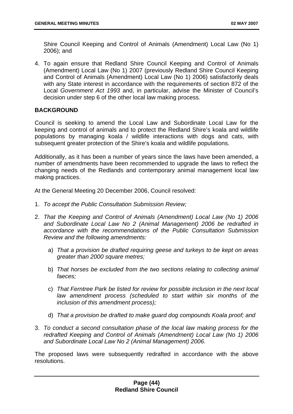Shire Council Keeping and Control of Animals (Amendment) Local Law (No 1) 2006); and

4. To again ensure that Redland Shire Council Keeping and Control of Animals (Amendment) Local Law (No 1) 2007 (previously Redland Shire Council Keeping and Control of Animals (Amendment) Local Law (No 1) 2006) satisfactorily deals with any State interest in accordance with the requirements of section 872 of the Local *Government Act 1993* and, in particular, advise the Minister of Council's decision under step 6 of the other local law making process.

## **BACKGROUND**

Council is seeking to amend the Local Law and Subordinate Local Law for the keeping and control of animals and to protect the Redland Shire's koala and wildlife populations by managing koala / wildlife interactions with dogs and cats, with subsequent greater protection of the Shire's koala and wildlife populations.

Additionally, as it has been a number of years since the laws have been amended, a number of amendments have been recommended to upgrade the laws to reflect the changing needs of the Redlands and contemporary animal management local law making practices.

At the General Meeting 20 December 2006, Council resolved:

- 1. *To accept the Public Consultation Submission Review;*
- 2. *That the Keeping and Control of Animals (Amendment) Local Law (No 1) 2006 and Subordinate Local Law No 2 (Animal Management) 2006 be redrafted in accordance with the recommendations of the Public Consultation Submission Review and the following amendments:* 
	- a) *That a provision be drafted requiring geese and turkeys to be kept on areas greater than 2000 square metres;*
	- b) That horses be excluded from the two sections relating to collecting animal *faeces;*
	- c) *That Ferntree Park be listed for review for possible inclusion in the next local law amendment process (scheduled to start within six months of the inclusion of this amendment process);*
	- d) *That a provision be drafted to make guard dog compounds Koala proof; and*
- 3. *To conduct a second consultation phase of the local law making process for the redrafted Keeping and Control of Animals (Amendment) Local Law (No 1) 2006 and Subordinate Local Law No 2 (Animal Management) 2006.*

The proposed laws were subsequently redrafted in accordance with the above resolutions.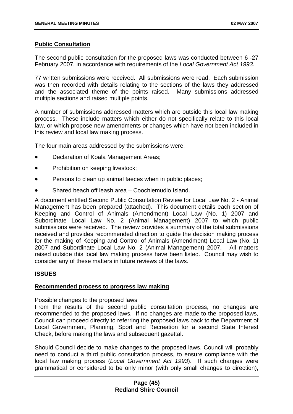### **Public Consultation**

The second public consultation for the proposed laws was conducted between 6 -27 February 2007, in accordance with requirements of the *Local Government Act 1993*.

77 written submissions were received. All submissions were read. Each submission was then recorded with details relating to the sections of the laws they addressed and the associated theme of the points raised. Many submissions addressed multiple sections and raised multiple points.

A number of submissions addressed matters which are outside this local law making process. These include matters which either do not specifically relate to this local law, or which propose new amendments or changes which have not been included in this review and local law making process.

The four main areas addressed by the submissions were:

- Declaration of Koala Management Areas;
- Prohibition on keeping livestock;
- Persons to clean up animal faeces when in public places;
- Shared beach off leash area – Coochiemudlo Island.

A document entitled Second Public Consultation Review for Local Law No. 2 - Animal Management has been prepared (attached). This document details each section of Keeping and Control of Animals (Amendment) Local Law (No. 1) 2007 and Subordinate Local Law No. 2 (Animal Management) 2007 to which public submissions were received. The review provides a summary of the total submissions received and provides recommended direction to guide the decision making process for the making of Keeping and Control of Animals (Amendment) Local Law (No. 1) 2007 and Subordinate Local Law No. 2 (Animal Management) 2007. All matters raised outside this local law making process have been listed. Council may wish to consider any of these matters in future reviews of the laws.

# **ISSUES**

### **Recommended process to progress law making**

# Possible changes to the proposed laws

From the results of the second public consultation process, no changes are recommended to the proposed laws. If no changes are made to the proposed laws, Council can proceed directly to referring the proposed laws back to the Department of Local Government, Planning, Sport and Recreation for a second State Interest Check, before making the laws and subsequent gazettal.

Should Council decide to make changes to the proposed laws, Council will probably need to conduct a third public consultation process, to ensure compliance with the local law making process (*Local Government Act 1993*). If such changes were grammatical or considered to be only minor (with only small changes to direction),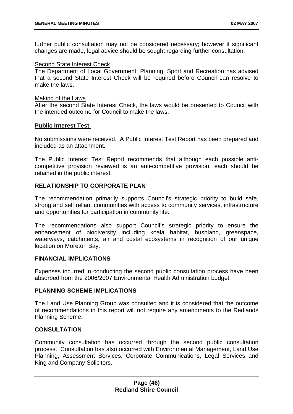further public consultation may not be considered necessary; however if significant changes are made, legal advice should be sought regarding further consultation.

### Second State Interest Check

The Department of Local Government, Planning, Sport and Recreation has advised that a second State Interest Check will be required before Council can resolve to make the laws.

#### Making of the Laws

After the second State Interest Check, the laws would be presented to Council with the intended outcome for Council to make the laws.

### **Public Interest Test**

No submissions were received. A Public Interest Test Report has been prepared and included as an attachment.

The Public Interest Test Report recommends that although each possible anticompetitive provision reviewed is an anti-competitive provision, each should be retained in the public interest.

# **RELATIONSHIP TO CORPORATE PLAN**

The recommendation primarily supports Council's strategic priority to build safe, strong and self reliant communities with access to community services, infrastructure and opportunities for participation in community life.

The recommendations also support Council's strategic priority to ensure the enhancement of biodiversity including koala habitat, bushland, greenspace, waterways, catchments, air and costal ecosystems in recognition of our unique location on Moreton Bay.

### **FINANCIAL IMPLICATIONS**

Expenses incurred in conducting the second public consultation process have been absorbed from the 2006/2007 Environmental Health Administration budget.

### **PLANNING SCHEME IMPLICATIONS**

The Land Use Planning Group was consulted and it is considered that the outcome of recommendations in this report will not require any amendments to the Redlands Planning Scheme.

# **CONSULTATION**

Community consultation has occurred through the second public consultation process. Consultation has also occurred with Environmental Management, Land Use Planning, Assessment Services, Corporate Communications, Legal Services and King and Company Solicitors.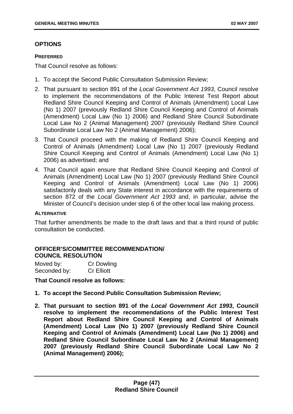# **OPTIONS**

#### **PREFERRED**

That Council resolve as follows:

- 1. To accept the Second Public Consultation Submission Review;
- 2. That pursuant to section 891 of the *Local Government Act 1993*, Council resolve to implement the recommendations of the Public Interest Test Report about Redland Shire Council Keeping and Control of Animals (Amendment) Local Law (No 1) 2007 (previously Redland Shire Council Keeping and Control of Animals (Amendment) Local Law (No 1) 2006) and Redland Shire Council Subordinate Local Law No 2 (Animal Management) 2007 (previously Redland Shire Council Subordinate Local Law No 2 (Animal Management) 2006);
- 3. That Council proceed with the making of Redland Shire Council Keeping and Control of Animals (Amendment) Local Law (No 1) 2007 (previously Redland Shire Council Keeping and Control of Animals (Amendment) Local Law (No 1) 2006) as advertised; and
- 4. That Council again ensure that Redland Shire Council Keeping and Control of Animals (Amendment) Local Law (No 1) 2007 (previously Redland Shire Council Keeping and Control of Animals (Amendment) Local Law (No 1) 2006) satisfactorily deals with any State interest in accordance with the requirements of section 872 of the *Local Government Act 1993* and, in particular, advise the Minister of Council's decision under step 6 of the other local law making process.

### **ALTERNATIVE**

That further amendments be made to the draft laws and that a third round of public consultation be conducted.

# **OFFICER'S/COMMITTEE RECOMMENDATION/ COUNCIL RESOLUTION**

| Moved by:    | <b>Cr Dowling</b> |
|--------------|-------------------|
| Seconded by: | <b>Cr Elliott</b> |

**That Council resolve as follows:** 

- **1. To accept the Second Public Consultation Submission Review;**
- **2. That pursuant to section 891 of the** *Local Government Act 1993***, Council resolve to implement the recommendations of the Public Interest Test Report about Redland Shire Council Keeping and Control of Animals (Amendment) Local Law (No 1) 2007 (previously Redland Shire Council Keeping and Control of Animals (Amendment) Local Law (No 1) 2006) and Redland Shire Council Subordinate Local Law No 2 (Animal Management) 2007 (previously Redland Shire Council Subordinate Local Law No 2 (Animal Management) 2006);**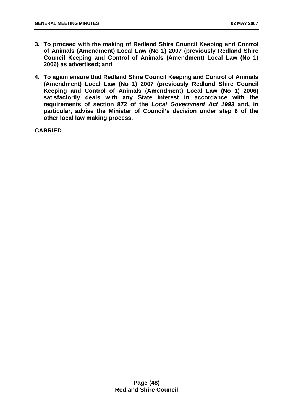- **3. To proceed with the making of Redland Shire Council Keeping and Control of Animals (Amendment) Local Law (No 1) 2007 (previously Redland Shire Council Keeping and Control of Animals (Amendment) Local Law (No 1) 2006) as advertised; and**
- **4. To again ensure that Redland Shire Council Keeping and Control of Animals (Amendment) Local Law (No 1) 2007 (previously Redland Shire Council Keeping and Control of Animals (Amendment) Local Law (No 1) 2006) satisfactorily deals with any State interest in accordance with the requirements of section 872 of the** *Local Government Act 1993* **and, in particular, advise the Minister of Council's decision under step 6 of the other local law making process.**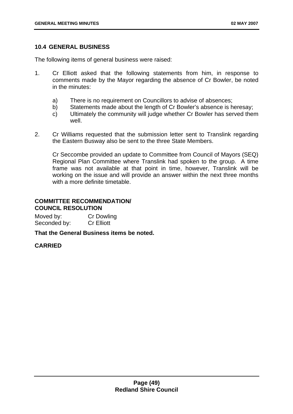### **10.4 GENERAL BUSINESS**

The following items of general business were raised:

- 1. Cr Elliott asked that the following statements from him, in response to comments made by the Mayor regarding the absence of Cr Bowler, be noted in the minutes:
	- a) There is no requirement on Councillors to advise of absences;
	- b) Statements made about the length of Cr Bowler's absence is heresay;
	- c) Ultimately the community will judge whether Cr Bowler has served them well.
- 2. Cr Williams requested that the submission letter sent to Translink regarding the Eastern Busway also be sent to the three State Members.

Cr Seccombe provided an update to Committee from Council of Mayors (SEQ) Regional Plan Committee where Translink had spoken to the group. A time frame was not available at that point in time, however, Translink will be working on the issue and will provide an answer within the next three months with a more definite timetable.

# **COMMITTEE RECOMMENDATION/ COUNCIL RESOLUTION**

| Moved by:    | <b>Cr Dowling</b> |
|--------------|-------------------|
| Seconded by: | <b>Cr Elliott</b> |

**That the General Business items be noted.**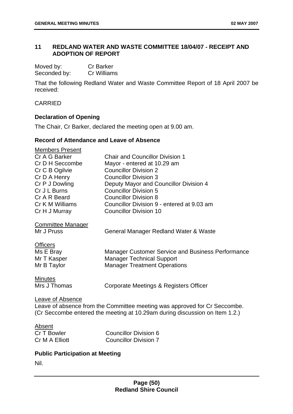# **11 REDLAND WATER AND WASTE COMMITTEE 18/04/07 - RECEIPT AND ADOPTION OF REPORT**

| Moved by:    | <b>Cr Barker</b> |
|--------------|------------------|
| Seconded by: | Cr Williams      |

That the following Redland Water and Waste Committee Report of 18 April 2007 be received:

### CARRIED

# **Declaration of Opening**

The Chair, Cr Barker, declared the meeting open at 9.00 am.

## **Record of Attendance and Leave of Absence**

| <b>Members Present</b>   |                                                                             |
|--------------------------|-----------------------------------------------------------------------------|
| Cr A G Barker            | <b>Chair and Councillor Division 1</b>                                      |
| Cr D H Seccombe          | Mayor - entered at 10.29 am                                                 |
| Cr C B Ogilvie           | <b>Councillor Division 2</b>                                                |
| Cr D A Henry             | <b>Councillor Division 3</b>                                                |
| Cr P J Dowling           | Deputy Mayor and Councillor Division 4                                      |
| Cr J L Burns             | <b>Councillor Division 5</b>                                                |
| Cr A R Beard             | <b>Councillor Division 8</b>                                                |
| Cr K M Williams          | Councillor Division 9 - entered at 9.03 am                                  |
| Cr H J Murray            | <b>Councillor Division 10</b>                                               |
| <b>Committee Manager</b> |                                                                             |
| Mr J Pruss               | General Manager Redland Water & Waste                                       |
| <b>Officers</b>          |                                                                             |
| Ms E Bray                | <b>Manager Customer Service and Business Performance</b>                    |
| Mr T Kasper              | <b>Manager Technical Support</b>                                            |
| Mr B Taylor              | <b>Manager Treatment Operations</b>                                         |
|                          |                                                                             |
| <b>Minutes</b>           |                                                                             |
| Mrs J Thomas             | Corporate Meetings & Registers Officer                                      |
|                          |                                                                             |
| Leave of Absence         |                                                                             |
|                          | Leave of absence from the Committee meeting was approved for Cr Seccombe.   |
|                          | (Cr Seccombe entered the meeting at 10.29am during discussion on Item 1.2.) |

Absent

Cr T Bowler Councillor Division 6 Cr M A Elliott Councillor Division 7

# **Public Participation at Meeting**

Nil.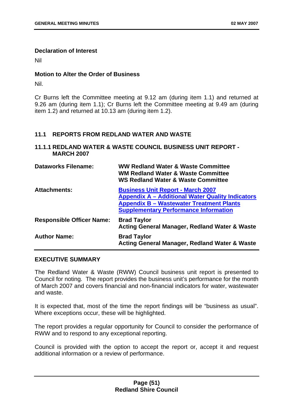### **Declaration of Interest**

Nil

# **Motion to Alter the Order of Business**

Nil.

Cr Burns left the Committee meeting at 9.12 am (during item 1.1) and returned at 9.26 am (during item 1.1); Cr Burns left the Committee meeting at 9.49 am (during item 1.2) and returned at 10.13 am (during item 1.2).

## **11.1 REPORTS FROM REDLAND WATER AND WASTE**

## **11.1.1 REDLAND WATER & WASTE COUNCIL BUSINESS UNIT REPORT - MARCH 2007**

| <b>Dataworks Filename:</b>       | <b>WW Redland Water &amp; Waste Committee</b><br><b>WM Redland Water &amp; Waste Committee</b><br><b>WS Redland Water &amp; Waste Committee</b>                                                        |
|----------------------------------|--------------------------------------------------------------------------------------------------------------------------------------------------------------------------------------------------------|
| <b>Attachments:</b>              | <b>Business Unit Report - March 2007</b><br><b>Appendix A - Additional Water Quality Indicators</b><br><b>Appendix B - Wastewater Treatment Plants</b><br><b>Supplementary Performance Information</b> |
| <b>Responsible Officer Name:</b> | <b>Brad Taylor</b><br><b>Acting General Manager, Redland Water &amp; Waste</b>                                                                                                                         |
| <b>Author Name:</b>              | <b>Brad Taylor</b><br><b>Acting General Manager, Redland Water &amp; Waste</b>                                                                                                                         |

### **EXECUTIVE SUMMARY**

The Redland Water & Waste (RWW) Council business unit report is presented to Council for noting. The report provides the business unit's performance for the month of March 2007 and covers financial and non-financial indicators for water, wastewater and waste.

It is expected that, most of the time the report findings will be "business as usual". Where exceptions occur, these will be highlighted.

The report provides a regular opportunity for Council to consider the performance of RWW and to respond to any exceptional reporting.

Council is provided with the option to accept the report or, accept it and request additional information or a review of performance.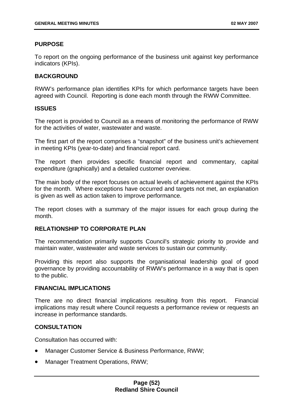### **PURPOSE**

To report on the ongoing performance of the business unit against key performance indicators (KPIs).

### **BACKGROUND**

RWW's performance plan identifies KPIs for which performance targets have been agreed with Council. Reporting is done each month through the RWW Committee.

#### **ISSUES**

The report is provided to Council as a means of monitoring the performance of RWW for the activities of water, wastewater and waste.

The first part of the report comprises a "snapshot" of the business unit's achievement in meeting KPIs (year-to-date) and financial report card.

The report then provides specific financial report and commentary, capital expenditure (graphically) and a detailed customer overview.

The main body of the report focuses on actual levels of achievement against the KPIs for the month. Where exceptions have occurred and targets not met, an explanation is given as well as action taken to improve performance.

The report closes with a summary of the major issues for each group during the month.

## **RELATIONSHIP TO CORPORATE PLAN**

The recommendation primarily supports Council's strategic priority to provide and maintain water, wastewater and waste services to sustain our community.

Providing this report also supports the organisational leadership goal of good governance by providing accountability of RWW's performance in a way that is open to the public.

### **FINANCIAL IMPLICATIONS**

There are no direct financial implications resulting from this report. Financial implications may result where Council requests a performance review or requests an increase in performance standards.

### **CONSULTATION**

Consultation has occurred with:

- Manager Customer Service & Business Performance, RWW;
- Manager Treatment Operations, RWW;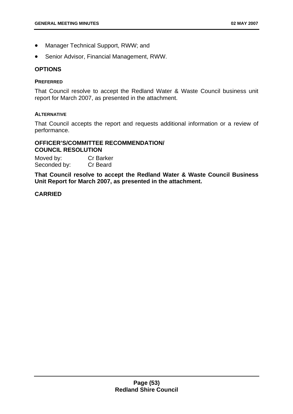- Manager Technical Support, RWW; and
- Senior Advisor, Financial Management, RWW.

### **OPTIONS**

#### **PREFERRED**

That Council resolve to accept the Redland Water & Waste Council business unit report for March 2007, as presented in the attachment.

#### **ALTERNATIVE**

That Council accepts the report and requests additional information or a review of performance.

### **OFFICER'S/COMMITTEE RECOMMENDATION/ COUNCIL RESOLUTION**

Moved by: Cr Barker Seconded by: Cr Beard

**That Council resolve to accept the Redland Water & Waste Council Business Unit Report for March 2007, as presented in the attachment.**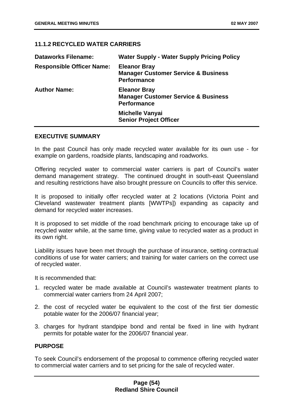# **11.1.2 RECYCLED WATER CARRIERS**

| <b>Dataworks Filename:</b>       | <b>Water Supply - Water Supply Pricing Policy</b>                                           |
|----------------------------------|---------------------------------------------------------------------------------------------|
| <b>Responsible Officer Name:</b> | <b>Eleanor Bray</b><br><b>Manager Customer Service &amp; Business</b><br><b>Performance</b> |
| <b>Author Name:</b>              | <b>Eleanor Bray</b><br><b>Manager Customer Service &amp; Business</b><br><b>Performance</b> |
|                                  | <b>Michelle Vanyai</b><br><b>Senior Project Officer</b>                                     |

### **EXECUTIVE SUMMARY**

In the past Council has only made recycled water available for its own use - for example on gardens, roadside plants, landscaping and roadworks.

Offering recycled water to commercial water carriers is part of Council's water demand management strategy. The continued drought in south-east Queensland and resulting restrictions have also brought pressure on Councils to offer this service.

It is proposed to initially offer recycled water at 2 locations (Victoria Point and Cleveland wastewater treatment plants [WWTPs]) expanding as capacity and demand for recycled water increases.

It is proposed to set middle of the road benchmark pricing to encourage take up of recycled water while, at the same time, giving value to recycled water as a product in its own right.

Liability issues have been met through the purchase of insurance, setting contractual conditions of use for water carriers; and training for water carriers on the correct use of recycled water.

It is recommended that:

- 1. recycled water be made available at Council's wastewater treatment plants to commercial water carriers from 24 April 2007;
- 2. the cost of recycled water be equivalent to the cost of the first tier domestic potable water for the 2006/07 financial year;
- 3. charges for hydrant standpipe bond and rental be fixed in line with hydrant permits for potable water for the 2006/07 financial year.

### **PURPOSE**

To seek Council's endorsement of the proposal to commence offering recycled water to commercial water carriers and to set pricing for the sale of recycled water.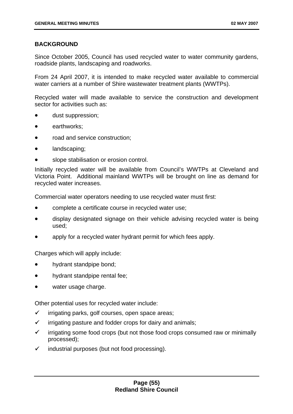# **BACKGROUND**

Since October 2005, Council has used recycled water to water community gardens, roadside plants, landscaping and roadworks.

From 24 April 2007, it is intended to make recycled water available to commercial water carriers at a number of Shire wastewater treatment plants (WWTPs).

Recycled water will made available to service the construction and development sector for activities such as:

- dust suppression;
- earthworks;
- road and service construction;
- landscaping;
- slope stabilisation or erosion control.

Initially recycled water will be available from Council's WWTPs at Cleveland and Victoria Point. Additional mainland WWTPs will be brought on line as demand for recycled water increases.

Commercial water operators needing to use recycled water must first:

- complete a certificate course in recycled water use;
- display designated signage on their vehicle advising recycled water is being used;
- apply for a recycled water hydrant permit for which fees apply.

Charges which will apply include:

- hydrant standpipe bond;
- hydrant standpipe rental fee;
- water usage charge.

Other potential uses for recycled water include:

- $\checkmark$  irrigating parks, golf courses, open space areas;
- $\checkmark$  irrigating pasture and fodder crops for dairy and animals;
- $\checkmark$  irrigating some food crops (but not those food crops consumed raw or minimally processed);
- $\checkmark$  industrial purposes (but not food processing).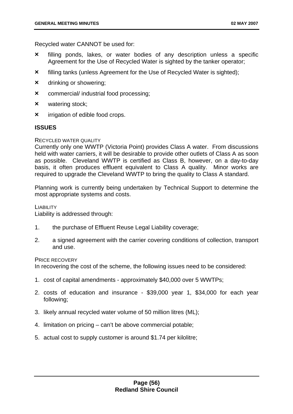Recycled water CANNOT be used for:

- **×** filling ponds, lakes, or water bodies of any description unless a specific Agreement for the Use of Recycled Water is sighted by the tanker operator;
- **×** filling tanks (unless Agreement for the Use of Recycled Water is sighted);
- **×** drinking or showering;
- **×** commercial/ industrial food processing;
- **×** watering stock;
- **×** irrigation of edible food crops.

### **ISSUES**

#### RECYCLED WATER QUALITY

basis, it often produces effluent equivalent to Class A quality. Minor works are required to upgrade the Cleveland WWTP to bring the quality to Class A standard. Currently only one WWTP (Victoria Point) provides Class A water. From discussions held with water carriers, it will be desirable to provide other outlets of Class A as soon as possible. Cleveland WWTP is certified as Class B, however, on a day-to-day

Planning work is currently being undertaken by Technical Support to determine the most appropriate systems and costs.

LIABILITY

Liability is addressed through:

- 1. the purchase of Effluent Reuse Legal Liability coverage;
- 2. a signed agreement with the carrier covering conditions of collection, transport and use.

#### PRICE RECOVERY

In recovering the cost of the scheme, the following issues need to be considered:

- 1. cost of capital amendments approximately \$40,000 over 5 WWTPs;
- 2. costs of education and insurance \$39,000 year 1, \$34,000 for each year following;
- 3. likely annual recycled water volume of 50 million litres (ML);
- 4. limitation on pricing can't be above commercial potable;
- 5. actual cost to supply customer is around \$1.74 per kilolitre;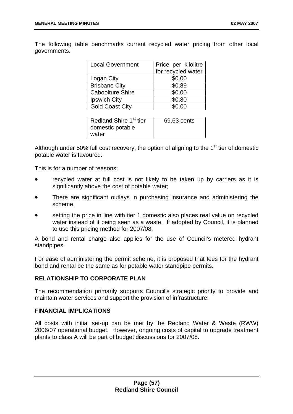The following table benchmarks current recycled water pricing from other local governments.

| <b>Local Government</b> | Price per kilolitre |
|-------------------------|---------------------|
|                         | for recycled water  |
| Logan City              | \$0.00              |
| <b>Brisbane City</b>    | \$0.89              |
| <b>Caboolture Shire</b> | \$0.00              |
| Ipswich City            | \$0.80              |
| <b>Gold Coast City</b>  | \$0.00              |
|                         |                     |

| Redland Shire 1 <sup>st</sup> tier | 69.63 cents |
|------------------------------------|-------------|
| domestic potable                   |             |
| water                              |             |

Although under 50% full cost recovery, the option of aligning to the  $1<sup>st</sup>$  tier of domestic potable water is favoured.

This is for a number of reasons:

- recycled water at full cost is not likely to be taken up by carriers as it is significantly above the cost of potable water;
- There are significant outlays in purchasing insurance and administering the scheme.
- setting the price in line with tier 1 domestic also places real value on recycled water instead of it being seen as a waste. If adopted by Council, it is planned to use this pricing method for 2007/08.

A bond and rental charge also applies for the use of Council's metered hydrant standpipes.

For ease of administering the permit scheme, it is proposed that fees for the hydrant bond and rental be the same as for potable water standpipe permits.

# **RELATIONSHIP TO CORPORATE PLAN**

The recommendation primarily supports Council's strategic priority to provide and maintain water services and support the provision of infrastructure.

# **FINANCIAL IMPLICATIONS**

All costs with initial set-up can be met by the Redland Water & Waste (RWW) 2006/07 operational budget. However, ongoing costs of capital to upgrade treatment plants to class A will be part of budget discussions for 2007/08.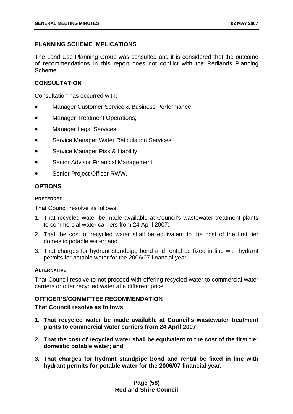# **PLANNING SCHEME IMPLICATIONS**

The Land Use Planning Group was consulted and it is considered that the outcome of recommendations in this report does not conflict with the Redlands Planning Scheme.

# **CONSULTATION**

Consultation has occurred with:

- Manager Customer Service & Business Performance;
- Manager Treatment Operations;
- Manager Legal Services;
- Service Manager Water Reticulation Services;
- Service Manager Risk & Liability;
- Senior Advisor Financial Management;
- Senior Project Officer RWW.

# **OPTIONS**

## **PREFERRED**

That Council resolve as follows:

- 1. That recycled water be made available at Council's wastewater treatment plants to commercial water carriers from 24 April 2007;
- 2. That the cost of recycled water shall be equivalent to the cost of the first tier domestic potable water; and
- 3. That charges for hydrant standpipe bond and rental be fixed in line with hydrant permits for potable water for the 2006/07 financial year.

### **ALTERNATIVE**

That Council resolve to not proceed with offering recycled water to commercial water carriers or offer recycled water at a different price.

# **OFFICER'S/COMMITTEE RECOMMENDATION**

**That Council resolve as follows:** 

- **1. That recycled water be made available at Council's wastewater treatment plants to commercial water carriers from 24 April 2007;**
- **2. That the cost of recycled water shall be equivalent to the cost of the first tier domestic potable water; and**
- **3. That charges for hydrant standpipe bond and rental be fixed in line with hydrant permits for potable water for the 2006/07 financial year.**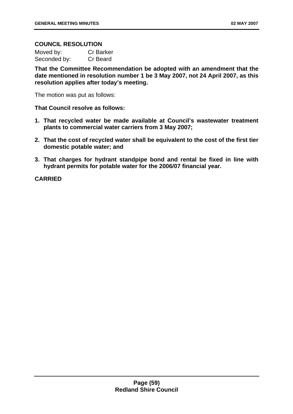### **COUNCIL RESOLUTION**

| Moved by:    | <b>Cr Barker</b> |
|--------------|------------------|
| Seconded by: | Cr Beard         |

**That the Committee Recommendation be adopted with an amendment that the date mentioned in resolution number 1 be 3 May 2007, not 24 April 2007, as this resolution applies after today's meeting.** 

The motion was put as follows:

#### **That Council resolve as follows:**

- **1. That recycled water be made available at Council's wastewater treatment plants to commercial water carriers from 3 May 2007;**
- **2. That the cost of recycled water shall be equivalent to the cost of the first tier domestic potable water; and**
- **3. That charges for hydrant standpipe bond and rental be fixed in line with hydrant permits for potable water for the 2006/07 financial year.**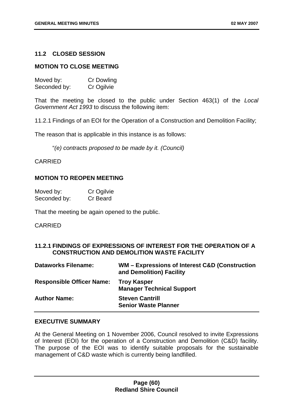### **11.2 CLOSED SESSION**

### **MOTION TO CLOSE MEETING**

| Moved by:    | <b>Cr Dowling</b> |
|--------------|-------------------|
| Seconded by: | Cr Ogilvie        |

That the meeting be closed to the public under Section 463(1) of the *Local Government Act 1993* to discuss the following item:

11.2.1 Findings of an EOI for the Operation of a Construction and Demolition Facility;

The reason that is applicable in this instance is as follows:

"*(e) contracts proposed to be made by it. (Council)* 

### CARRIED

#### **MOTION TO REOPEN MEETING**

| Moved by:    | Cr Ogilvie |
|--------------|------------|
| Seconded by: | Cr Beard   |

That the meeting be again opened to the public.

#### CARRIED

## **11.2.1 FINDINGS OF EXPRESSIONS OF INTEREST FOR THE OPERATION OF A CONSTRUCTION AND DEMOLITION WASTE FACILITY**

| <b>Dataworks Filename:</b>       | WM – Expressions of Interest C&D (Construction<br>and Demolition) Facility |
|----------------------------------|----------------------------------------------------------------------------|
| <b>Responsible Officer Name:</b> | <b>Troy Kasper</b><br><b>Manager Technical Support</b>                     |
| <b>Author Name:</b>              | <b>Steven Cantrill</b><br><b>Senior Waste Planner</b>                      |

### **EXECUTIVE SUMMARY**

At the General Meeting on 1 November 2006, Council resolved to invite Expressions of Interest (EOI) for the operation of a Construction and Demolition (C&D) facility. The purpose of the EOI was to identify suitable proposals for the sustainable management of C&D waste which is currently being landfilled.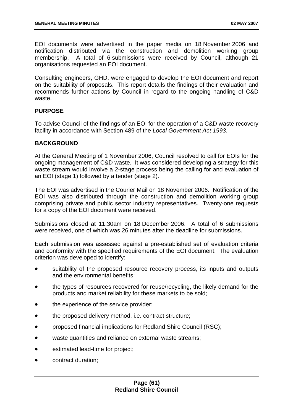EOI documents were advertised in the paper media on 18 November 2006 and notification distributed via the construction and demolition working group membership. A total of 6 submissions were received by Council, although 21 organisations requested an EOI document.

Consulting engineers, GHD, were engaged to develop the EOI document and report on the suitability of proposals. This report details the findings of their evaluation and recommends further actions by Council in regard to the ongoing handling of C&D waste.

## **PURPOSE**

To advise Council of the findings of an EOI for the operation of a C&D waste recovery facility in accordance with Section 489 of the *Local Government Act 1993*.

### **BACKGROUND**

At the General Meeting of 1 November 2006, Council resolved to call for EOIs for the ongoing management of C&D waste. It was considered developing a strategy for this waste stream would involve a 2-stage process being the calling for and evaluation of an EOI (stage 1) followed by a tender (stage 2).

The EOI was advertised in the Courier Mail on 18 November 2006. Notification of the EOI was also distributed through the construction and demolition working group comprising private and public sector industry representatives. Twenty-one requests for a copy of the EOI document were received.

Submissions closed at 11.30am on 18 December 2006. A total of 6 submissions were received, one of which was 26 minutes after the deadline for submissions.

Each submission was assessed against a pre-established set of evaluation criteria and conformity with the specified requirements of the EOI document. The evaluation criterion was developed to identify:

- suitability of the proposed resource recovery process, its inputs and outputs and the environmental benefits;
- the types of resources recovered for reuse/recycling, the likely demand for the products and market reliability for these markets to be sold;
- the experience of the service provider;
- the proposed delivery method, i.e. contract structure;
- proposed financial implications for Redland Shire Council (RSC);
- waste quantities and reliance on external waste streams;
- estimated lead-time for project;
- contract duration;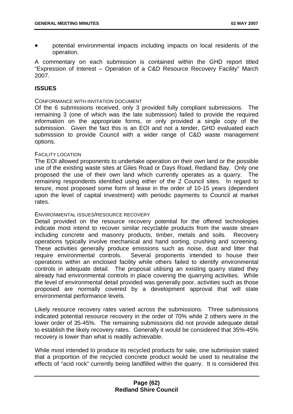• potential environmental impacts including impacts on local residents of the operation.

A commentary on each submission is contained within the GHD report titled "Expression of Interest – Operation of a C&D Resource Recovery Facility" March 2007.

## **ISSUES**

#### CONFORMANCE WITH INVITATION DOCUMENT

Of the 6 submissions received, only 3 provided fully compliant submissions. The remaining 3 (one of which was the late submission) failed to provide the required information on the appropriate forms, or only provided a single copy of the submission. Given the fact this is an EOI and not a tender, GHD evaluated each submission to provide Council with a wider range of C&D waste management options.

#### FACILITY LOCATION

The EOI allowed proponents to undertake operation on their own land or the possible use of the existing waste sites at Giles Road or Days Road, Redland Bay. Only one proposed the use of their own land which currently operates as a quarry. The remaining respondents identified using either of the 2 Council sites. In regard to tenure, most proposed some form of lease in the order of 10-15 years (dependent upon the level of capital investment) with periodic payments to Council at market rates.

#### ENVIRONMENTAL ISSUES/RESOURCE RECOVERY

Detail provided on the resource recovery potential for the offered technologies indicate most intend to recover similar recyclable products from the waste stream including concrete and masonry products, timber, metals and soils. Recovery operations typically involve mechanical and hand sorting, crushing and screening. These activities generally produce emissions such as noise, dust and litter that require environmental controls. Several proponents intended to house their operations within an enclosed facility while others failed to identify environmental controls in adequate detail. The proposal utilising an existing quarry stated they already had environmental controls in place covering the quarrying activities. While the level of environmental detail provided was generally poor, activities such as those proposed are normally covered by a development approval that will state environmental performance levels.

Likely resource recovery rates varied across the submissions. Three submissions indicated potential resource recovery in the order of 70% while 2 others were in the lower order of 35-45%. The remaining submissions did not provide adequate detail to establish the likely recovery rates. Generally it would be considered that 35%-45% recovery is lower than what is readily achievable.

While most intended to produce its recycled products for sale, one submission stated that a proportion of the recycled concrete product would be used to neutralise the effects of "acid rock" currently being landfilled within the quarry. It is considered this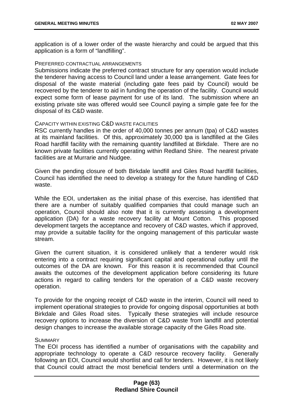application is of a lower order of the waste hierarchy and could be argued that this application is a form of "landfilling".

#### PREFERRED CONTRACTUAL ARRANGEMENTS

Submissions indicate the preferred contract structure for any operation would include the tenderer having access to Council land under a lease arrangement. Gate fees for disposal of the waste material (including gate fees paid by Council) would be recovered by the tenderer to aid in funding the operation of the facility. Council would expect some form of lease payment for use of its land. The submission where an existing private site was offered would see Council paying a simple gate fee for the disposal of its C&D waste.

#### CAPACITY WITHIN EXISTING C&D WASTE FACILITIES

RSC currently handles in the order of 40,000 tonnes per annum (tpa) of C&D wastes at its mainland facilities. Of this, approximately 30,000 tpa is landfilled at the Giles Road hardfill facility with the remaining quantity landfilled at Birkdale. There are no known private facilities currently operating within Redland Shire. The nearest private facilities are at Murrarie and Nudgee.

Given the pending closure of both Birkdale landfill and Giles Road hardfill facilities, Council has identified the need to develop a strategy for the future handling of C&D waste.

While the EOI, undertaken as the initial phase of this exercise, has identified that there are a number of suitably qualified companies that could manage such an operation, Council should also note that it is currently assessing a development application (DA) for a waste recovery facility at Mount Cotton. This proposed development targets the acceptance and recovery of C&D wastes, which if approved, may provide a suitable facility for the ongoing management of this particular waste stream.

Given the current situation, it is considered unlikely that a tenderer would risk entering into a contract requiring significant capital and operational outlay until the outcomes of the DA are known. For this reason it is recommended that Council awaits the outcomes of the development application before considering its future actions in regard to calling tenders for the operation of a C&D waste recovery operation.

To provide for the ongoing receipt of C&D waste in the interim, Council will need to implement operational strategies to provide for ongoing disposal opportunities at both Birkdale and Giles Road sites. Typically these strategies will include resource recovery options to increase the diversion of C&D waste from landfill and potential design changes to increase the available storage capacity of the Giles Road site.

### **SUMMARY**

The EOI process has identified a number of organisations with the capability and appropriate technology to operate a C&D resource recovery facility. Generally following an EOI, Council would shortlist and call for tenders. However, it is not likely that Council could attract the most beneficial tenders until a determination on the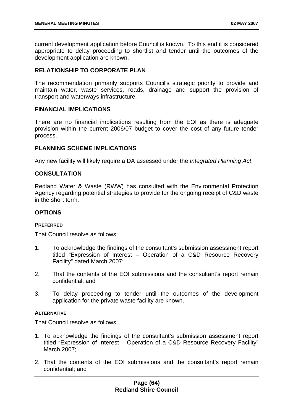current development application before Council is known. To this end it is considered appropriate to delay proceeding to shortlist and tender until the outcomes of the development application are known.

## **RELATIONSHIP TO CORPORATE PLAN**

The recommendation primarily supports Council's strategic priority to provide and maintain water, waste services, roads, drainage and support the provision of transport and waterways infrastructure.

### **FINANCIAL IMPLICATIONS**

There are no financial implications resulting from the EOI as there is adequate provision within the current 2006/07 budget to cover the cost of any future tender process.

#### **PLANNING SCHEME IMPLICATIONS**

Any new facility will likely require a DA assessed under the *Integrated Planning Act*.

### **CONSULTATION**

Redland Water & Waste (RWW) has consulted with the Environmental Protection Agency regarding potential strategies to provide for the ongoing receipt of C&D waste in the short term.

## **OPTIONS**

#### **PREFERRED**

That Council resolve as follows:

- 1. To acknowledge the findings of the consultant's submission assessment report titled "Expression of Interest – Operation of a C&D Resource Recovery Facility" dated March 2007;
- 2. That the contents of the EOI submissions and the consultant's report remain confidential; and
- 3. To delay proceeding to tender until the outcomes of the development application for the private waste facility are known.

#### **ALTERNATIVE**

That Council resolve as follows:

- 1. To acknowledge the findings of the consultant's submission assessment report titled "Expression of Interest – Operation of a C&D Resource Recovery Facility" March 2007;
- 2. That the contents of the EOI submissions and the consultant's report remain confidential; and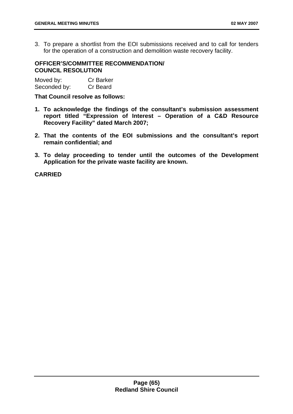3. To prepare a shortlist from the EOI submissions received and to call for tenders for the operation of a construction and demolition waste recovery facility.

# **OFFICER'S/COMMITTEE RECOMMENDATION/ COUNCIL RESOLUTION**

| Moved by:    | <b>Cr Barker</b> |
|--------------|------------------|
| Seconded by: | Cr Beard         |

**That Council resolve as follows:** 

- **1. To acknowledge the findings of the consultant's submission assessment report titled "Expression of Interest – Operation of a C&D Resource Recovery Facility" dated March 2007;**
- **2. That the contents of the EOI submissions and the consultant's report remain confidential; and**
- **3. To delay proceeding to tender until the outcomes of the Development Application for the private waste facility are known.**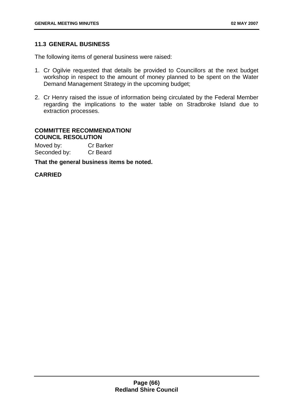# **11.3 GENERAL BUSINESS**

The following items of general business were raised:

- 1. Cr Ogilvie requested that details be provided to Councillors at the next budget workshop in respect to the amount of money planned to be spent on the Water Demand Management Strategy in the upcoming budget;
- 2. Cr Henry raised the issue of information being circulated by the Federal Member regarding the implications to the water table on Stradbroke Island due to extraction processes.

#### **COMMITTEE RECOMMENDATION/ COUNCIL RESOLUTION**

| Moved by:    | <b>Cr Barker</b> |
|--------------|------------------|
| Seconded by: | Cr Beard         |

**That the general business items be noted.**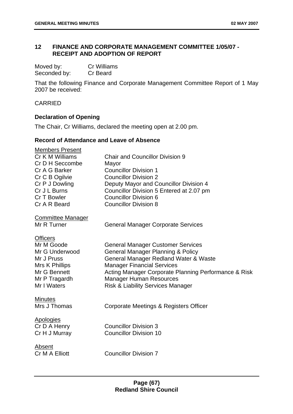# **12 FINANCE AND CORPORATE MANAGEMENT COMMITTEE 1/05/07 - RECEIPT AND ADOPTION OF REPORT**

| Moved by:    | Cr Williams |
|--------------|-------------|
| Seconded by: | Cr Beard    |

That the following Finance and Corporate Management Committee Report of 1 May 2007 be received:

CARRIED

# **Declaration of Opening**

The Chair, Cr Williams, declared the meeting open at 2.00 pm.

# **Record of Attendance and Leave of Absence**

| <b>Members Present</b>   |                                                      |
|--------------------------|------------------------------------------------------|
| Cr K M Williams          | <b>Chair and Councillor Division 9</b>               |
| Cr D H Seccombe          | Mayor                                                |
| Cr A G Barker            | <b>Councillor Division 1</b>                         |
| Cr C B Ogilvie           | <b>Councillor Division 2</b>                         |
| Cr P J Dowling           | Deputy Mayor and Councillor Division 4               |
| Cr J L Burns             | Councillor Division 5 Entered at 2.07 pm             |
| Cr T Bowler              | <b>Councillor Division 6</b>                         |
| Cr A R Beard             | <b>Councillor Division 8</b>                         |
| <b>Committee Manager</b> |                                                      |
| Mr R Turner              | <b>General Manager Corporate Services</b>            |
| <b>Officers</b>          |                                                      |
| Mr M Goode               | <b>General Manager Customer Services</b>             |
| Mr G Underwood           | <b>General Manager Planning &amp; Policy</b>         |
| Mr J Pruss               | General Manager Redland Water & Waste                |
| Mrs K Phillips           | <b>Manager Financial Services</b>                    |
| Mr G Bennett             | Acting Manager Corporate Planning Performance & Risk |
| Mr P Tragardh            | <b>Manager Human Resources</b>                       |
| Mr I Waters              | <b>Risk &amp; Liability Services Manager</b>         |
| <b>Minutes</b>           |                                                      |
| Mrs J Thomas             | Corporate Meetings & Registers Officer               |
| <b>Apologies</b>         |                                                      |
| Cr D A Henry             | <b>Councillor Division 3</b>                         |
| Cr H J Murray            | <b>Councillor Division 10</b>                        |
| Absent                   |                                                      |
| Cr M A Elliott           | <b>Councillor Division 7</b>                         |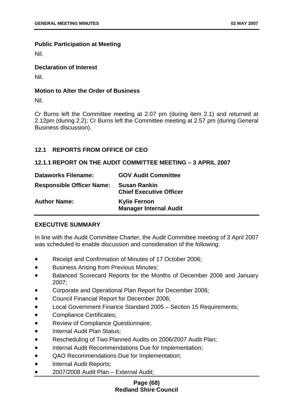## **Public Participation at Meeting**

Nil.

# **Declaration of Interest**

Nil.

## **Motion to Alter the Order of Business**

Nil.

Cr Burns left the Committee meeting at 2.07 pm (during item 2.1) and returned at 2.12pm (during 2.2); Cr Burns left the Committee meeting at 2.57 pm (during General Business discussion).

# **12.1 REPORTS FROM OFFICE OF CEO**

## **12.1.1 REPORT ON THE AUDIT COMMITTEE MEETING – 3 APRIL 2007**

| <b>Dataworks Filename:</b>       | <b>GOV Audit Committee</b>                            |
|----------------------------------|-------------------------------------------------------|
| <b>Responsible Officer Name:</b> | <b>Susan Rankin</b><br><b>Chief Executive Officer</b> |
| <b>Author Name:</b>              | <b>Kylie Fernon</b><br><b>Manager Internal Audit</b>  |

# **EXECUTIVE SUMMARY**

In line with the Audit Committee Charter, the Audit Committee meeting of 3 April 2007 was scheduled to enable discussion and consideration of the following:

- Receipt and Confirmation of Minutes of 17 October 2006;
- Business Arising from Previous Minutes;
- Balanced Scorecard Reports for the Months of December 2006 and January 2007;
- Corporate and Operational Plan Report for December 2006;
- Council Financial Report for December 2006;
- Local Government Finance Standard 2005 – Section 15 Requirements;
- Compliance Certificates;
- Review of Compliance Questionnaire;
- Internal Audit Plan Status;
- Rescheduling of Two Planned Audits on 2006/2007 Audit Plan;
- Internal Audit Recommendations Due for Implementation;
- QAO Recommendations Due for Implementation;
- Internal Audit Reports;
- 2007/2008 Audit Plan – External Audit;

## **Page (68) Redland Shire Council**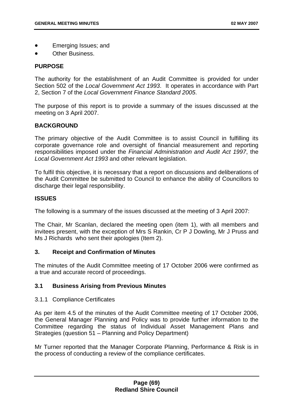- Emerging Issues; and
- Other Business.

### **PURPOSE**

The authority for the establishment of an Audit Committee is provided for under Section 502 of the *Local Government Act 1993*. It operates in accordance with Part 2, Section 7 of the *Local Government Finance Standard 2005*.

The purpose of this report is to provide a summary of the issues discussed at the meeting on 3 April 2007.

## **BACKGROUND**

The primary objective of the Audit Committee is to assist Council in fulfilling its corporate governance role and oversight of financial measurement and reporting responsibilities imposed under the *Financial Administration and Audit Act 1997*, the *Local Government Act 1993* and other relevant legislation.

To fulfil this objective, it is necessary that a report on discussions and deliberations of the Audit Committee be submitted to Council to enhance the ability of Councillors to discharge their legal responsibility.

### **ISSUES**

The following is a summary of the issues discussed at the meeting of 3 April 2007:

The Chair, Mr Scanlan, declared the meeting open (item 1), with all members and invitees present, with the exception of Mrs S Rankin, Cr P J Dowling, Mr J Pruss and Ms J Richards who sent their apologies (Item 2).

### **3. Receipt and Confirmation of Minutes**

The minutes of the Audit Committee meeting of 17 October 2006 were confirmed as a true and accurate record of proceedings.

# **3.1 Business Arising from Previous Minutes**

### 3.1.1 Compliance Certificates

As per item 4.5 of the minutes of the Audit Committee meeting of 17 October 2006, the General Manager Planning and Policy was to provide further information to the Committee regarding the status of Individual Asset Management Plans and Strategies (question 51 – Planning and Policy Department)

Mr Turner reported that the Manager Corporate Planning, Performance & Risk is in the process of conducting a review of the compliance certificates.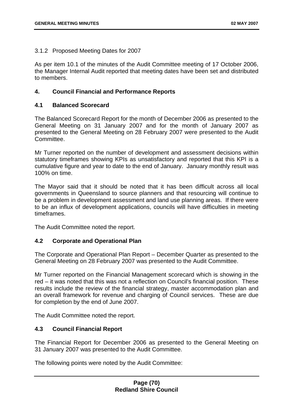# 3.1.2 Proposed Meeting Dates for 2007

As per item 10.1 of the minutes of the Audit Committee meeting of 17 October 2006, the Manager Internal Audit reported that meeting dates have been set and distributed to members.

## **4. Council Financial and Performance Reports**

## **4.1 Balanced Scorecard**

The Balanced Scorecard Report for the month of December 2006 as presented to the General Meeting on 31 January 2007 and for the month of January 2007 as presented to the General Meeting on 28 February 2007 were presented to the Audit Committee.

Mr Turner reported on the number of development and assessment decisions within statutory timeframes showing KPIs as unsatisfactory and reported that this KPI is a cumulative figure and year to date to the end of January. January monthly result was 100% on time.

The Mayor said that it should be noted that it has been difficult across all local governments in Queensland to source planners and that resourcing will continue to be a problem in development assessment and land use planning areas. If there were to be an influx of development applications, councils will have difficulties in meeting timeframes.

The Audit Committee noted the report.

# **4.2 Corporate and Operational Plan**

The Corporate and Operational Plan Report – December Quarter as presented to the General Meeting on 28 February 2007 was presented to the Audit Committee.

Mr Turner reported on the Financial Management scorecard which is showing in the red – it was noted that this was not a reflection on Council's financial position. These results include the review of the financial strategy, master accommodation plan and an overall framework for revenue and charging of Council services. These are due for completion by the end of June 2007.

The Audit Committee noted the report.

### **4.3 Council Financial Report**

The Financial Report for December 2006 as presented to the General Meeting on 31 January 2007 was presented to the Audit Committee.

The following points were noted by the Audit Committee: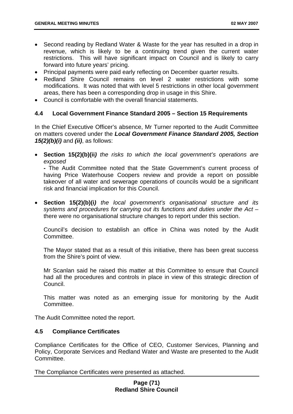- Second reading by Redland Water & Waste for the year has resulted in a drop in revenue, which is likely to be a continuing trend given the current water restrictions. This will have significant impact on Council and is likely to carry forward into future years' pricing.
- Principal payments were paid early reflecting on December quarter results.
- Redland Shire Council remains on level 2 water restrictions with some modifications. It was noted that with level 5 restrictions in other local government areas, there has been a corresponding drop in usage in this Shire.
- Council is comfortable with the overall financial statements.

## **4.4 Local Government Finance Standard 2005 – Section 15 Requirements**

In the Chief Executive Officer's absence, Mr Turner reported to the Audit Committee on matters covered under the *Local Government Finance Standard 2005, Section 15(2)(b)(i)* and *(ii)*, as follows:

• **Section 15(2)(b)(ii***) the risks to which the local government's operations are exposed*

**-** The Audit Committee noted that the State Government's current process of having Price Waterhouse Coopers review and provide a report on possible takeover of all water and sewerage operations of councils would be a significant risk and financial implication for this Council.

• **Section 15(2)(b)(i***) the local government's organisational structure and its systems and procedures for carrying out its functions and duties under the Act* – there were no organisational structure changes to report under this section.

Council's decision to establish an office in China was noted by the Audit Committee.

The Mayor stated that as a result of this initiative, there has been great success from the Shire's point of view.

Mr Scanlan said he raised this matter at this Committee to ensure that Council had all the procedures and controls in place in view of this strategic direction of Council.

This matter was noted as an emerging issue for monitoring by the Audit Committee.

The Audit Committee noted the report.

### **4.5 Compliance Certificates**

Compliance Certificates for the Office of CEO, Customer Services, Planning and Policy, Corporate Services and Redland Water and Waste are presented to the Audit Committee.

The Compliance Certificates were presented as attached.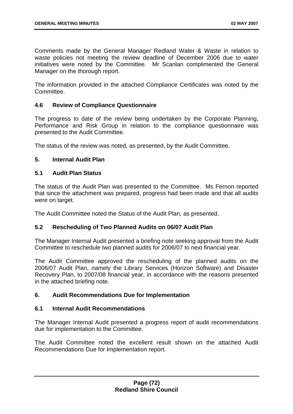Comments made by the General Manager Redland Water & Waste in relation to waste policies not meeting the review deadline of December 2006 due to water initiatives were noted by the Committee. Mr Scanlan complimented the General Manager on the thorough report.

The information provided in the attached Compliance Certificates was noted by the Committee.

### **4.6 Review of Compliance Questionnaire**

The progress to date of the review being undertaken by the Corporate Planning, Performance and Risk Group in relation to the compliance questionnaire was presented to the Audit Committee.

The status of the review was noted, as presented, by the Audit Committee.

# **5. Internal Audit Plan**

## **5.1 Audit Plan Status**

The status of the Audit Plan was presented to the Committee. Ms Fernon reported that since the attachment was prepared, progress had been made and that all audits were on target.

The Audit Committee noted the Status of the Audit Plan, as presented.

# **5.2 Rescheduling of Two Planned Audits on 06/07 Audit Plan**

The Manager Internal Audit presented a briefing note seeking approval from the Audit Committee to reschedule two planned audits for 2006/07 to next financial year.

The Audit Committee approved the rescheduling of the planned audits on the 2006/07 Audit Plan, namely the Library Services (Horizon Software) and Disaster Recovery Plan, to 2007/08 financial year, in accordance with the reasons presented in the attached briefing note.

### **6. Audit Recommendations Due for Implementation**

### **6.1 Internal Audit Recommendations**

The Manager Internal Audit presented a progress report of audit recommendations due for implementation to the Committee.

The Audit Committee noted the excellent result shown on the attached Audit Recommendations Due for Implementation report.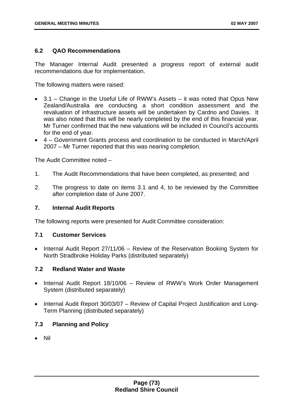## **6.2 QAO Recommendations**

The Manager Internal Audit presented a progress report of external audit recommendations due for implementation.

The following matters were raised:

- 3.1 Change in the Useful Life of RWW's Assets it was noted that Opus New Zealand/Australia are conducting a short condition assessment and the revaluation of infrastructure assets will be undertaken by Cardno and Davies. It was also noted that this will be nearly completed by the end of this financial year. Mr Turner confirmed that the new valuations will be included in Council's accounts for the end of year.
- 4 Government Grants process and coordination to be conducted in March/April 2007 – Mr Turner reported that this was nearing completion.

The Audit Committee noted –

- 1. The Audit Recommendations that have been completed, as presented; and
- 2. The progress to date on items 3.1 and 4, to be reviewed by the Committee after completion date of June 2007.

### **7. Internal Audit Reports**

The following reports were presented for Audit Committee consideration:

### **7.1 Customer Services**

• Internal Audit Report 27/11/06 – Review of the Reservation Booking System for North Stradbroke Holiday Parks (distributed separately)

### **7.2 Redland Water and Waste**

- Internal Audit Report 18/10/06 Review of RWW's Work Order Management System (distributed separately)
- Internal Audit Report 30/03/07 Review of Capital Project Justification and Long-Term Planning (distributed separately)

# **7.3 Planning and Policy**

• Nil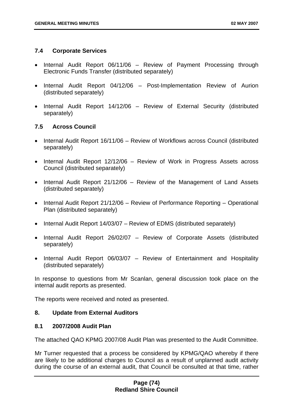# **7.4 Corporate Services**

- Internal Audit Report 06/11/06 Review of Payment Processing through Electronic Funds Transfer (distributed separately)
- Internal Audit Report 04/12/06 Post-Implementation Review of Aurion (distributed separately)
- Internal Audit Report 14/12/06 Review of External Security (distributed separately)

# **7.5 Across Council**

- Internal Audit Report 16/11/06 Review of Workflows across Council (distributed separately)
- Internal Audit Report 12/12/06 Review of Work in Progress Assets across Council (distributed separately)
- Internal Audit Report 21/12/06 Review of the Management of Land Assets (distributed separately)
- Internal Audit Report 21/12/06 Review of Performance Reporting Operational Plan (distributed separately)
- Internal Audit Report 14/03/07 Review of EDMS (distributed separately)
- Internal Audit Report 26/02/07 Review of Corporate Assets (distributed separately)
- Internal Audit Report 06/03/07 Review of Entertainment and Hospitality (distributed separately)

In response to questions from Mr Scanlan, general discussion took place on the internal audit reports as presented.

The reports were received and noted as presented.

# **8. Update from External Auditors**

### **8.1 2007/2008 Audit Plan**

The attached QAO KPMG 2007/08 Audit Plan was presented to the Audit Committee.

Mr Turner requested that a process be considered by KPMG/QAO whereby if there are likely to be additional charges to Council as a result of unplanned audit activity during the course of an external audit, that Council be consulted at that time, rather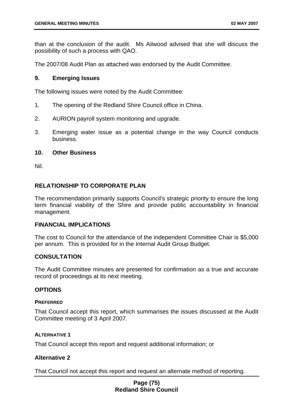than at the conclusion of the audit. Ms Ailwood advised that she will discuss the possibility of such a process with QAO.

The 2007/08 Audit Plan as attached was endorsed by the Audit Committee.

### **9. Emerging Issues**

The following issues were noted by the Audit Committee:

- 1. The opening of the Redland Shire Council office in China.
- 2. AURION payroll system monitoring and upgrade.
- 3. Emerging water issue as a potential change in the way Council conducts business.

### **10. Other Business**

Nil.

# **RELATIONSHIP TO CORPORATE PLAN**

The recommendation primarily supports Council's strategic priority to ensure the long term financial viability of the Shire and provide public accountability in financial management.

### **FINANCIAL IMPLICATIONS**

The cost to Council for the attendance of the independent Committee Chair is \$5,000 per annum. This is provided for in the Internal Audit Group Budget.

### **CONSULTATION**

The Audit Committee minutes are presented for confirmation as a true and accurate record of proceedings at its next meeting.

### **OPTIONS**

#### **PREFERRED**

That Council accept this report, which summarises the issues discussed at the Audit Committee meeting of 3 April 2007.

### **ALTERNATIVE 1**

That Council accept this report and request additional information; or

### **Alternative 2**

That Council not accept this report and request an alternate method of reporting.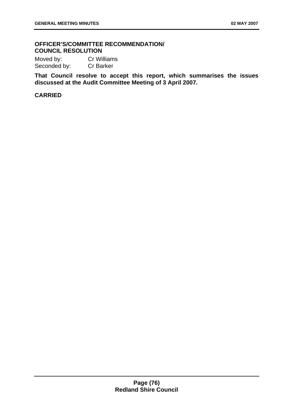# **OFFICER'S/COMMITTEE RECOMMENDATION/ COUNCIL RESOLUTION**

Moved by: Cr Williams<br>Seconded by: Cr Barker Seconded by:

**That Council resolve to accept this report, which summarises the issues discussed at the Audit Committee Meeting of 3 April 2007.**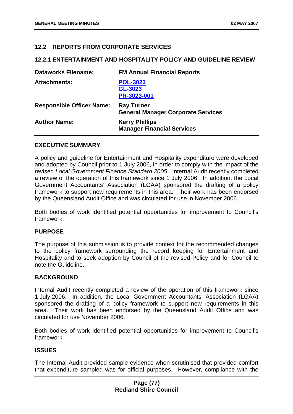## **12.2 REPORTS FROM CORPORATE SERVICES**

#### **12.2.1 ENTERTAINMENT AND HOSPITALITY POLICY AND GUIDELINE REVIEW**

| <b>Dataworks Filename:</b>       | <b>FM Annual Financial Reports</b>                             |
|----------------------------------|----------------------------------------------------------------|
| <b>Attachments:</b>              | <b>POL-3023</b><br>GL-3023<br>PR-3023-001                      |
| <b>Responsible Officer Name:</b> | <b>Ray Turner</b><br><b>General Manager Corporate Services</b> |
| <b>Author Name:</b>              | <b>Kerry Phillips</b><br><b>Manager Financial Services</b>     |

#### **EXECUTIVE SUMMARY**

A policy and guideline for Entertainment and Hospitality expenditure were developed and adopted by Council prior to 1 July 2006, in order to comply with the impact of the revised *Local Government Finance Standard 2005*. Internal Audit recently completed a review of the operation of this framework since 1 July 2006. In addition, the Local Government Accountants' Association (LGAA) sponsored the drafting of a policy framework to support new requirements in this area. Their work has been endorsed by the Queensland Audit Office and was circulated for use in November 2006.

Both bodies of work identified potential opportunities for improvement to Council's framework.

### **PURPOSE**

The purpose of this submission is to provide context for the recommended changes to the policy framework surrounding the record keeping for Entertainment and Hospitality and to seek adoption by Council of the revised Policy and for Council to note the Guideline.

### **BACKGROUND**

Internal Audit recently completed a review of the operation of this framework since 1 July 2006. In addition, the Local Government Accountants' Association (LGAA) sponsored the drafting of a policy framework to support new requirements in this area. Their work has been endorsed by the Queensland Audit Office and was circulated for use November 2006.

Both bodies of work identified potential opportunities for improvement to Council's framework.

### **ISSUES**

The Internal Audit provided sample evidence when scrutinised that provided comfort that expenditure sampled was for official purposes. However, compliance with the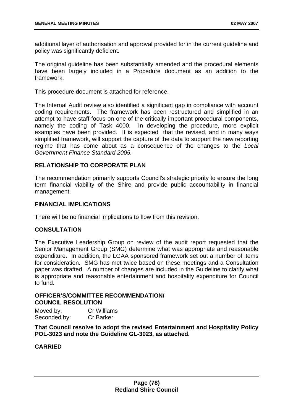additional layer of authorisation and approval provided for in the current guideline and policy was significantly deficient.

The original guideline has been substantially amended and the procedural elements have been largely included in a Procedure document as an addition to the framework.

This procedure document is attached for reference.

The Internal Audit review also identified a significant gap in compliance with account coding requirements. The framework has been restructured and simplified in an attempt to have staff focus on one of the critically important procedural components, namely the coding of Task 4000. In developing the procedure, more explicit examples have been provided. It is expected that the revised, and in many ways simplified framework, will support the capture of the data to support the new reporting regime that has come about as a consequence of the changes to the *Local Government Finance Standard 2005.* 

## **RELATIONSHIP TO CORPORATE PLAN**

The recommendation primarily supports Council's strategic priority to ensure the long term financial viability of the Shire and provide public accountability in financial management.

#### **FINANCIAL IMPLICATIONS**

There will be no financial implications to flow from this revision.

### **CONSULTATION**

The Executive Leadership Group on review of the audit report requested that the Senior Management Group (SMG) determine what was appropriate and reasonable expenditure. In addition, the LGAA sponsored framework set out a number of items for consideration. SMG has met twice based on these meetings and a Consultation paper was drafted. A number of changes are included in the Guideline to clarify what is appropriate and reasonable entertainment and hospitality expenditure for Council to fund.

## **OFFICER'S/COMMITTEE RECOMMENDATION/ COUNCIL RESOLUTION**

| Moved by:    | <b>Cr Williams</b> |
|--------------|--------------------|
| Seconded by: | <b>Cr Barker</b>   |

**That Council resolve to adopt the revised Entertainment and Hospitality Policy POL-3023 and note the Guideline GL-3023, as attached.**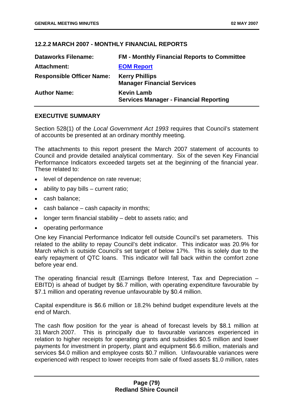## **12.2.2 MARCH 2007 - MONTHLY FINANCIAL REPORTS**

| <b>Dataworks Filename:</b>       | <b>FM - Monthly Financial Reports to Committee</b>                 |
|----------------------------------|--------------------------------------------------------------------|
| Attachment:                      | <b>EOM Report</b>                                                  |
| <b>Responsible Officer Name:</b> | <b>Kerry Phillips</b><br><b>Manager Financial Services</b>         |
| <b>Author Name:</b>              | <b>Kevin Lamb</b><br><b>Services Manager - Financial Reporting</b> |

### **EXECUTIVE SUMMARY**

Section 528(1) of the *Local Government Act 1993* requires that Council's statement of accounts be presented at an ordinary monthly meeting.

The attachments to this report present the March 2007 statement of accounts to Council and provide detailed analytical commentary. Six of the seven Key Financial Performance Indicators exceeded targets set at the beginning of the financial year. These related to:

- level of dependence on rate revenue;
- ability to pay bills current ratio;
- cash balance;
- cash balance  $-$  cash capacity in months:
- longer term financial stability debt to assets ratio; and
- operating performance

One key Financial Performance Indicator fell outside Council's set parameters. This related to the ability to repay Council's debt indicator. This indicator was 20.9% for March which is outside Council's set target of below 17%. This is solely due to the early repayment of QTC loans. This indicator will fall back within the comfort zone before year end.

The operating financial result (Earnings Before Interest, Tax and Depreciation – EBITD) is ahead of budget by \$6.7 million, with operating expenditure favourable by \$7.1 million and operating revenue unfavourable by \$0.4 million.

Capital expenditure is \$6.6 million or 18.2% behind budget expenditure levels at the end of March.

The cash flow position for the year is ahead of forecast levels by \$8.1 million at 31 March 2007. This is principally due to favourable variances experienced in relation to higher receipts for operating grants and subsidies \$0.5 million and lower payments for investment in property, plant and equipment \$6.6 million, materials and services \$4.0 million and employee costs \$0.7 million. Unfavourable variances were experienced with respect to lower receipts from sale of fixed assets \$1.0 million, rates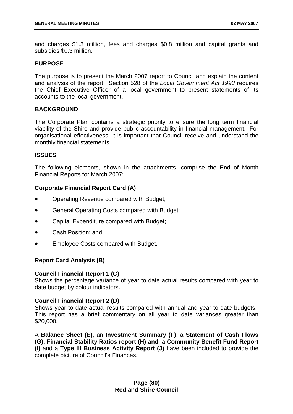and charges \$1.3 million, fees and charges \$0.8 million and capital grants and subsidies \$0.3 million.

## **PURPOSE**

The purpose is to present the March 2007 report to Council and explain the content and analysis of the report. Section 528 of the *Local Government Act 1993* requires the Chief Executive Officer of a local government to present statements of its accounts to the local government.

## **BACKGROUND**

The Corporate Plan contains a strategic priority to ensure the long term financial viability of the Shire and provide public accountability in financial management. For organisational effectiveness, it is important that Council receive and understand the monthly financial statements.

### **ISSUES**

The following elements, shown in the attachments, comprise the End of Month Financial Reports for March 2007:

# **Corporate Financial Report Card (A)**

- Operating Revenue compared with Budget;
- General Operating Costs compared with Budget;
- Capital Expenditure compared with Budget;
- Cash Position; and
- Employee Costs compared with Budget.

# **Report Card Analysis (B)**

### **Council Financial Report 1 (C)**

Shows the percentage variance of year to date actual results compared with year to date budget by colour indicators.

### **Council Financial Report 2 (D)**

Shows year to date actual results compared with annual and year to date budgets. This report has a brief commentary on all year to date variances greater than \$20,000.

A **Balance Sheet (E)**, an **Investment Summary (F)**, a **Statement of Cash Flows (G)**, **Financial Stability Ratios report (H) and**, a **Community Benefit Fund Report (I)** and a **Type III Business Activity Report (J)** have been included to provide the complete picture of Council's Finances.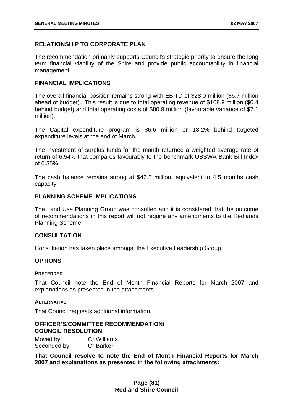## **RELATIONSHIP TO CORPORATE PLAN**

The recommendation primarily supports Council's strategic priority to ensure the long term financial viability of the Shire and provide public accountability in financial management.

### **FINANCIAL IMPLICATIONS**

The overall financial position remains strong with EBITD of \$28.0 million (\$6.7 million ahead of budget). This result is due to total operating revenue of \$108.9 million (\$0.4 behind budget) and total operating costs of \$80.9 million (favourable variance of \$7.1 million).

The Capital expenditure program is \$6.6 million or 18.2% behind targeted expenditure levels at the end of March.

The investment of surplus funds for the month returned a weighted average rate of return of 6.54% that compares favourably to the benchmark UBSWA Bank Bill Index of 6.35%.

The cash balance remains strong at \$46.5 million, equivalent to 4.5 months cash capacity.

## **PLANNING SCHEME IMPLICATIONS**

The Land Use Planning Group was consulted and it is considered that the outcome of recommendations in this report will not require any amendments to the Redlands Planning Scheme.

### **CONSULTATION**

Consultation has taken place amongst the Executive Leadership Group.

### **OPTIONS**

#### **PREFERRED**

That Council note the End of Month Financial Reports for March 2007 and explanations as presented in the attachments.

#### **ALTERNATIVE**

That Council requests additional information.

### **OFFICER'S/COMMITTEE RECOMMENDATION/ COUNCIL RESOLUTION**

Moved by: Cr Williams Seconded by: Cr Barker

**That Council resolve to note the End of Month Financial Reports for March 2007 and explanations as presented in the following attachments:**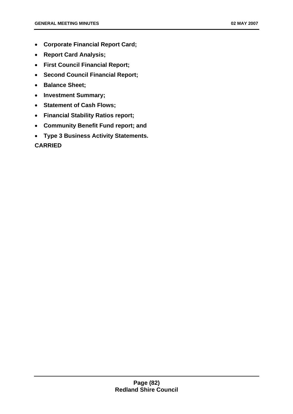- **Corporate Financial Report Card;**
- **Report Card Analysis;**
- **First Council Financial Report;**
- **Second Council Financial Report;**
- **Balance Sheet;**
- **Investment Summary;**
- **Statement of Cash Flows;**
- **Financial Stability Ratios report;**
- **Community Benefit Fund report; and**
- **Type 3 Business Activity Statements.**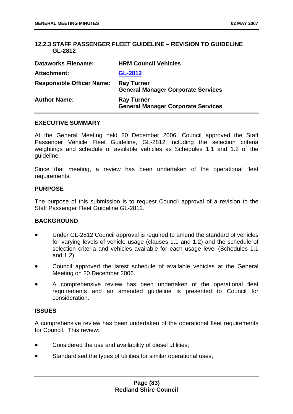# **12.2.3 STAFF PASSENGER FLEET GUIDELINE – REVISION TO GUIDELINE GL-2812**

| <b>Dataworks Filename:</b>       | <b>HRM Council Vehicles</b>                                    |
|----------------------------------|----------------------------------------------------------------|
| Attachment:                      | GL-2812                                                        |
| <b>Responsible Officer Name:</b> | <b>Ray Turner</b><br><b>General Manager Corporate Services</b> |
| <b>Author Name:</b>              | <b>Ray Turner</b><br><b>General Manager Corporate Services</b> |

#### **EXECUTIVE SUMMARY**

At the General Meeting held 20 December 2006, Council approved the Staff Passenger Vehicle Fleet Guideline, GL-2812 including the selection criteria weightings and schedule of available vehicles as Schedules 1.1 and 1.2 of the guideline.

Since that meeting, a review has been undertaken of the operational fleet requirements.

#### **PURPOSE**

The purpose of this submission is to request Council approval of a revision to the Staff Passenger Fleet Guideline GL-2812.

### **BACKGROUND**

- Under GL-2812 Council approval is required to amend the standard of vehicles for varying levels of vehicle usage (clauses 1.1 and 1.2) and the schedule of selection criteria and vehicles available for each usage level (Schedules 1.1 and 1.2).
- Council approved the latest schedule of available vehicles at the General Meeting on 20 December 2006.
- A comprehensive review has been undertaken of the operational fleet requirements and an amended guideline is presented to Council for consideration.

#### **ISSUES**

A comprehensive review has been undertaken of the operational fleet requirements for Council. This review:

- Considered the use and availability of diesel utilities;
- Standardised the types of utilities for similar operational uses;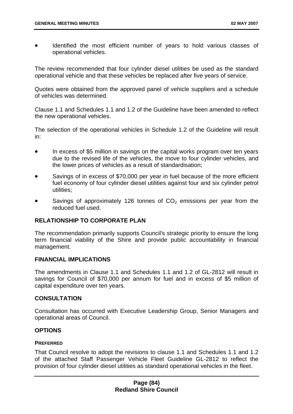• Identified the most efficient number of years to hold various classes of operational vehicles.

The review recommended that four cylinder diesel utilities be used as the standard operational vehicle and that these vehicles be replaced after five years of service.

Quotes were obtained from the approved panel of vehicle suppliers and a schedule of vehicles was determined.

Clause 1.1 and Schedules 1.1 and 1.2 of the Guideline have been amended to reflect the new operational vehicles.

The selection of the operational vehicles in Schedule 1.2 of the Guideline will result in:

- In excess of \$5 million in savings on the capital works program over ten years due to the revised life of the vehicles, the move to four cylinder vehicles, and the lower prices of vehicles as a result of standardisation;
- Savings of in excess of \$70,000 per year in fuel because of the more efficient fuel economy of four cylinder diesel utilities against four and six cylinder petrol utilities;
- Savings of approximately 126 tonnes of  $CO<sub>2</sub>$  emissions per year from the reduced fuel used.

## **RELATIONSHIP TO CORPORATE PLAN**

The recommendation primarily supports Council's strategic priority to ensure the long term financial viability of the Shire and provide public accountability in financial management.

### **FINANCIAL IMPLICATIONS**

The amendments in Clause 1.1 and Schedules 1.1 and 1.2 of GL-2812 will result in savings for Council of \$70,000 per annum for fuel and in excess of \$5 million of capital expenditure over ten years.

#### **CONSULTATION**

Consultation has occurred with Executive Leadership Group, Senior Managers and operational areas of Council.

### **OPTIONS**

### **PREFERRED**

That Council resolve to adopt the revisions to clause 1.1 and Schedules 1.1 and 1.2 of the attached Staff Passenger Vehicle Fleet Guideline GL-2812 to reflect the provision of four cylinder diesel utilities as standard operational vehicles in the fleet.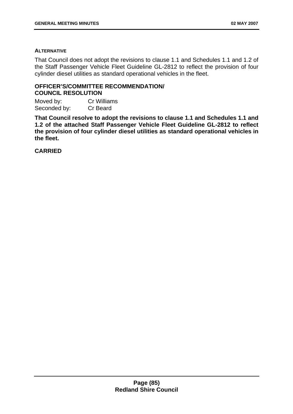#### **ALTERNATIVE**

That Council does not adopt the revisions to clause 1.1 and Schedules 1.1 and 1.2 of the Staff Passenger Vehicle Fleet Guideline GL-2812 to reflect the provision of four cylinder diesel utilities as standard operational vehicles in the fleet.

#### **OFFICER'S/COMMITTEE RECOMMENDATION/ COUNCIL RESOLUTION**

Moved by: Cr Williams Seconded by: Cr Beard

**That Council resolve to adopt the revisions to clause 1.1 and Schedules 1.1 and 1.2 of the attached Staff Passenger Vehicle Fleet Guideline GL-2812 to reflect the provision of four cylinder diesel utilities as standard operational vehicles in the fleet.**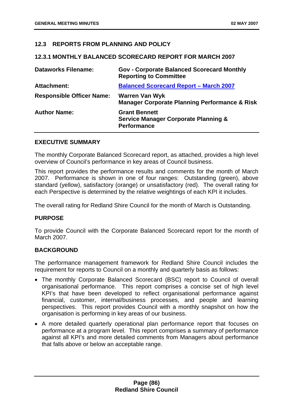# **12.3 REPORTS FROM PLANNING AND POLICY**

### **12.3.1 MONTHLY BALANCED SCORECARD REPORT FOR MARCH 2007**

| <b>Dataworks Filename:</b>       | <b>Gov - Corporate Balanced Scorecard Monthly</b><br><b>Reporting to Committee</b>            |
|----------------------------------|-----------------------------------------------------------------------------------------------|
| <b>Attachment:</b>               | <b>Balanced Scorecard Report - March 2007</b>                                                 |
| <b>Responsible Officer Name:</b> | <b>Warren Van Wyk</b><br><b>Manager Corporate Planning Performance &amp; Risk</b>             |
| <b>Author Name:</b>              | <b>Grant Bennett</b><br><b>Service Manager Corporate Planning &amp;</b><br><b>Performance</b> |

#### **EXECUTIVE SUMMARY**

The monthly Corporate Balanced Scorecard report, as attached, provides a high level overview of Council's performance in key areas of Council business.

This report provides the performance results and comments for the month of March 2007. Performance is shown in one of four ranges: Outstanding (green), above standard (yellow), satisfactory (orange) or unsatisfactory (red). The overall rating for each Perspective is determined by the relative weightings of each KPI it includes.

The overall rating for Redland Shire Council for the month of March is Outstanding.

### **PURPOSE**

To provide Council with the Corporate Balanced Scorecard report for the month of March 2007.

### **BACKGROUND**

The performance management framework for Redland Shire Council includes the requirement for reports to Council on a monthly and quarterly basis as follows:

- The monthly Corporate Balanced Scorecard (BSC) report to Council of overall organisational performance. This report comprises a concise set of high level KPI's that have been developed to reflect organisational performance against financial, customer, internal/business processes, and people and learning perspectives. This report provides Council with a monthly snapshot on how the organisation is performing in key areas of our business.
- A more detailed quarterly operational plan performance report that focuses on performance at a program level. This report comprises a summary of performance against all KPI's and more detailed comments from Managers about performance that falls above or below an acceptable range.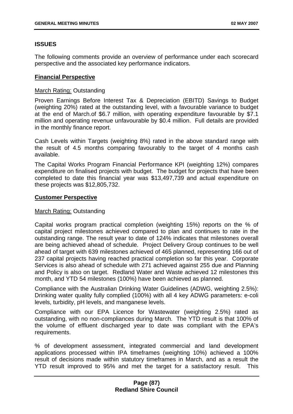## **ISSUES**

The following comments provide an overview of performance under each scorecard perspective and the associated key performance indicators.

#### **Financial Perspective**

#### March Rating: Outstanding

Proven Earnings Before Interest Tax & Depreciation (EBITD) Savings to Budget (weighting 20%) rated at the outstanding level, with a favourable variance to budget at the end of March.of \$6.7 million, with operating expenditure favourable by \$7.1 million and operating revenue unfavourable by \$0.4 million. Full details are provided in the monthly finance report.

Cash Levels within Targets (weighting 8%) rated in the above standard range with the result of 4.5 months comparing favourably to the target of 4 months cash available.

The Capital Works Program Financial Performance KPI (weighting 12%) compares expenditure on finalised projects with budget. The budget for projects that have been completed to date this financial year was \$13,497,739 and actual expenditure on these projects was \$12,805,732.

#### **Customer Perspective**

### March Rating: Outstanding

Capital works program practical completion (weighting 15%) reports on the % of capital project milestones achieved compared to plan and continues to rate in the outstanding range. The result year to date of 124% indicates that milestones overall are being achieved ahead of schedule. Project Delivery Group continues to be well ahead of target with 639 milestones achieved of 465 planned, representing 166 out of 237 capital projects having reached practical completion so far this year. Corporate Services is also ahead of schedule with 271 achieved against 255 due and Planning and Policy is also on target. Redland Water and Waste achieved 12 milestones this month, and YTD 54 milestones (100%) have been achieved as planned.

Compliance with the Australian Drinking Water Guidelines (ADWG, weighting 2.5%): Drinking water quality fully complied (100%) with all 4 key ADWG parameters: e-coli levels, turbidity, pH levels, and manganese levels.

Compliance with our EPA Licence for Wastewater (weighting 2.5%) rated as outstanding, with no non-compliances during March. The YTD result is that 100% of the volume of effluent discharged year to date was compliant with the EPA's requirements.

% of development assessment, integrated commercial and land development applications processed within IPA timeframes (weighting 10%) achieved a 100% result of decisions made within statutory timeframes in March, and as a result the YTD result improved to 95% and met the target for a satisfactory result. This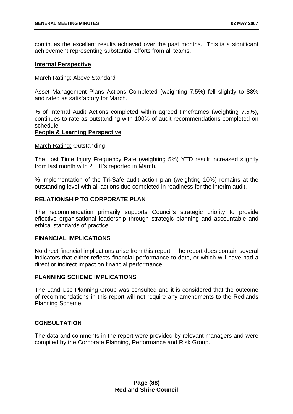continues the excellent results achieved over the past months. This is a significant achievement representing substantial efforts from all teams.

### **Internal Perspective**

#### March Rating: Above Standard

Asset Management Plans Actions Completed (weighting 7.5%) fell slightly to 88% and rated as satisfactory for March.

% of Internal Audit Actions completed within agreed timeframes (weighting 7.5%), continues to rate as outstanding with 100% of audit recommendations completed on schedule.

### **People & Learning Perspective**

#### March Rating: Outstanding

The Lost Time Injury Frequency Rate (weighting 5%) YTD result increased slightly from last month with 2 LTI's reported in March.

% implementation of the Tri-Safe audit action plan (weighting 10%) remains at the outstanding level with all actions due completed in readiness for the interim audit.

## **RELATIONSHIP TO CORPORATE PLAN**

The recommendation primarily supports Council's strategic priority to provide effective organisational leadership through strategic planning and accountable and ethical standards of practice.

### **FINANCIAL IMPLICATIONS**

No direct financial implications arise from this report. The report does contain several indicators that either reflects financial performance to date, or which will have had a direct or indirect impact on financial performance.

# **PLANNING SCHEME IMPLICATIONS**

The Land Use Planning Group was consulted and it is considered that the outcome of recommendations in this report will not require any amendments to the Redlands Planning Scheme.

# **CONSULTATION**

The data and comments in the report were provided by relevant managers and were compiled by the Corporate Planning, Performance and Risk Group.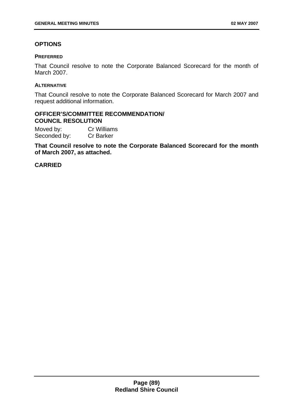# **OPTIONS**

### **PREFERRED**

That Council resolve to note the Corporate Balanced Scorecard for the month of March 2007.

### **ALTERNATIVE**

That Council resolve to note the Corporate Balanced Scorecard for March 2007 and request additional information.

### **OFFICER'S/COMMITTEE RECOMMENDATION/ COUNCIL RESOLUTION**

Moved by: Cr Williams Seconded by: Cr Barker

**That Council resolve to note the Corporate Balanced Scorecard for the month of March 2007, as attached.**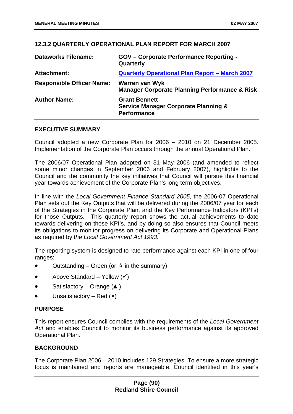## **12.3.2 QUARTERLY OPERATIONAL PLAN REPORT FOR MARCH 2007**

| <b>Dataworks Filename:</b>       | <b>GOV</b> - Corporate Performance Reporting -<br>Quarterly                                   |
|----------------------------------|-----------------------------------------------------------------------------------------------|
| <b>Attachment:</b>               | Quarterly Operational Plan Report - March 2007                                                |
| <b>Responsible Officer Name:</b> | Warren van Wyk<br><b>Manager Corporate Planning Performance &amp; Risk</b>                    |
| <b>Author Name:</b>              | <b>Grant Bennett</b><br><b>Service Manager Corporate Planning &amp;</b><br><b>Performance</b> |

### **EXECUTIVE SUMMARY**

Council adopted a new Corporate Plan for 2006 – 2010 on 21 December 2005. Implementation of the Corporate Plan occurs through the annual Operational Plan.

The 2006/07 Operational Plan adopted on 31 May 2006 (and amended to reflect some minor changes in September 2006 and February 2007), highlights to the Council and the community the key initiatives that Council will pursue this financial year towards achievement of the Corporate Plan's long term objectives.

In line with the *Local Government Finance Standard 2005*, the 2006-07 Operational Plan sets out the Key Outputs that will be delivered during the 2006/07 year for each of the Strategies in the Corporate Plan, and the Key Performance Indicators (KPI's) for those Outputs. This quarterly report shows the actual achievements to date towards delivering on those KPI's, and by doing so also ensures that Council meets its obligations to monitor progress on delivering its Corporate and Operational Plans as required by t*he Local Government Act 1993.* 

The reporting system is designed to rate performance against each KPI in one of four ranges:

- Outstanding – Green (or  $\dot{x}$  in the summary)
- Above Standard – Yellow  $(\checkmark)$
- Satisfactory – Orange  $($ \blacktriangle )
- Unsatisfactory – Red  $(x)$

### **PURPOSE**

This report ensures Council complies with the requirements of the *Local Government Act* and enables Council to monitor its business performance against its approved Operational Plan.

# **BACKGROUND**

The Corporate Plan 2006 – 2010 includes 129 Strategies. To ensure a more strategic focus is maintained and reports are manageable, Council identified in this year's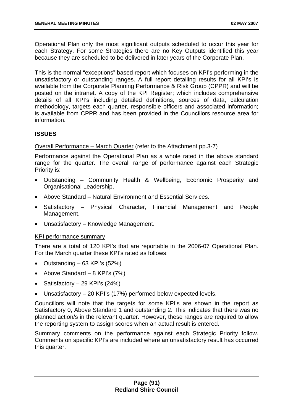Operational Plan only the most significant outputs scheduled to occur this year for each Strategy. For some Strategies there are no Key Outputs identified this year because they are scheduled to be delivered in later years of the Corporate Plan.

This is the normal "exceptions" based report which focuses on KPI's performing in the unsatisfactory or outstanding ranges. A full report detailing results for all KPI's is available from the Corporate Planning Performance & Risk Group (CPPR) and will be posted on the intranet. A copy of the KPI Register; which includes comprehensive details of all KPI's including detailed definitions, sources of data, calculation methodology, targets each quarter, responsible officers and associated information; is available from CPPR and has been provided in the Councillors resource area for information.

## **ISSUES**

Overall Performance – March Quarter (refer to the Attachment pp.3-7)

Performance against the Operational Plan as a whole rated in the above standard range for the quarter. The overall range of performance against each Strategic Priority is:

- Outstanding Community Health & Wellbeing, Economic Prosperity and Organisational Leadership.
- Above Standard Natural Environment and Essential Services.
- Satisfactory Physical Character, Financial Management and People Management.
- Unsatisfactory Knowledge Management.

### KPI performance summary

There are a total of 120 KPI's that are reportable in the 2006-07 Operational Plan. For the March quarter these KPI's rated as follows:

- Outstanding  $-63$  KPI's (52%)
- Above Standard 8 KPI's (7%)
- Satisfactory 29 KPI's (24%)
- Unsatisfactory 20 KPI's (17%) performed below expected levels.

Councillors will note that the targets for some KPI's are shown in the report as Satisfactory 0, Above Standard 1 and outstanding 2. This indicates that there was no planned action/s in the relevant quarter. However, these ranges are required to allow the reporting system to assign scores when an actual result is entered.

Summary comments on the performance against each Strategic Priority follow. Comments on specific KPI's are included where an unsatisfactory result has occurred this quarter.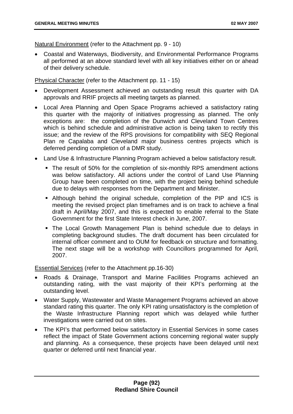Natural Environment (refer to the Attachment pp. 9 - 10)

• Coastal and Waterways, Biodiversity, and Environmental Performance Programs all performed at an above standard level with all key initiatives either on or ahead of their delivery schedule.

Physical Character (refer to the Attachment pp. 11 - 15)

- Development Assessment achieved an outstanding result this quarter with DA approvals and RRIF projects all meeting targets as planned.
- Local Area Planning and Open Space Programs achieved a satisfactory rating this quarter with the majority of initiatives progressing as planned. The only exceptions are: the completion of the Dunwich and Cleveland Town Centres which is behind schedule and administrative action is being taken to rectify this issue; and the review of the RPS provisions for compatibility with SEQ Regional Plan re Capalaba and Cleveland major business centres projects which is deferred pending completion of a DMR study.
- Land Use & Infrastructure Planning Program achieved a below satisfactory result.
	- The result of 50% for the completion of six-monthly RPS amendment actions was below satisfactory. All actions under the control of Land Use Planning Group have been completed on time, with the project being behind schedule due to delays with responses from the Department and Minister.
	- Although behind the original schedule, completion of the PIP and ICS is meeting the revised project plan timeframes and is on track to achieve a final draft in April/May 2007, and this is expected to enable referral to the State Government for the first State Interest check in June, 2007.
	- The Local Growth Management Plan is behind schedule due to delays in completing background studies. The draft document has been circulated for internal officer comment and to OUM for feedback on structure and formatting. The next stage will be a workshop with Councillors programmed for April, 2007.

Essential Services (refer to the Attachment pp.16-30)

- Roads & Drainage, Transport and Marine Facilities Programs achieved an outstanding rating, with the vast majority of their KPI's performing at the outstanding level.
- Water Supply, Wastewater and Waste Management Programs achieved an above standard rating this quarter. The only KPI rating unsatisfactory is the completion of the Waste Infrastructure Planning report which was delayed while further investigations were carried out on sites.
- The KPI's that performed below satisfactory in Essential Services in some cases reflect the impact of State Government actions concerning regional water supply and planning. As a consequence, these projects have been delayed until next quarter or deferred until next financial year.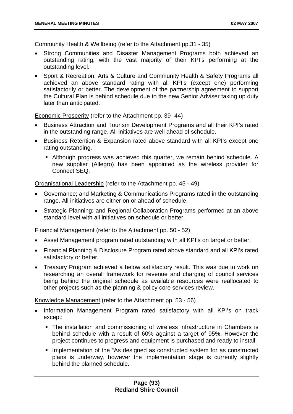Community Health & Wellbeing (refer to the Attachment pp.31 - 35)

- Strong Communities and Disaster Management Programs both achieved an outstanding rating, with the vast majority of their KPI's performing at the outstanding level.
- Sport & Recreation, Arts & Culture and Community Health & Safety Programs all achieved an above standard rating with all KPI's (except one) performing satisfactorily or better. The development of the partnership agreement to support the Cultural Plan is behind schedule due to the new Senior Adviser taking up duty later than anticipated.

Economic Prosperity (refer to the Attachment pp. 39- 44)

- Business Attraction and Tourism Development Programs and all their KPI's rated in the outstanding range. All initiatives are well ahead of schedule.
- Business Retention & Expansion rated above standard with all KPI's except one rating outstanding.
	- Although progress was achieved this quarter, we remain behind schedule. A new supplier (Allegro) has been appointed as the wireless provider for Connect SEQ.

Organisational Leadership (refer to the Attachment pp. 45 - 49)

- Governance; and Marketing & Communications Programs rated in the outstanding range. All initiatives are either on or ahead of schedule.
- Strategic Planning; and Regional Collaboration Programs performed at an above standard level with all initiatives on schedule or better.

Financial Management (refer to the Attachment pp. 50 - 52)

- Asset Management program rated outstanding with all KPI's on target or better.
- Financial Planning & Disclosure Program rated above standard and all KPI's rated satisfactory or better.
- Treasury Program achieved a below satisfactory result. This was due to work on researching an overall framework for revenue and charging of council services being behind the original schedule as available resources were reallocated to other projects such as the planning & policy core services review.

Knowledge Management (refer to the Attachment pp. 53 - 56)

- Information Management Program rated satisfactory with all KPI's on track except:
	- The installation and commissioning of wireless infrastructure in Chambers is behind schedule with a result of 60% against a target of 95%. However the project continues to progress and equipment is purchased and ready to install.
	- **Implementation of the "As designed as constructed system for as constructed** plans is underway, however the implementation stage is currently slightly behind the planned schedule.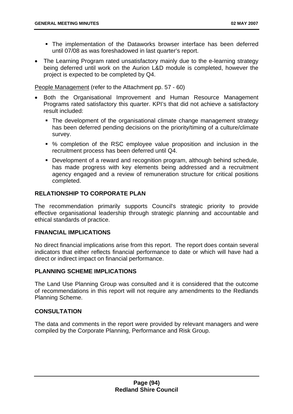- The implementation of the Dataworks browser interface has been deferred until 07/08 as was foreshadowed in last quarter's report.
- The Learning Program rated unsatisfactory mainly due to the e-learning strategy being deferred until work on the Aurion L&D module is completed, however the project is expected to be completed by Q4.

People Management (refer to the Attachment pp. 57 - 60)

- Both the Organisational Improvement and Human Resource Management Programs rated satisfactory this quarter. KPI's that did not achieve a satisfactory result included:
	- The development of the organisational climate change management strategy has been deferred pending decisions on the priority/timing of a culture/climate survey.
	- % completion of the RSC employee value proposition and inclusion in the recruitment process has been deferred until Q4.
	- Development of a reward and recognition program, although behind schedule, has made progress with key elements being addressed and a recruitment agency engaged and a review of remuneration structure for critical positions completed.

# **RELATIONSHIP TO CORPORATE PLAN**

The recommendation primarily supports Council's strategic priority to provide effective organisational leadership through strategic planning and accountable and ethical standards of practice.

# **FINANCIAL IMPLICATIONS**

No direct financial implications arise from this report. The report does contain several indicators that either reflects financial performance to date or which will have had a direct or indirect impact on financial performance.

# **PLANNING SCHEME IMPLICATIONS**

The Land Use Planning Group was consulted and it is considered that the outcome of recommendations in this report will not require any amendments to the Redlands Planning Scheme.

# **CONSULTATION**

The data and comments in the report were provided by relevant managers and were compiled by the Corporate Planning, Performance and Risk Group.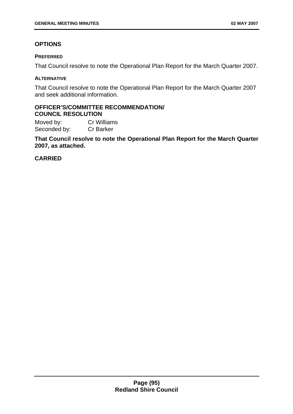# **OPTIONS**

#### **PREFERRED**

That Council resolve to note the Operational Plan Report for the March Quarter 2007.

#### **ALTERNATIVE**

That Council resolve to note the Operational Plan Report for the March Quarter 2007 and seek additional information.

## **OFFICER'S/COMMITTEE RECOMMENDATION/ COUNCIL RESOLUTION**

Moved by: Cr Williams Seconded by: Cr Barker

**That Council resolve to note the Operational Plan Report for the March Quarter 2007, as attached.**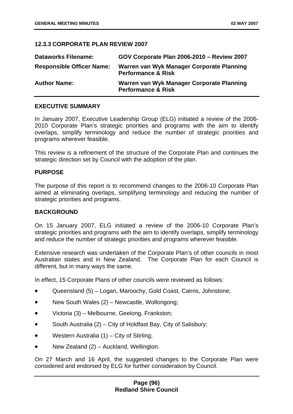# **12.3.3 CORPORATE PLAN REVIEW 2007**

| <b>Dataworks Filename:</b>       | GOV Corporate Plan 2006-2010 - Review 2007                                 |
|----------------------------------|----------------------------------------------------------------------------|
| <b>Responsible Officer Name:</b> | Warren van Wyk Manager Corporate Planning<br><b>Performance &amp; Risk</b> |
| <b>Author Name:</b>              | Warren van Wyk Manager Corporate Planning<br><b>Performance &amp; Risk</b> |

## **EXECUTIVE SUMMARY**

In January 2007, Executive Leadership Group (ELG) initiated a review of the 2006- 2010 Corporate Plan's strategic priorities and programs with the aim to identify overlaps, simplify terminology and reduce the number of strategic priorities and programs wherever feasible.

This review is a refinement of the structure of the Corporate Plan and continues the strategic direction set by Council with the adoption of the plan.

### **PURPOSE**

The purpose of this report is to recommend changes to the 2006-10 Corporate Plan aimed at eliminating overlaps, simplifying terminology and reducing the number of strategic priorities and programs.

### **BACKGROUND**

On 15 January 2007, ELG initiated a review of the 2006-10 Corporate Plan's strategic priorities and programs with the aim to identify overlaps, simplify terminology and reduce the number of strategic priorities and programs wherever feasible.

Extensive research was undertaken of the Corporate Plan's of other councils in most Australian states and in New Zealand. The Corporate Plan for each Council is different, but in many ways the same.

In effect, 15 Corporate Plans of other councils were reviewed as follows:

- Queensland (5) – Logan, Maroochy, Gold Coast, Cairns, Johnstone;
- New South Wales (2) – Newcastle, Wollongong;
- Victoria (3) – Melbourne, Geelong, Frankston;
- South Australia (2) – City of Holdfast Bay, City of Salisbury;
- Western Australia (1) – City of Stirling;
- New Zealand (2) – Auckland, Wellington.

On 27 March and 16 April, the suggested changes to the Corporate Plan were considered and endorsed by ELG for further consideration by Council.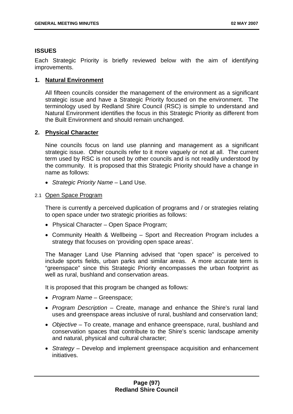## **ISSUES**

Each Strategic Priority is briefly reviewed below with the aim of identifying improvements.

## **1. Natural Environment**

All fifteen councils consider the management of the environment as a significant strategic issue and have a Strategic Priority focused on the environment. The terminology used by Redland Shire Council (RSC) is simple to understand and Natural Environment identifies the focus in this Strategic Priority as different from the Built Environment and should remain unchanged.

## **2. Physical Character**

Nine councils focus on land use planning and management as a significant strategic issue. Other councils refer to it more vaguely or not at all. The current term used by RSC is not used by other councils and is not readily understood by the community. It is proposed that this Strategic Priority should have a change in name as follows:

• *Strategic Priority Name* – Land Use.

### 2.1 Open Space Program

There is currently a perceived duplication of programs and / or strategies relating to open space under two strategic priorities as follows:

- Physical Character Open Space Program:
- Community Health & Wellbeing Sport and Recreation Program includes a strategy that focuses on 'providing open space areas'.

The Manager Land Use Planning advised that "open space" is perceived to include sports fields, urban parks and similar areas. A more accurate term is "greenspace" since this Strategic Priority encompasses the urban footprint as well as rural, bushland and conservation areas.

It is proposed that this program be changed as follows:

- *Program Name* Greenspace;
- *Program Description* Create, manage and enhance the Shire's rural land uses and greenspace areas inclusive of rural, bushland and conservation land;
- *Objective*  To create, manage and enhance greenspace, rural, bushland and conservation spaces that contribute to the Shire's scenic landscape amenity and natural, physical and cultural character;
- *Strategy* Develop and implement greenspace acquisition and enhancement initiatives.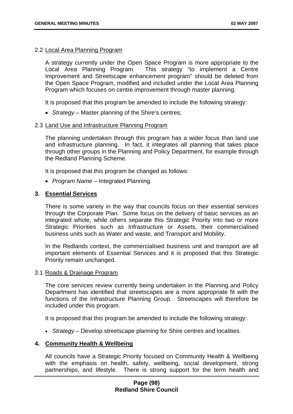### 2.2 Local Area Planning Program

A strategy currently under the Open Space Program is more appropriate to the Local Area Planning Program. This strategy "to implement a Centre Improvement and Streetscape enhancement program" should be deleted from the Open Space Program, modified and included under the Local Area Planning Program which focuses on centre improvement through master planning.

It is proposed that this program be amended to include the following strategy:

• *Strategy* – Master planning of the Shire's centres;

#### 2.3 Land Use and Infrastructure Planning Program

The planning undertaken through this program has a wider focus than land use and infrastructure planning. In fact, it integrates all planning that takes place through other groups in the Planning and Policy Department, for example through the Redland Planning Scheme.

It is proposed that this program be changed as follows:

• *Program Name* – Integrated Planning.

#### **3. Essential Services**

There is some variety in the way that councils focus on their essential services through the Corporate Plan. Some focus on the delivery of basic services as an integrated whole, while others separate this Strategic Priority into two or more Strategic Priorities such as Infrastructure or Assets, their commercialised business units such as Water and waste, and Transport and Mobility.

In the Redlands context, the commercialised business unit and transport are all important elements of Essential Services and it is proposed that this Strategic Priority remain unchanged.

### 3.1 Roads & Drainage Program

The core services review currently being undertaken in the Planning and Policy Department has identified that streetscapes are a more appropriate fit with the functions of the Infrastructure Planning Group. Streetscapes will therefore be included under this program.

It is proposed that this program be amended to include the following strategy:

• *Strategy* – Develop streetscape planning for Shire centres and localities.

#### **4. Community Health & Wellbeing**

All councils have a Strategic Priority focused on Community Health & Wellbeing with the emphasis on health, safety, wellbeing, social development, strong partnerships, and lifestyle. There is strong support for the term health and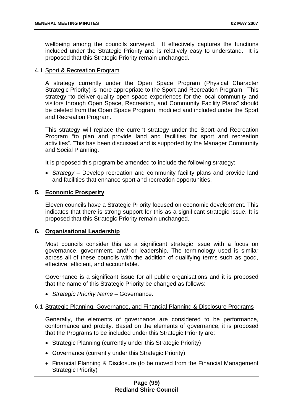wellbeing among the councils surveyed. It effectively captures the functions included under the Strategic Priority and is relatively easy to understand. It is proposed that this Strategic Priority remain unchanged.

#### 4.1 Sport & Recreation Program

A strategy currently under the Open Space Program (Physical Character Strategic Priority) is more appropriate to the Sport and Recreation Program. This strategy "to deliver quality open space experiences for the local community and visitors through Open Space, Recreation, and Community Facility Plans" should be deleted from the Open Space Program, modified and included under the Sport and Recreation Program.

This strategy will replace the current strategy under the Sport and Recreation Program "to plan and provide land and facilities for sport and recreation activities". This has been discussed and is supported by the Manager Community and Social Planning.

It is proposed this program be amended to include the following strategy:

• *Strategy* – Develop recreation and community facility plans and provide land and facilities that enhance sport and recreation opportunities.

#### **5. Economic Prosperity**

Eleven councils have a Strategic Priority focused on economic development. This indicates that there is strong support for this as a significant strategic issue. It is proposed that this Strategic Priority remain unchanged.

#### **6. Organisational Leadership**

Most councils consider this as a significant strategic issue with a focus on governance, government, and/ or leadership. The terminology used is similar across all of these councils with the addition of qualifying terms such as good, effective, efficient, and accountable.

Governance is a significant issue for all public organisations and it is proposed that the name of this Strategic Priority be changed as follows:

• *Strategic Priority Name* – Governance.

#### 6.1 Strategic Planning, Governance, and Financial Planning & Disclosure Programs

Generally, the elements of governance are considered to be performance, conformance and probity. Based on the elements of governance, it is proposed that the Programs to be included under this Strategic Priority are:

- Strategic Planning (currently under this Strategic Priority)
- Governance (currently under this Strategic Priority)
- Financial Planning & Disclosure (to be moved from the Financial Management Strategic Priority)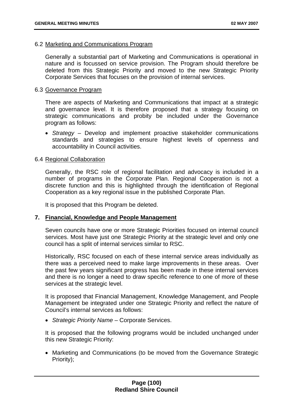#### 6.2 Marketing and Communications Program

Generally a substantial part of Marketing and Communications is operational in nature and is focussed on service provision. The Program should therefore be deleted from this Strategic Priority and moved to the new Strategic Priority Corporate Services that focuses on the provision of internal services.

#### 6.3 Governance Program

There are aspects of Marketing and Communications that impact at a strategic and governance level. It is therefore proposed that a strategy focusing on strategic communications and probity be included under the Governance program as follows:

• *Strategy* – Develop and implement proactive stakeholder communications standards and strategies to ensure highest levels of openness and accountability in Council activities.

### 6.4 Regional Collaboration

Generally, the RSC role of regional facilitation and advocacy is included in a number of programs in the Corporate Plan. Regional Cooperation is not a discrete function and this is highlighted through the identification of Regional Cooperation as a key regional issue in the published Corporate Plan.

It is proposed that this Program be deleted.

### **7. Financial, Knowledge and People Management**

Seven councils have one or more Strategic Priorities focused on internal council services. Most have just one Strategic Priority at the strategic level and only one council has a split of internal services similar to RSC.

Historically, RSC focused on each of these internal service areas individually as there was a perceived need to make large improvements in these areas. Over the past few years significant progress has been made in these internal services and there is no longer a need to draw specific reference to one of more of these services at the strategic level.

It is proposed that Financial Management, Knowledge Management, and People Management be integrated under one Strategic Priority and reflect the nature of Council's internal services as follows:

• *Strategic Priority Name* – Corporate Services.

It is proposed that the following programs would be included unchanged under this new Strategic Priority:

• Marketing and Communications (to be moved from the Governance Strategic Priority);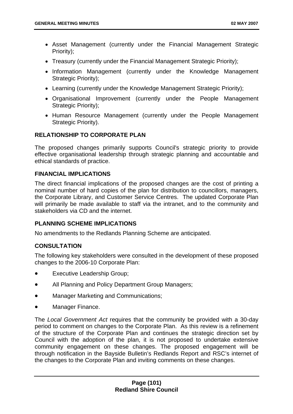- Asset Management (currently under the Financial Management Strategic Priority);
- Treasury (currently under the Financial Management Strategic Priority);
- Information Management (currently under the Knowledge Management Strategic Priority);
- Learning (currently under the Knowledge Management Strategic Priority);
- Organisational Improvement (currently under the People Management Strategic Priority):
- Human Resource Management (currently under the People Management Strategic Priority).

# **RELATIONSHIP TO CORPORATE PLAN**

The proposed changes primarily supports Council's strategic priority to provide effective organisational leadership through strategic planning and accountable and ethical standards of practice.

## **FINANCIAL IMPLICATIONS**

The direct financial implications of the proposed changes are the cost of printing a nominal number of hard copies of the plan for distribution to councillors, managers, the Corporate Library, and Customer Service Centres. The updated Corporate Plan will primarily be made available to staff via the intranet, and to the community and stakeholders via CD and the internet.

# **PLANNING SCHEME IMPLICATIONS**

No amendments to the Redlands Planning Scheme are anticipated.

# **CONSULTATION**

The following key stakeholders were consulted in the development of these proposed changes to the 2006-10 Corporate Plan:

- Executive Leadership Group;
- All Planning and Policy Department Group Managers;
- Manager Marketing and Communications;
- Manager Finance.

The *Local Government Act* requires that the community be provided with a 30-day period to comment on changes to the Corporate Plan. As this review is a refinement of the structure of the Corporate Plan and continues the strategic direction set by Council with the adoption of the plan, it is not proposed to undertake extensive community engagement on these changes. The proposed engagement will be through notification in the Bayside Bulletin's Redlands Report and RSC's internet of the changes to the Corporate Plan and inviting comments on these changes.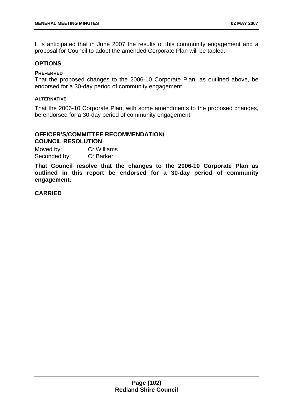It is anticipated that in June 2007 the results of this community engagement and a proposal for Council to adopt the amended Corporate Plan will be tabled.

### **OPTIONS**

#### **PREFERRED**

That the proposed changes to the 2006-10 Corporate Plan, as outlined above, be endorsed for a 30-day period of community engagement.

#### **ALTERNATIVE**

That the 2006-10 Corporate Plan, with some amendments to the proposed changes, be endorsed for a 30-day period of community engagement.

### **OFFICER'S/COMMITTEE RECOMMENDATION/ COUNCIL RESOLUTION**

Moved by: Cr Williams Seconded by: Cr Barker

**That Council resolve that the changes to the 2006-10 Corporate Plan as outlined in this report be endorsed for a 30-day period of community engagement:**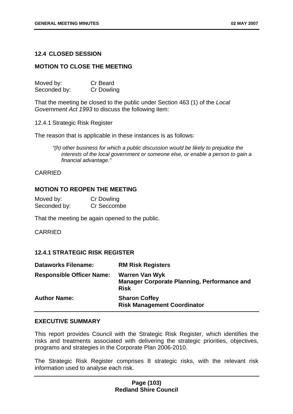### **12.4 CLOSED SESSION**

### **MOTION TO CLOSE THE MEETING**

| Moved by:    | Cr Beard   |
|--------------|------------|
| Seconded by: | Cr Dowling |

That the meeting be closed to the public under Section 463 (1) of the *Local Government Act 1993* to discuss the following item:

12.4.1 Strategic Risk Register

The reason that is applicable in these instances is as follows:

*"(h) other business for which a public discussion would be likely to prejudice the interests of the local government or someone else, or enable a person to gain a financial advantage."* 

#### CARRIED

## **MOTION TO REOPEN THE MEETING**

| Moved by:    | <b>Cr Dowling</b> |
|--------------|-------------------|
| Seconded by: | Cr Seccombe       |

That the meeting be again opened to the public.

#### CARRIED

### **12.4.1 STRATEGIC RISK REGISTER**

| <b>Dataworks Filename:</b>       | <b>RM Risk Registers</b>                                                                   |
|----------------------------------|--------------------------------------------------------------------------------------------|
| <b>Responsible Officer Name:</b> | <b>Warren Van Wyk</b><br><b>Manager Corporate Planning, Performance and</b><br><b>Risk</b> |
| <b>Author Name:</b>              | <b>Sharon Coffey</b><br><b>Risk Management Coordinator</b>                                 |

#### **EXECUTIVE SUMMARY**

This report provides Council with the Strategic Risk Register, which identifies the risks and treatments associated with delivering the strategic priorities, objectives, programs and strategies in the Corporate Plan 2006-2010.

The Strategic Risk Register comprises 8 strategic risks, with the relevant risk information used to analyse each risk.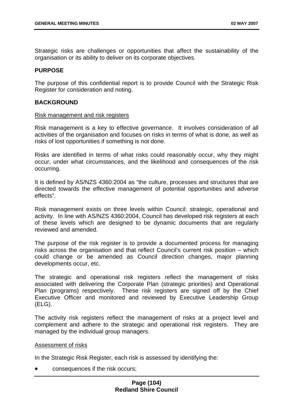Strategic risks are challenges or opportunities that affect the sustainability of the organisation or its ability to deliver on its corporate objectives.

### **PURPOSE**

The purpose of this confidential report is to provide Council with the Strategic Risk Register for consideration and noting.

### **BACKGROUND**

#### Risk management and risk registers

Risk management is a key to effective governance. It involves consideration of all activities of the organisation and focuses on risks in terms of what is done, as well as risks of lost opportunities if something is not done.

Risks are identified in terms of what risks could reasonably occur, why they might occur, under what circumstances, and the likelihood and consequences of the risk occurring.

It is defined by AS/NZS 4360:2004 as "the culture, processes and structures that are directed towards the effective management of potential opportunities and adverse effects".

Risk management exists on three levels within Council: strategic, operational and activity. In line with AS/NZS 4360:2004, Council has developed risk registers at each of these levels which are designed to be dynamic documents that are regularly reviewed and amended.

The purpose of the risk register is to provide a documented process for managing risks across the organisation and that reflect Council's current risk position – which could change or be amended as Council direction changes, major planning developments occur, etc.

The strategic and operational risk registers reflect the management of risks associated with delivering the Corporate Plan (strategic priorities) and Operational Plan (programs) respectively. These risk registers are signed off by the Chief Executive Officer and monitored and reviewed by Executive Leadership Group (ELG).

The activity risk registers reflect the management of risks at a project level and complement and adhere to the strategic and operational risk registers. They are managed by the individual group managers.

### Assessment of risks

In the Strategic Risk Register, each risk is assessed by identifying the:

• consequences if the risk occurs;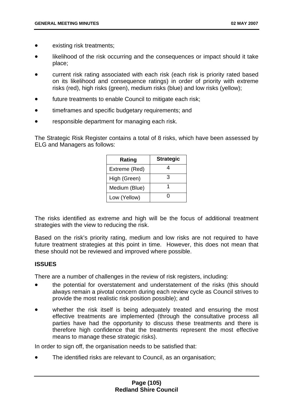- existing risk treatments;
- likelihood of the risk occurring and the consequences or impact should it take place;
- current risk rating associated with each risk (each risk is priority rated based on its likelihood and consequence ratings) in order of priority with extreme risks (red), high risks (green), medium risks (blue) and low risks (yellow);
- future treatments to enable Council to mitigate each risk;
- timeframes and specific budgetary requirements; and
- responsible department for managing each risk.

The Strategic Risk Register contains a total of 8 risks, which have been assessed by ELG and Managers as follows:

| Rating        | <b>Strategic</b> |
|---------------|------------------|
| Extreme (Red) |                  |
| High (Green)  | З                |
| Medium (Blue) |                  |
| Low (Yellow)  |                  |

The risks identified as extreme and high will be the focus of additional treatment strategies with the view to reducing the risk.

Based on the risk's priority rating, medium and low risks are not required to have future treatment strategies at this point in time. However, this does not mean that these should not be reviewed and improved where possible.

# **ISSUES**

There are a number of challenges in the review of risk registers, including:

- the potential for overstatement and understatement of the risks (this should always remain a pivotal concern during each review cycle as Council strives to provide the most realistic risk position possible); and
- whether the risk itself is being adequately treated and ensuring the most effective treatments are implemented (through the consultative process all parties have had the opportunity to discuss these treatments and there is therefore high confidence that the treatments represent the most effective means to manage these strategic risks).

In order to sign off, the organisation needs to be satisfied that:

• The identified risks are relevant to Council, as an organisation;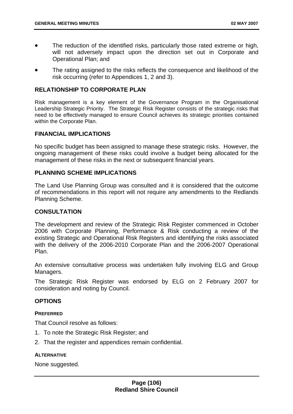- The reduction of the identified risks, particularly those rated extreme or high, will not adversely impact upon the direction set out in Corporate and Operational Plan; and
- The rating assigned to the risks reflects the consequence and likelihood of the risk occurring (refer to Appendices 1, 2 and 3).

#### **RELATIONSHIP TO CORPORATE PLAN**

Risk management is a key element of the Governance Program in the Organisational Leadership Strategic Priority. The Strategic Risk Register consists of the strategic risks that need to be effectively managed to ensure Council achieves its strategic priorities contained within the Corporate Plan.

#### **FINANCIAL IMPLICATIONS**

No specific budget has been assigned to manage these strategic risks. However, the ongoing management of these risks could involve a budget being allocated for the management of these risks in the next or subsequent financial years.

#### **PLANNING SCHEME IMPLICATIONS**

The Land Use Planning Group was consulted and it is considered that the outcome of recommendations in this report will not require any amendments to the Redlands Planning Scheme.

#### **CONSULTATION**

The development and review of the Strategic Risk Register commenced in October 2006 with Corporate Planning, Performance & Risk conducting a review of the existing Strategic and Operational Risk Registers and identifying the risks associated with the delivery of the 2006-2010 Corporate Plan and the 2006-2007 Operational Plan.

An extensive consultative process was undertaken fully involving ELG and Group Managers.

The Strategic Risk Register was endorsed by ELG on 2 February 2007 for consideration and noting by Council.

#### **OPTIONS**

#### **PREFERRED**

That Council resolve as follows:

- 1. To note the Strategic Risk Register; and
- 2. That the register and appendices remain confidential.

#### **ALTERNATIVE**

None suggested.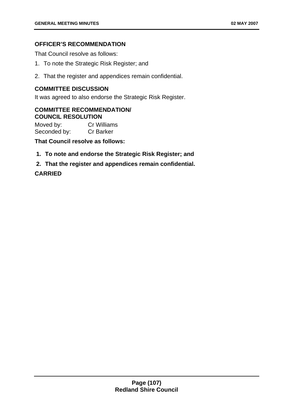# **OFFICER'S RECOMMENDATION**

That Council resolve as follows:

- 1. To note the Strategic Risk Register; and
- 2. That the register and appendices remain confidential.

# **COMMITTEE DISCUSSION**

It was agreed to also endorse the Strategic Risk Register.

## **COMMITTEE RECOMMENDATION/ COUNCIL RESOLUTION**

Moved by: Cr Williams Seconded by: Cr Barker

**That Council resolve as follows:** 

- **1. To note and endorse the Strategic Risk Register; and**
- **2. That the register and appendices remain confidential.**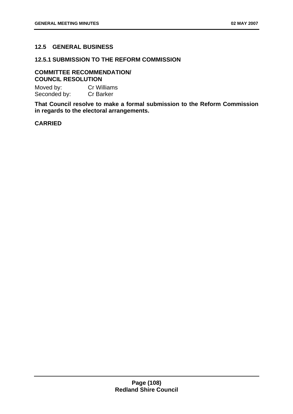# **12.5 GENERAL BUSINESS**

## **12.5.1 SUBMISSION TO THE REFORM COMMISSION**

## **COMMITTEE RECOMMENDATION/ COUNCIL RESOLUTION**

Moved by: Cr Williams Seconded by: Cr Barker

**That Council resolve to make a formal submission to the Reform Commission in regards to the electoral arrangements.**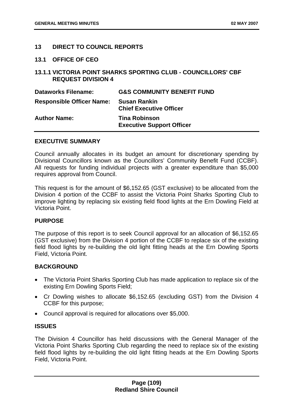### **13 DIRECT TO COUNCIL REPORTS**

#### **13.1 OFFICE OF CEO**

## **13.1.1 VICTORIA POINT SHARKS SPORTING CLUB - COUNCILLORS' CBF REQUEST DIVISION 4**

| <b>Dataworks Filename:</b>       | <b>G&amp;S COMMUNITY BENEFIT FUND</b>                    |
|----------------------------------|----------------------------------------------------------|
| <b>Responsible Officer Name:</b> | <b>Susan Rankin</b><br><b>Chief Executive Officer</b>    |
| <b>Author Name:</b>              | <b>Tina Robinson</b><br><b>Executive Support Officer</b> |

## **EXECUTIVE SUMMARY**

Council annually allocates in its budget an amount for discretionary spending by Divisional Councillors known as the Councillors' Community Benefit Fund (CCBF). All requests for funding individual projects with a greater expenditure than \$5,000 requires approval from Council.

This request is for the amount of \$6,152.65 (GST exclusive) to be allocated from the Division 4 portion of the CCBF to assist the Victoria Point Sharks Sporting Club to improve lighting by replacing six existing field flood lights at the Ern Dowling Field at Victoria Point.

### **PURPOSE**

The purpose of this report is to seek Council approval for an allocation of \$6,152.65 (GST exclusive) from the Division 4 portion of the CCBF to replace six of the existing field flood lights by re-building the old light fitting heads at the Ern Dowling Sports Field, Victoria Point.

### **BACKGROUND**

- The Victoria Point Sharks Sporting Club has made application to replace six of the existing Ern Dowling Sports Field;
- Cr Dowling wishes to allocate \$6,152.65 (excluding GST) from the Division 4 CCBF for this purpose;
- Council approval is required for allocations over \$5,000.

### **ISSUES**

The Division 4 Councillor has held discussions with the General Manager of the Victoria Point Sharks Sporting Club regarding the need to replace six of the existing field flood lights by re-building the old light fitting heads at the Ern Dowling Sports Field, Victoria Point.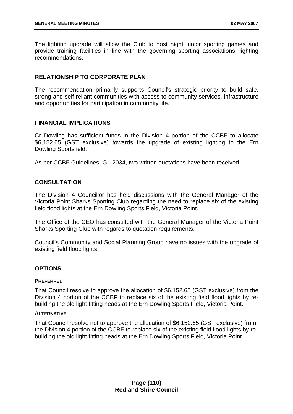The lighting upgrade will allow the Club to host night junior sporting games and provide training facilities in line with the governing sporting associations' lighting recommendations.

## **RELATIONSHIP TO CORPORATE PLAN**

The recommendation primarily supports Council's strategic priority to build safe, strong and self reliant communities with access to community services, infrastructure and opportunities for participation in community life.

### **FINANCIAL IMPLICATIONS**

Cr Dowling has sufficient funds in the Division 4 portion of the CCBF to allocate \$6,152.65 (GST exclusive) towards the upgrade of existing lighting to the Ern Dowling Sportsfield.

As per CCBF Guidelines, GL-2034, two written quotations have been received.

## **CONSULTATION**

The Division 4 Councillor has held discussions with the General Manager of the Victoria Point Sharks Sporting Club regarding the need to replace six of the existing field flood lights at the Ern Dowling Sports Field, Victoria Point.

The Office of the CEO has consulted with the General Manager of the Victoria Point Sharks Sporting Club with regards to quotation requirements.

Council's Community and Social Planning Group have no issues with the upgrade of existing field flood lights.

### **OPTIONS**

#### **PREFERRED**

That Council resolve to approve the allocation of \$6,152.65 (GST exclusive) from the Division 4 portion of the CCBF to replace six of the existing field flood lights by rebuilding the old light fitting heads at the Ern Dowling Sports Field, Victoria Point.

#### **ALTERNATIVE**

That Council resolve not to approve the allocation of \$6,152.65 (GST exclusive) from the Division 4 portion of the CCBF to replace six of the existing field flood lights by rebuilding the old light fitting heads at the Ern Dowling Sports Field, Victoria Point.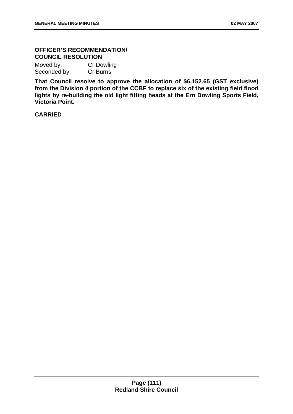# **OFFICER'S RECOMMENDATION/ COUNCIL RESOLUTION**

Moved by: Cr Dowling Seconded by: Cr Burns

**That Council resolve to approve the allocation of \$6,152.65 (GST exclusive) from the Division 4 portion of the CCBF to replace six of the existing field flood lights by re-building the old light fitting heads at the Ern Dowling Sports Field, Victoria Point.**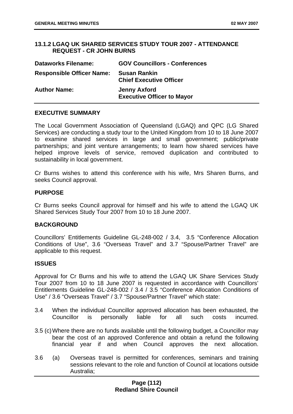## **13.1.2 LGAQ UK SHARED SERVICES STUDY TOUR 2007 - ATTENDANCE REQUEST - CR JOHN BURNS**

| <b>Dataworks Filename:</b>       | <b>GOV Councillors - Conferences</b>                     |
|----------------------------------|----------------------------------------------------------|
| <b>Responsible Officer Name:</b> | <b>Susan Rankin</b><br><b>Chief Executive Officer</b>    |
| <b>Author Name:</b>              | <b>Jenny Axford</b><br><b>Executive Officer to Mayor</b> |

### **EXECUTIVE SUMMARY**

The Local Government Association of Queensland (LGAQ) and QPC (LG Shared Services) are conducting a study tour to the United Kingdom from 10 to 18 June 2007 to examine shared services in large and small government; public/private partnerships; and joint venture arrangements; to learn how shared services have helped improve levels of service, removed duplication and contributed to sustainability in local government.

Cr Burns wishes to attend this conference with his wife, Mrs Sharen Burns, and seeks Council approval.

### **PURPOSE**

Cr Burns seeks Council approval for himself and his wife to attend the LGAQ UK Shared Services Study Tour 2007 from 10 to 18 June 2007.

### **BACKGROUND**

Councillors' Entitlements Guideline GL-248-002 / 3.4, 3.5 "Conference Allocation Conditions of Use", 3.6 "Overseas Travel" and 3.7 "Spouse/Partner Travel" are applicable to this request.

### **ISSUES**

Approval for Cr Burns and his wife to attend the LGAQ UK Share Services Study Tour 2007 from 10 to 18 June 2007 is requested in accordance with Councillors' Entitlements Guideline GL-248-002 / 3.4 / 3.5 "Conference Allocation Conditions of Use" / 3.6 "Overseas Travel" / 3.7 "Spouse/Partner Travel" which state:

- 3.4 When the individual Councillor approved allocation has been exhausted, the Councillor is personally liable for all such costs incurred.
- 3.5 (c) Where there are no funds available until the following budget, a Councillor may bear the cost of an approved Conference and obtain a refund the following financial year if and when Council approves the next allocation.
- 3.6 (a) Overseas travel is permitted for conferences, seminars and training sessions relevant to the role and function of Council at locations outside Australia;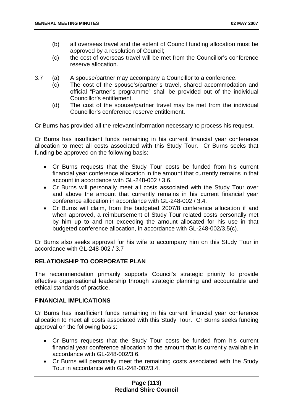- (b) all overseas travel and the extent of Council funding allocation must be approved by a resolution of Council;
- (c) the cost of overseas travel will be met from the Councillor's conference reserve allocation.
- 3.7 (a) A spouse/partner may accompany a Councillor to a conference.
	- (c) The cost of the spouse's/partner's travel, shared accommodation and official "Partner's programme" shall be provided out of the individual Councillor's entitlement.
	- (d) The cost of the spouse/partner travel may be met from the individual Councillor's conference reserve entitlement.

Cr Burns has provided all the relevant information necessary to process his request.

Cr Burns has insufficient funds remaining in his current financial year conference allocation to meet all costs associated with this Study Tour. Cr Burns seeks that funding be approved on the following basis:

- Cr Burns requests that the Study Tour costs be funded from his current financial year conference allocation in the amount that currently remains in that account in accordance with GL-248-002 / 3.6.
- Cr Burns will personally meet all costs associated with the Study Tour over and above the amount that currently remains in his current financial year conference allocation in accordance with GL-248-002 / 3.4.
- Cr Burns will claim, from the budgeted 2007/8 conference allocation if and when approved, a reimbursement of Study Tour related costs personally met by him up to and not exceeding the amount allocated for his use in that budgeted conference allocation, in accordance with GL-248-002/3.5(c).

Cr Burns also seeks approval for his wife to accompany him on this Study Tour in accordance with GL-248-002 / 3.7

# **RELATIONSHIP TO CORPORATE PLAN**

The recommendation primarily supports Council's strategic priority to provide effective organisational leadership through strategic planning and accountable and ethical standards of practice.

# **FINANCIAL IMPLICATIONS**

Cr Burns has insufficient funds remaining in his current financial year conference allocation to meet all costs associated with this Study Tour. Cr Burns seeks funding approval on the following basis:

- Cr Burns requests that the Study Tour costs be funded from his current financial year conference allocation to the amount that is currently available in accordance with GL-248-002/3.6.
- Cr Burns will personally meet the remaining costs associated with the Study Tour in accordance with GL-248-002/3.4.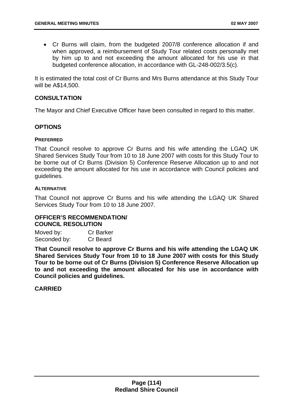• Cr Burns will claim, from the budgeted 2007/8 conference allocation if and when approved, a reimbursement of Study Tour related costs personally met by him up to and not exceeding the amount allocated for his use in that budgeted conference allocation, in accordance with GL-248-002/3.5(c).

It is estimated the total cost of Cr Burns and Mrs Burns attendance at this Study Tour will be A\$14,500.

## **CONSULTATION**

The Mayor and Chief Executive Officer have been consulted in regard to this matter.

### **OPTIONS**

#### **PREFERRED**

That Council resolve to approve Cr Burns and his wife attending the LGAQ UK Shared Services Study Tour from 10 to 18 June 2007 with costs for this Study Tour to be borne out of Cr Burns (Division 5) Conference Reserve Allocation up to and not exceeding the amount allocated for his use in accordance with Council policies and guidelines.

#### **ALTERNATIVE**

That Council not approve Cr Burns and his wife attending the LGAQ UK Shared Services Study Tour from 10 to 18 June 2007.

### **OFFICER'S RECOMMENDATION/ COUNCIL RESOLUTION**

| Moved by:    | <b>Cr Barker</b> |
|--------------|------------------|
| Seconded by: | Cr Beard         |

**That Council resolve to approve Cr Burns and his wife attending the LGAQ UK Shared Services Study Tour from 10 to 18 June 2007 with costs for this Study Tour to be borne out of Cr Burns (Division 5) Conference Reserve Allocation up to and not exceeding the amount allocated for his use in accordance with Council policies and guidelines.**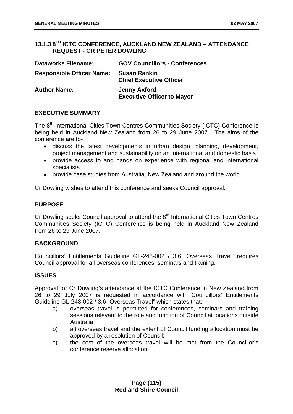# **13.1.3 8TH ICTC CONFERENCE, AUCKLAND NEW ZEALAND – ATTENDANCE REQUEST - CR PETER DOWLING**

| <b>Dataworks Filename:</b>       | <b>GOV Councillors - Conferences</b>                     |
|----------------------------------|----------------------------------------------------------|
| <b>Responsible Officer Name:</b> | <b>Susan Rankin</b><br><b>Chief Executive Officer</b>    |
| <b>Author Name:</b>              | <b>Jenny Axford</b><br><b>Executive Officer to Mayor</b> |

## **EXECUTIVE SUMMARY**

The 8<sup>th</sup> International Cities Town Centres Communities Society (ICTC) Conference is being held in Auckland New Zealand from 26 to 29 June 2007. The aims of the conference are to-

- discuss the latest developments in urban design, planning, development, project management and sustainability on an international and domestic basis
- provide access to and hands on experience with regional and international specialists
- provide case studies from Australia, New Zealand and around the world

Cr Dowling wishes to attend this conference and seeks Council approval.

## **PURPOSE**

Cr Dowling seeks Council approval to attend the  $8<sup>th</sup>$  International Cities Town Centres Communities Society (ICTC) Conference is being held in Auckland New Zealand from 26 to 29 June 2007.

# **BACKGROUND**

Councillors' Entitlements Guideline GL-248-002 / 3.6 "Overseas Travel" requires Council approval for all overseas conferences, seminars and training.

### **ISSUES**

Approval for Cr Dowling's attendance at the ICTC Conference in New Zealand from 26 to 29 July 2007 is requested in accordance with Councillors' Entitlements Guideline GL-248-002 / 3.6 "Overseas Travel" which states that:

- a) overseas travel is permitted for conferences, seminars and training sessions relevant to the role and function of Council at locations outside Australia;
- b) all overseas travel and the extent of Council funding allocation must be approved by a resolution of Council;
- c) the cost of the overseas travel will be met from the Councillor's conference reserve allocation.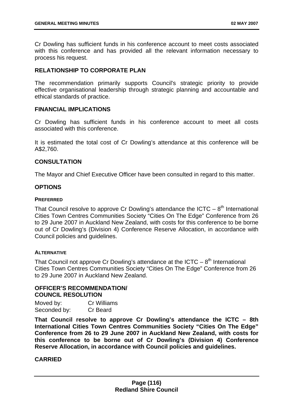Cr Dowling has sufficient funds in his conference account to meet costs associated with this conference and has provided all the relevant information necessary to process his request.

### **RELATIONSHIP TO CORPORATE PLAN**

The recommendation primarily supports Council's strategic priority to provide effective organisational leadership through strategic planning and accountable and ethical standards of practice.

### **FINANCIAL IMPLICATIONS**

Cr Dowling has sufficient funds in his conference account to meet all costs associated with this conference.

It is estimated the total cost of Cr Dowling's attendance at this conference will be A\$2,760.

## **CONSULTATION**

The Mayor and Chief Executive Officer have been consulted in regard to this matter.

# **OPTIONS**

#### **PREFERRED**

That Council resolve to approve Cr Dowling's attendance the ICTC –  $8<sup>th</sup>$  International Cities Town Centres Communities Society "Cities On The Edge" Conference from 26 to 29 June 2007 in Auckland New Zealand, with costs for this conference to be borne out of Cr Dowling's (Division 4) Conference Reserve Allocation, in accordance with Council policies and guidelines.

### **ALTERNATIVE**

That Council not approve Cr Dowling's attendance at the ICTC –  $8<sup>th</sup>$  International Cities Town Centres Communities Society "Cities On The Edge" Conference from 26 to 29 June 2007 in Auckland New Zealand.

# **OFFICER'S RECOMMENDATION/ COUNCIL RESOLUTION**

| Moved by:    | Cr Williams |
|--------------|-------------|
| Seconded by: | Cr Beard    |

**That Council resolve to approve Cr Dowling's attendance the ICTC – 8th International Cities Town Centres Communities Society "Cities On The Edge" Conference from 26 to 29 June 2007 in Auckland New Zealand, with costs for this conference to be borne out of Cr Dowling's (Division 4) Conference Reserve Allocation, in accordance with Council policies and guidelines.**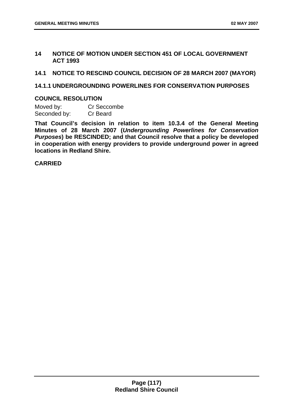### **14 NOTICE OF MOTION UNDER SECTION 451 OF LOCAL GOVERNMENT ACT 1993**

**14.1 NOTICE TO RESCIND COUNCIL DECISION OF 28 MARCH 2007 (MAYOR)** 

### **14.1.1 UNDERGROUNDING POWERLINES FOR CONSERVATION PURPOSES**

### **COUNCIL RESOLUTION**

Moved by: Cr Seccombe Seconded by: Cr Beard

**That Council's decision in relation to item 10.3.4 of the General Meeting Minutes of 28 March 2007 (***Undergrounding Powerlines for Conservation Purposes***) be RESCINDED; and that Council resolve that a policy be developed in cooperation with energy providers to provide underground power in agreed locations in Redland Shire.**